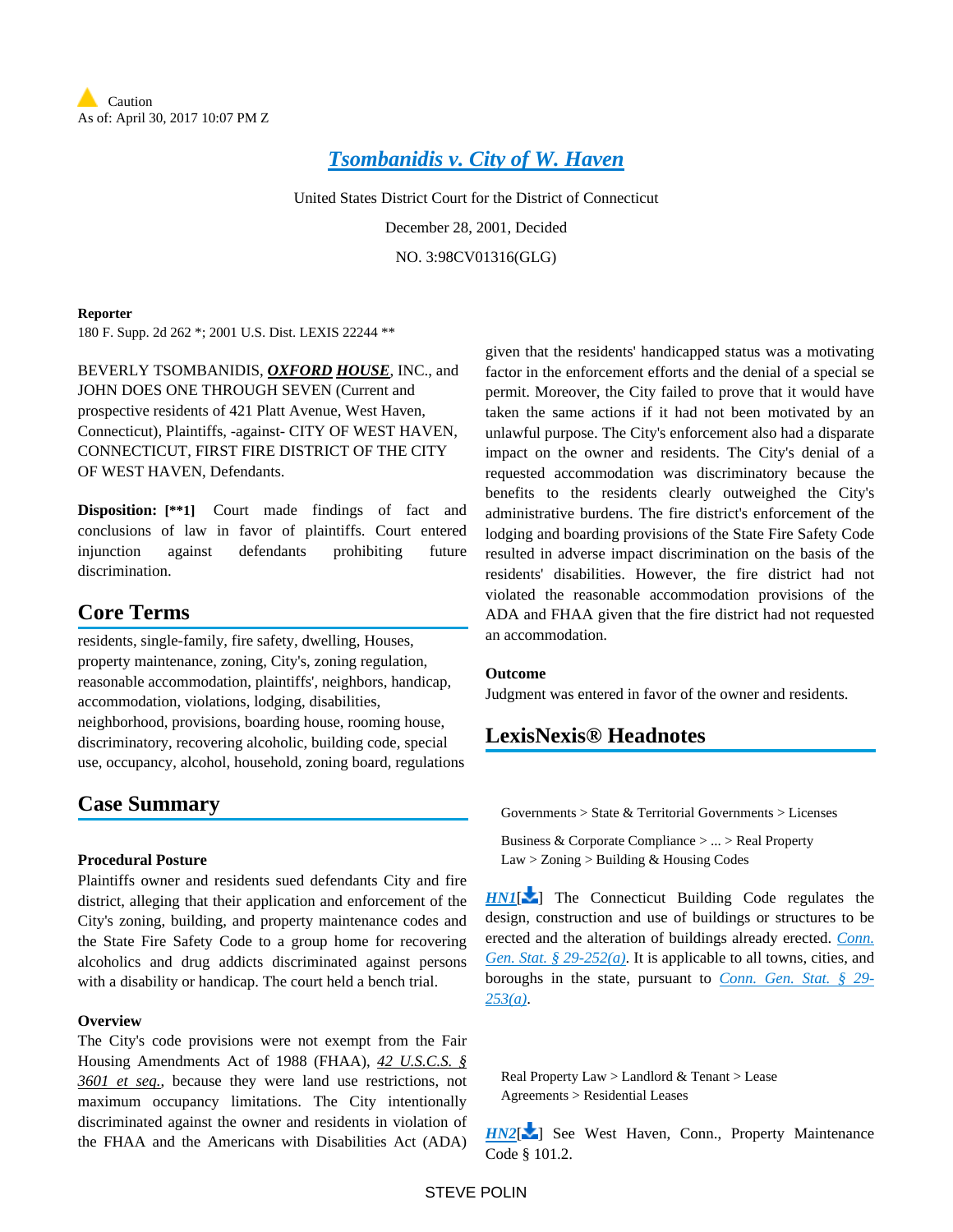

# *[Tsombanidis v. City of W. Haven](https://advance.lexis.com/api/document?collection=cases&id=urn:contentItem:44YH-3PM0-0038-Y2MP-00000-00&context=)*

United States District Court for the District of Connecticut

December 28, 2001, Decided

NO. 3:98CV01316(GLG)

#### **Reporter**

180 F. Supp. 2d 262 \*; 2001 U.S. Dist. LEXIS 22244 \*\*

BEVERLY TSOMBANIDIS, *OXFORD HOUSE*, INC., and JOHN DOES ONE THROUGH SEVEN (Current and prospective residents of 421 Platt Avenue, West Haven, Connecticut), Plaintiffs, -against- CITY OF WEST HAVEN, CONNECTICUT, FIRST FIRE DISTRICT OF THE CITY OF WEST HAVEN, Defendants.

**Disposition: [\*\*1]** Court made findings of fact and conclusions of law in favor of plaintiffs. Court entered injunction against defendants prohibiting future discrimination.

# **Core Terms**

residents, single-family, fire safety, dwelling, Houses, property maintenance, zoning, City's, zoning regulation, reasonable accommodation, plaintiffs', neighbors, handicap, accommodation, violations, lodging, disabilities, neighborhood, provisions, boarding house, rooming house, discriminatory, recovering alcoholic, building code, special use, occupancy, alcohol, household, zoning board, regulations

# **Case Summary**

## **Procedural Posture**

Plaintiffs owner and residents sued defendants City and fire district, alleging that their application and enforcement of the City's zoning, building, and property maintenance codes and the State Fire Safety Code to a group home for recovering alcoholics and drug addicts discriminated against persons with a disability or handicap. The court held a bench trial.

## **Overview**

The City's code provisions were not exempt from the Fair Housing Amendments Act of 1988 (FHAA), *42 U.S.C.S. § 3601 et seq.*, because they were land use restrictions, not maximum occupancy limitations. The City intentionally discriminated against the owner and residents in violation of the FHAA and the Americans with Disabilities Act (ADA)

given that the residents' handicapped status was a motivating factor in the enforcement efforts and the denial of a special se permit. Moreover, the City failed to prove that it would have taken the same actions if it had not been motivated by an unlawful purpose. The City's enforcement also had a disparate impact on the owner and residents. The City's denial of a requested accommodation was discriminatory because the benefits to the residents clearly outweighed the City's administrative burdens. The fire district's enforcement of the lodging and boarding provisions of the State Fire Safety Code resulted in adverse impact discrimination on the basis of the residents' disabilities. However, the fire district had not violated the reasonable accommodation provisions of the ADA and FHAA given that the fire district had not requested an accommodation.

#### **Outcome**

Judgment was entered in favor of the owner and residents.

# <span id="page-0-0"></span>**LexisNexis® Headnotes**

Governments > State & Territorial Governments > Licenses

Business & Corporate Compliance > ... > Real Property Law > Zoning > Building & Housing Codes

**[HN1](https://advance.lexis.com/api/document?collection=cases&id=urn:contentItem:44YH-3PM0-0038-Y2MP-00000-00&context=&link=LNHNREFclscc1)[\[](#page-5-0)** ] The Connecticut Building Code regulates the design, construction and use of buildings or structures to be erected and the alteration of buildings already erected. *[Conn.](https://advance.lexis.com/api/document?collection=statutes-legislation&id=urn:contentItem:8JC4-F9G2-8T6X-7554-00000-00&context=)  [Gen. Stat. § 29-252\(a\)](https://advance.lexis.com/api/document?collection=statutes-legislation&id=urn:contentItem:8JC4-F9G2-8T6X-7554-00000-00&context=)*. It is applicable to all towns, cities, and boroughs in the state, pursuant to *[Conn. Gen. Stat. § 29-](https://advance.lexis.com/api/document?collection=statutes-legislation&id=urn:contentItem:56C1-2NG1-648C-K414-00000-00&context=) [253\(a\)](https://advance.lexis.com/api/document?collection=statutes-legislation&id=urn:contentItem:56C1-2NG1-648C-K414-00000-00&context=)*.

Real Property Law > Landlord & Tenant > Lease Agreements > Residential Leases

*[HN2](https://advance.lexis.com/api/document?collection=cases&id=urn:contentItem:44YH-3PM0-0038-Y2MP-00000-00&context=&link=LNHNREFclscc2)*<sup>[\[](#page-5-1)2</sup>] See West Haven, Conn., Property Maintenance Code § 101.2.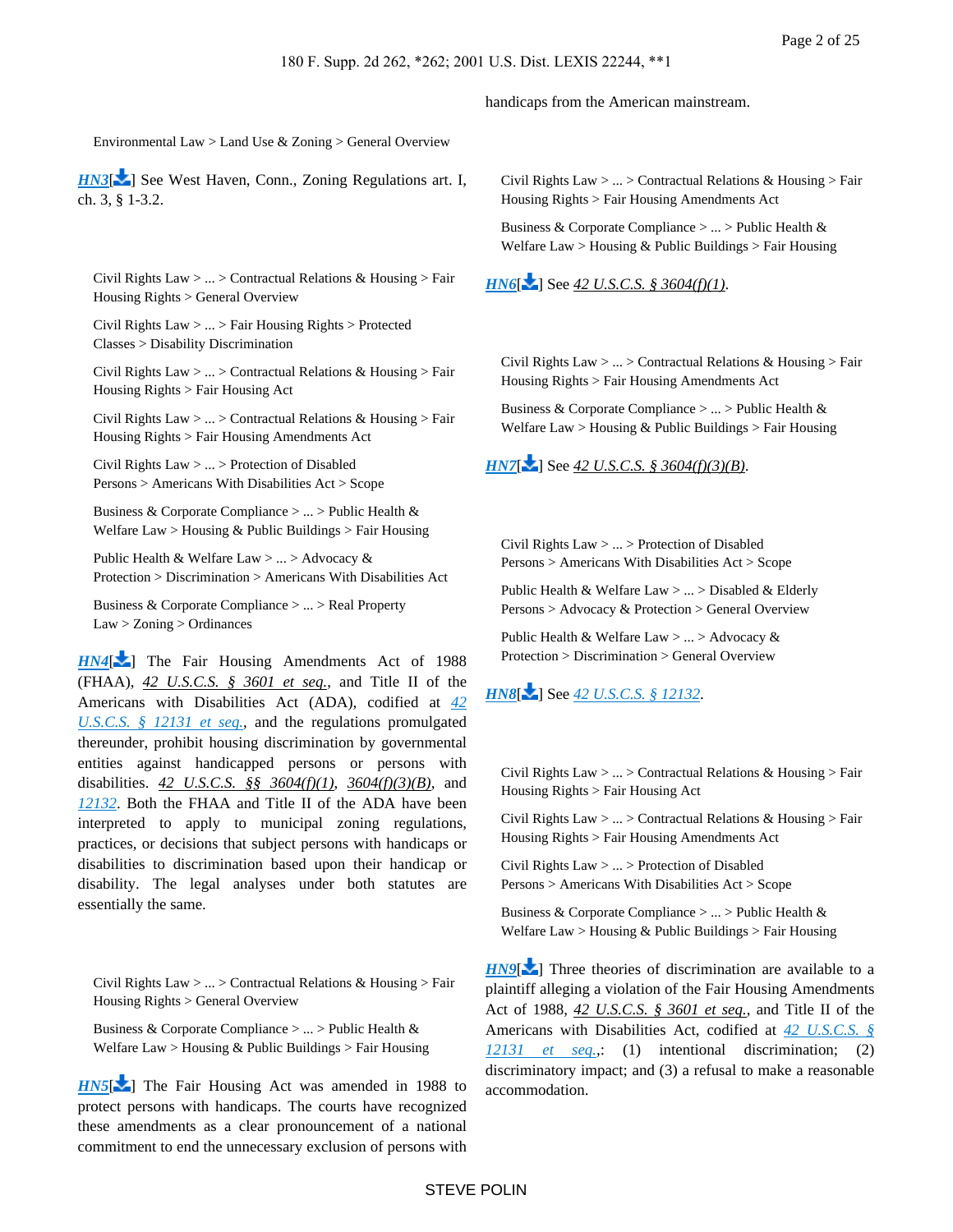#### handicaps from the American mainstream.

#### Environmental Law > Land Use & Zoning > General Overview

<span id="page-1-0"></span>*[HN3](https://advance.lexis.com/api/document?collection=cases&id=urn:contentItem:44YH-3PM0-0038-Y2MP-00000-00&context=&link=LNHNREFclscc3)*[\[](#page-8-0) $\angle$ ] See West Haven, Conn., Zoning Regulations art. I, ch. 3, § 1-3.2.

Civil Rights Law  $> ... >$  Contractual Relations & Housing  $>$  Fair Housing Rights > General Overview

Civil Rights Law > ... > Fair Housing Rights > Protected Classes > Disability Discrimination

Civil Rights Law > ... > Contractual Relations & Housing > Fair Housing Rights > Fair Housing Act

Civil Rights Law > ... > Contractual Relations & Housing > Fair Housing Rights > Fair Housing Amendments Act

Civil Rights Law > ... > Protection of Disabled Persons > Americans With Disabilities Act > Scope

Business & Corporate Compliance > ... > Public Health & Welfare Law > Housing & Public Buildings > Fair Housing

Public Health & Welfare Law > ... > Advocacy & Protection > Discrimination > Americans With Disabilities Act

Business & Corporate Compliance > ... > Real Property Law > Zoning > Ordinances

*[HN4](https://advance.lexis.com/api/document?collection=cases&id=urn:contentItem:44YH-3PM0-0038-Y2MP-00000-00&context=&link=LNHNREFclscc4)*[\[](#page-12-0) ] The Fair Housing Amendments Act of 1988 (FHAA), *42 U.S.C.S. § 3601 et seq.*, and Title II of the Americans with Disabilities Act (ADA), codified at *[42](https://advance.lexis.com/api/document?collection=statutes-legislation&id=urn:contentItem:4YF7-GVG1-NRF4-41T6-00000-00&context=)  [U.S.C.S. § 12131 et seq.](https://advance.lexis.com/api/document?collection=statutes-legislation&id=urn:contentItem:4YF7-GVG1-NRF4-41T6-00000-00&context=)*, and the regulations promulgated thereunder, prohibit housing discrimination by governmental entities against handicapped persons or persons with disabilities. *42 U.S.C.S. §§ 3604(f)(1)*, *3604(f)(3)(B)*, and *[12132](https://advance.lexis.com/api/document?collection=statutes-legislation&id=urn:contentItem:4YF7-GN41-NRF4-40JX-00000-00&context=)*. Both the FHAA and Title II of the ADA have been interpreted to apply to municipal zoning regulations, practices, or decisions that subject persons with handicaps or disabilities to discrimination based upon their handicap or disability. The legal analyses under both statutes are essentially the same.

<span id="page-1-1"></span>Civil Rights Law > ... > Contractual Relations & Housing > Fair Housing Rights > General Overview

Business & Corporate Compliance > ... > Public Health & Welfare Law > Housing & Public Buildings > Fair Housing

*[HN5](https://advance.lexis.com/api/document?collection=cases&id=urn:contentItem:44YH-3PM0-0038-Y2MP-00000-00&context=&link=LNHNREFclscc5)*<sup>[\[](#page-12-1)22</sup>] The Fair Housing Act was amended in 1988 to protect persons with handicaps. The courts have recognized these amendments as a clear pronouncement of a national commitment to end the unnecessary exclusion of persons with

Civil Rights Law  $> ... >$  Contractual Relations & Housing  $>$  Fair Housing Rights > Fair Housing Amendments Act

Business & Corporate Compliance > ... > Public Health & Welfare Law > Housing  $&$  Public Buildings > Fair Housing

*[HN6](https://advance.lexis.com/api/document?collection=cases&id=urn:contentItem:44YH-3PM0-0038-Y2MP-00000-00&context=&link=LNHNREFclscc6)*<sup>[\[](#page-12-2)2]</sup> See 42 *U.S.C.S.* § 3604(f)(1).

Civil Rights Law > ... > Contractual Relations & Housing > Fair Housing Rights > Fair Housing Amendments Act

Business & Corporate Compliance > ... > Public Health & Welfare Law > Housing & Public Buildings > Fair Housing

# *[HN7](https://advance.lexis.com/api/document?collection=cases&id=urn:contentItem:44YH-3PM0-0038-Y2MP-00000-00&context=&link=LNHNREFclscc7)*[\[](#page-12-3) $\blacktriangleright$ ] See 42 *U.S.C.S.* § 3604(f)(3)(B).

Civil Rights Law > ... > Protection of Disabled Persons > Americans With Disabilities Act > Scope

Public Health & Welfare  $Law > ... > Disabeled \&$  Elderly Persons > Advocacy & Protection > General Overview

Public Health & Welfare Law  $> ... >$  Advocacy & Protection > Discrimination > General Overview

# <span id="page-1-2"></span>*[HN8](https://advance.lexis.com/api/document?collection=cases&id=urn:contentItem:44YH-3PM0-0038-Y2MP-00000-00&context=&link=LNHNREFclscc8)*<sup>[\[](#page-12-4)22</sup>] See 42 *U.S.C.S.* § 12132.

Civil Rights Law  $> ... >$  Contractual Relations & Housing  $>$  Fair Housing Rights > Fair Housing Act

Civil Rights Law > ... > Contractual Relations & Housing > Fair Housing Rights > Fair Housing Amendments Act

Civil Rights Law > ... > Protection of Disabled Persons > Americans With Disabilities Act > Scope

Business & Corporate Compliance > ... > Public Health & Welfare Law > Housing  $&$  Public Buildings > Fair Housing

*[HN9](https://advance.lexis.com/api/document?collection=cases&id=urn:contentItem:44YH-3PM0-0038-Y2MP-00000-00&context=&link=LNHNREFclscc9)*<sup>[\[](#page-12-5)22</sup>] Three theories of discrimination are available to a plaintiff alleging a violation of the Fair Housing Amendments Act of 1988, *42 U.S.C.S. § 3601 et seq.*, and Title II of the Americans with Disabilities Act, codified at *[42 U.S.C.S. §](https://advance.lexis.com/api/document?collection=statutes-legislation&id=urn:contentItem:4YF7-GVG1-NRF4-41T6-00000-00&context=)  [12131 et seq.](https://advance.lexis.com/api/document?collection=statutes-legislation&id=urn:contentItem:4YF7-GVG1-NRF4-41T6-00000-00&context=)*,: (1) intentional discrimination; (2) discriminatory impact; and (3) a refusal to make a reasonable accommodation.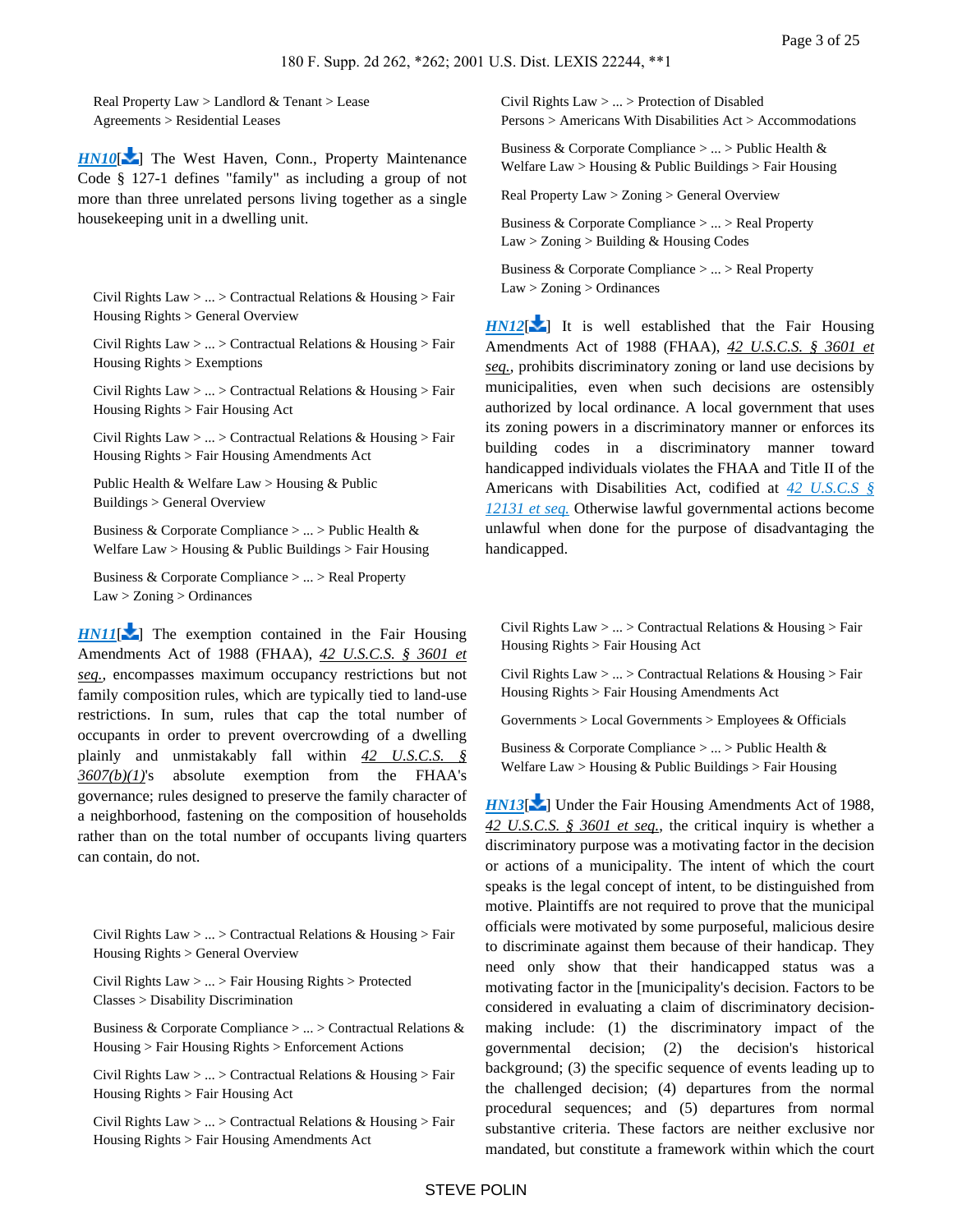Real Property Law > Landlord & Tenant > Lease Agreements > Residential Leases

*[HN10](https://advance.lexis.com/api/document?collection=cases&id=urn:contentItem:44YH-3PM0-0038-Y2MP-00000-00&context=&link=LNHNREFclscc10)*[\[](#page-13-0) $\blacktriangleright$ ] The West Haven, Conn., Property Maintenance Code § 127-1 defines "family" as including a group of not more than three unrelated persons living together as a single housekeeping unit in a dwelling unit.

Civil Rights Law > ... > Contractual Relations & Housing > Fair Housing Rights > General Overview

Civil Rights Law > ... > Contractual Relations & Housing > Fair Housing Rights > Exemptions

Civil Rights Law > ... > Contractual Relations & Housing > Fair Housing Rights > Fair Housing Act

Civil Rights Law > ... > Contractual Relations & Housing > Fair Housing Rights > Fair Housing Amendments Act

Public Health & Welfare Law > Housing & Public Buildings > General Overview

Business & Corporate Compliance > ... > Public Health & Welfare Law > Housing & Public Buildings > Fair Housing

Business & Corporate Compliance > ... > Real Property Law > Zoning > Ordinances

*[HN11](https://advance.lexis.com/api/document?collection=cases&id=urn:contentItem:44YH-3PM0-0038-Y2MP-00000-00&context=&link=LNHNREFclscc11)*[\[](#page-14-0) ] The exemption contained in the Fair Housing Amendments Act of 1988 (FHAA), *42 U.S.C.S. § 3601 et seq.*, encompasses maximum occupancy restrictions but not family composition rules, which are typically tied to land-use restrictions. In sum, rules that cap the total number of occupants in order to prevent overcrowding of a dwelling plainly and unmistakably fall within *42 U.S.C.S. § 3607(b)(1)*'s absolute exemption from the FHAA's governance; rules designed to preserve the family character of a neighborhood, fastening on the composition of households rather than on the total number of occupants living quarters can contain, do not.

<span id="page-2-0"></span>Civil Rights Law  $> ... >$  Contractual Relations & Housing  $>$  Fair Housing Rights > General Overview

Civil Rights Law > ... > Fair Housing Rights > Protected Classes > Disability Discrimination

Business & Corporate Compliance > ... > Contractual Relations & Housing > Fair Housing Rights > Enforcement Actions

Civil Rights Law > ... > Contractual Relations & Housing > Fair Housing Rights > Fair Housing Act

Civil Rights Law  $> ... >$  Contractual Relations & Housing  $>$  Fair Housing Rights > Fair Housing Amendments Act

Civil Rights Law > ... > Protection of Disabled Persons > Americans With Disabilities Act > Accommodations

Business & Corporate Compliance  $> \ldots >$  Public Health & Welfare Law > Housing  $&$  Public Buildings > Fair Housing

Real Property Law > Zoning > General Overview

Business & Corporate Compliance > ... > Real Property  $Law > Zoning > Building & Housing Codes$ 

Business & Corporate Compliance > ... > Real Property Law > Zoning > Ordinances

 $HNI2[\mathbf{X}]$  $HNI2[\mathbf{X}]$  $HNI2[\mathbf{X}]$  It is well established that the Fair Housing Amendments Act of 1988 (FHAA), *42 U.S.C.S. § 3601 et seq.*, prohibits discriminatory zoning or land use decisions by municipalities, even when such decisions are ostensibly authorized by local ordinance. A local government that uses its zoning powers in a discriminatory manner or enforces its building codes in a discriminatory manner toward handicapped individuals violates the FHAA and Title II of the Americans with Disabilities Act, codified at *[42 U.S.C.S §](https://advance.lexis.com/api/document?collection=statutes-legislation&id=urn:contentItem:4YF7-GVG1-NRF4-41T6-00000-00&context=)  [12131 et seq.](https://advance.lexis.com/api/document?collection=statutes-legislation&id=urn:contentItem:4YF7-GVG1-NRF4-41T6-00000-00&context=)* Otherwise lawful governmental actions become unlawful when done for the purpose of disadvantaging the handicapped.

<span id="page-2-1"></span>Civil Rights Law  $> ... >$  Contractual Relations & Housing  $>$  Fair Housing Rights > Fair Housing Act

Civil Rights Law > ... > Contractual Relations & Housing > Fair Housing Rights > Fair Housing Amendments Act

Governments > Local Governments > Employees & Officials

Business & Corporate Compliance > ... > Public Health & Welfare Law > Housing & Public Buildings > Fair Housing

*[HN13](https://advance.lexis.com/api/document?collection=cases&id=urn:contentItem:44YH-3PM0-0038-Y2MP-00000-00&context=&link=LNHNREFclscc13)*<sup>[\[](#page-14-2)2]</sup> Under the Fair Housing Amendments Act of 1988, *42 U.S.C.S. § 3601 et seq.*, the critical inquiry is whether a discriminatory purpose was a motivating factor in the decision or actions of a municipality. The intent of which the court speaks is the legal concept of intent, to be distinguished from motive. Plaintiffs are not required to prove that the municipal officials were motivated by some purposeful, malicious desire to discriminate against them because of their handicap. They need only show that their handicapped status was a motivating factor in the [municipality's decision. Factors to be considered in evaluating a claim of discriminatory decisionmaking include: (1) the discriminatory impact of the governmental decision; (2) the decision's historical background; (3) the specific sequence of events leading up to the challenged decision; (4) departures from the normal procedural sequences; and (5) departures from normal substantive criteria. These factors are neither exclusive nor mandated, but constitute a framework within which the court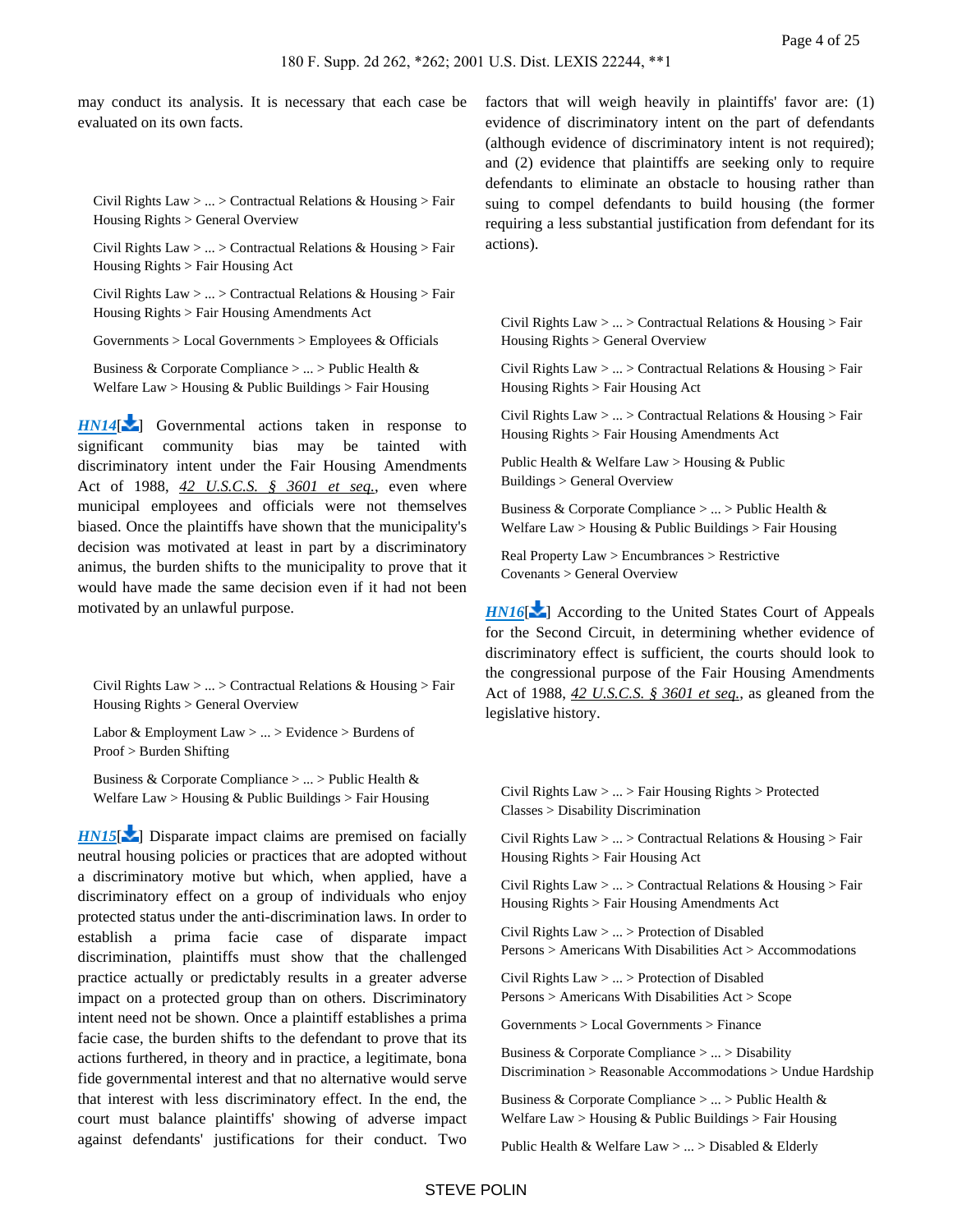may conduct its analysis. It is necessary that each case be evaluated on its own facts.

Civil Rights Law > ... > Contractual Relations & Housing > Fair Housing Rights > General Overview

Civil Rights Law > ... > Contractual Relations & Housing > Fair Housing Rights > Fair Housing Act

Civil Rights Law > ... > Contractual Relations & Housing > Fair Housing Rights > Fair Housing Amendments Act

Governments > Local Governments > Employees & Officials

Business & Corporate Compliance > ... > Public Health & Welfare  $Law > H \text{ousing} \& \text{Public Building} > Fair H \text{ousing}$ 

*[HN14](https://advance.lexis.com/api/document?collection=cases&id=urn:contentItem:44YH-3PM0-0038-Y2MP-00000-00&context=&link=LNHNREFclscc14)*[\[](#page-15-0) ] Governmental actions taken in response to significant community bias may be tainted with discriminatory intent under the Fair Housing Amendments Act of 1988, *42 U.S.C.S. § 3601 et seq.*, even where municipal employees and officials were not themselves biased. Once the plaintiffs have shown that the municipality's decision was motivated at least in part by a discriminatory animus, the burden shifts to the municipality to prove that it would have made the same decision even if it had not been motivated by an unlawful purpose.

<span id="page-3-0"></span>Civil Rights Law > ... > Contractual Relations & Housing > Fair Housing Rights > General Overview

Labor & Employment Law > ... > Evidence > Burdens of Proof > Burden Shifting

Business & Corporate Compliance > ... > Public Health & Welfare Law > Housing & Public Buildings > Fair Housing

*[HN15](https://advance.lexis.com/api/document?collection=cases&id=urn:contentItem:44YH-3PM0-0038-Y2MP-00000-00&context=&link=LNHNREFclscc15)*[\[](#page-17-0) $\blacktriangleright$ ] Disparate impact claims are premised on facially neutral housing policies or practices that are adopted without a discriminatory motive but which, when applied, have a discriminatory effect on a group of individuals who enjoy protected status under the anti-discrimination laws. In order to establish a prima facie case of disparate impact discrimination, plaintiffs must show that the challenged practice actually or predictably results in a greater adverse impact on a protected group than on others. Discriminatory intent need not be shown. Once a plaintiff establishes a prima facie case, the burden shifts to the defendant to prove that its actions furthered, in theory and in practice, a legitimate, bona fide governmental interest and that no alternative would serve that interest with less discriminatory effect. In the end, the court must balance plaintiffs' showing of adverse impact against defendants' justifications for their conduct. Two factors that will weigh heavily in plaintiffs' favor are: (1) evidence of discriminatory intent on the part of defendants (although evidence of discriminatory intent is not required); and (2) evidence that plaintiffs are seeking only to require defendants to eliminate an obstacle to housing rather than suing to compel defendants to build housing (the former requiring a less substantial justification from defendant for its actions).

<span id="page-3-1"></span>Civil Rights Law > ... > Contractual Relations & Housing > Fair Housing Rights > General Overview

Civil Rights Law > ... > Contractual Relations & Housing > Fair Housing Rights > Fair Housing Act

Civil Rights Law  $> ... >$  Contractual Relations & Housing  $>$  Fair Housing Rights > Fair Housing Amendments Act

Public Health & Welfare Law > Housing & Public Buildings > General Overview

Business & Corporate Compliance > ... > Public Health & Welfare Law > Housing & Public Buildings > Fair Housing

Real Property Law > Encumbrances > Restrictive Covenants > General Overview

*[HN16](https://advance.lexis.com/api/document?collection=cases&id=urn:contentItem:44YH-3PM0-0038-Y2MP-00000-00&context=&link=LNHNREFclscc16)*<sup>[\[](#page-17-1)2]</sup> According to the United States Court of Appeals for the Second Circuit, in determining whether evidence of discriminatory effect is sufficient, the courts should look to the congressional purpose of the Fair Housing Amendments Act of 1988, *42 U.S.C.S. § 3601 et seq.*, as gleaned from the legislative history.

Civil Rights Law > ... > Fair Housing Rights > Protected Classes > Disability Discrimination

Civil Rights Law > ... > Contractual Relations & Housing > Fair Housing Rights > Fair Housing Act

Civil Rights Law  $> ... >$  Contractual Relations & Housing  $>$  Fair Housing Rights > Fair Housing Amendments Act

Civil Rights Law > ... > Protection of Disabled Persons > Americans With Disabilities Act > Accommodations

Civil Rights Law > ... > Protection of Disabled Persons > Americans With Disabilities Act > Scope

Governments > Local Governments > Finance

Business & Corporate Compliance > ... > Disability Discrimination > Reasonable Accommodations > Undue Hardship

Business & Corporate Compliance > ... > Public Health & Welfare Law > Housing & Public Buildings > Fair Housing

Public Health & Welfare Law > ... > Disabled & Elderly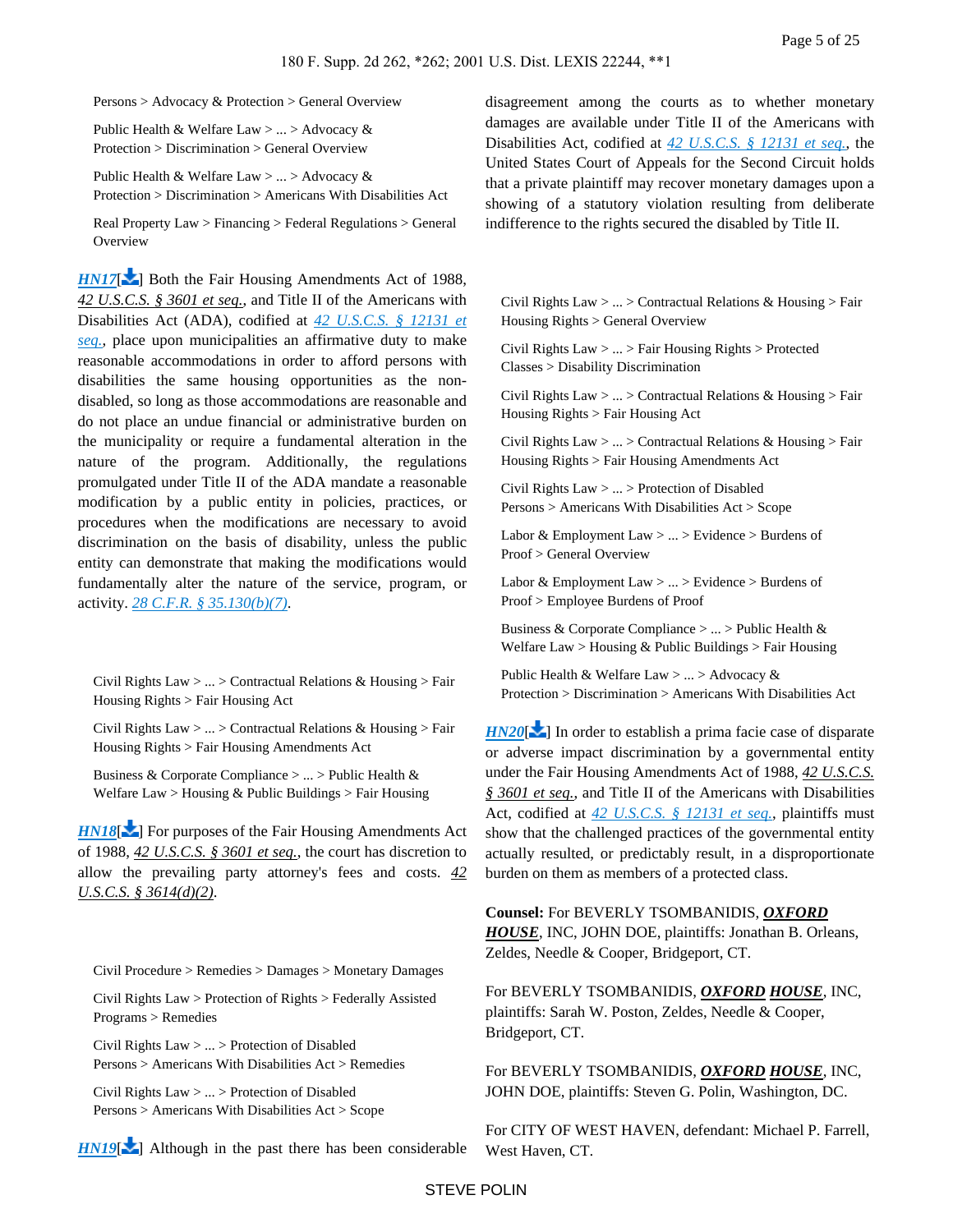Persons > Advocacy & Protection > General Overview

Public Health & Welfare Law > ... > Advocacy & Protection > Discrimination > General Overview

Public Health & Welfare Law > ... > Advocacy & Protection > Discrimination > Americans With Disabilities Act

Real Property Law > Financing > Federal Regulations > General **Overview** 

*[HN17](https://advance.lexis.com/api/document?collection=cases&id=urn:contentItem:44YH-3PM0-0038-Y2MP-00000-00&context=&link=LNHNREFclscc17)*[\[](#page-18-0) $\blacktriangleright$ ] Both the Fair Housing Amendments Act of 1988, *42 U.S.C.S. § 3601 et seq.*, and Title II of the Americans with Disabilities Act (ADA), codified at *[42 U.S.C.S. § 12131 et](https://advance.lexis.com/api/document?collection=statutes-legislation&id=urn:contentItem:4YF7-GVG1-NRF4-41T6-00000-00&context=)  [seq.](https://advance.lexis.com/api/document?collection=statutes-legislation&id=urn:contentItem:4YF7-GVG1-NRF4-41T6-00000-00&context=)*, place upon municipalities an affirmative duty to make reasonable accommodations in order to afford persons with disabilities the same housing opportunities as the nondisabled, so long as those accommodations are reasonable and do not place an undue financial or administrative burden on the municipality or require a fundamental alteration in the nature of the program. Additionally, the regulations promulgated under Title II of the ADA mandate a reasonable modification by a public entity in policies, practices, or procedures when the modifications are necessary to avoid discrimination on the basis of disability, unless the public entity can demonstrate that making the modifications would fundamentally alter the nature of the service, program, or activity. *[28 C.F.R. § 35.130\(b\)\(7\)](https://advance.lexis.com/api/document?collection=administrative-codes&id=urn:contentItem:5MBV-98H0-008H-00V2-00000-00&context=)*.

<span id="page-4-0"></span>Civil Rights Law > ... > Contractual Relations & Housing > Fair Housing Rights > Fair Housing Act

Civil Rights Law > ... > Contractual Relations & Housing > Fair Housing Rights > Fair Housing Amendments Act

Business & Corporate Compliance > ... > Public Health & Welfare Law > Housing & Public Buildings > Fair Housing

*[HN18](https://advance.lexis.com/api/document?collection=cases&id=urn:contentItem:44YH-3PM0-0038-Y2MP-00000-00&context=&link=LNHNREFclscc18)*<sup> $\lfloor$ </sup> For purposes of the Fair Housing Amendments Act of 1988, *42 U.S.C.S. § 3601 et seq.*, the court has discretion to allow the prevailing party attorney's fees and costs. *42 U.S.C.S. § 3614(d)(2)*.

<span id="page-4-1"></span>Civil Procedure > Remedies > Damages > Monetary Damages

Civil Rights Law > Protection of Rights > Federally Assisted Programs > Remedies

Civil Rights Law > ... > Protection of Disabled Persons > Americans With Disabilities Act > Remedies

Civil Rights Law > ... > Protection of Disabled Persons > Americans With Disabilities Act > Scope

 $HNI9$ [\[](#page-20-1) $\blacktriangle$ ] Although in the past there has been considerable

disagreement among the courts as to whether monetary damages are available under Title II of the Americans with Disabilities Act, codified at *[42 U.S.C.S. § 12131 et seq.](https://advance.lexis.com/api/document?collection=statutes-legislation&id=urn:contentItem:4YF7-GVG1-NRF4-41T6-00000-00&context=)*, the United States Court of Appeals for the Second Circuit holds that a private plaintiff may recover monetary damages upon a showing of a statutory violation resulting from deliberate indifference to the rights secured the disabled by Title II.

<span id="page-4-2"></span>Civil Rights Law  $> ... >$  Contractual Relations & Housing  $>$  Fair Housing Rights > General Overview

Civil Rights Law > ... > Fair Housing Rights > Protected Classes > Disability Discrimination

Civil Rights Law  $> ... >$  Contractual Relations & Housing  $>$  Fair Housing Rights > Fair Housing Act

Civil Rights Law > ... > Contractual Relations & Housing > Fair Housing Rights > Fair Housing Amendments Act

Civil Rights Law > ... > Protection of Disabled Persons > Americans With Disabilities Act > Scope

Labor & Employment Law > ... > Evidence > Burdens of Proof > General Overview

Labor & Employment Law > ... > Evidence > Burdens of Proof > Employee Burdens of Proof

Business & Corporate Compliance > ... > Public Health & Welfare Law > Housing & Public Buildings > Fair Housing

Public Health & Welfare Law > ... > Advocacy & Protection > Discrimination > Americans With Disabilities Act

 $HN20$ [\[](#page-21-0) $\blacktriangleright$ ] In order to establish a prima facie case of disparate or adverse impact discrimination by a governmental entity under the Fair Housing Amendments Act of 1988, *42 U.S.C.S. § 3601 et seq.*, and Title II of the Americans with Disabilities Act, codified at *[42 U.S.C.S. § 12131 et seq.](https://advance.lexis.com/api/document?collection=statutes-legislation&id=urn:contentItem:4YF7-GVG1-NRF4-41T6-00000-00&context=)*, plaintiffs must show that the challenged practices of the governmental entity actually resulted, or predictably result, in a disproportionate burden on them as members of a protected class.

**Counsel:** For BEVERLY TSOMBANIDIS, *OXFORD HOUSE*, INC, JOHN DOE, plaintiffs: Jonathan B. Orleans, Zeldes, Needle & Cooper, Bridgeport, CT.

For BEVERLY TSOMBANIDIS, *OXFORD HOUSE*, INC, plaintiffs: Sarah W. Poston, Zeldes, Needle & Cooper, Bridgeport, CT.

For BEVERLY TSOMBANIDIS, *OXFORD HOUSE*, INC, JOHN DOE, plaintiffs: Steven G. Polin, Washington, DC.

For CITY OF WEST HAVEN, defendant: Michael P. Farrell, West Haven, CT.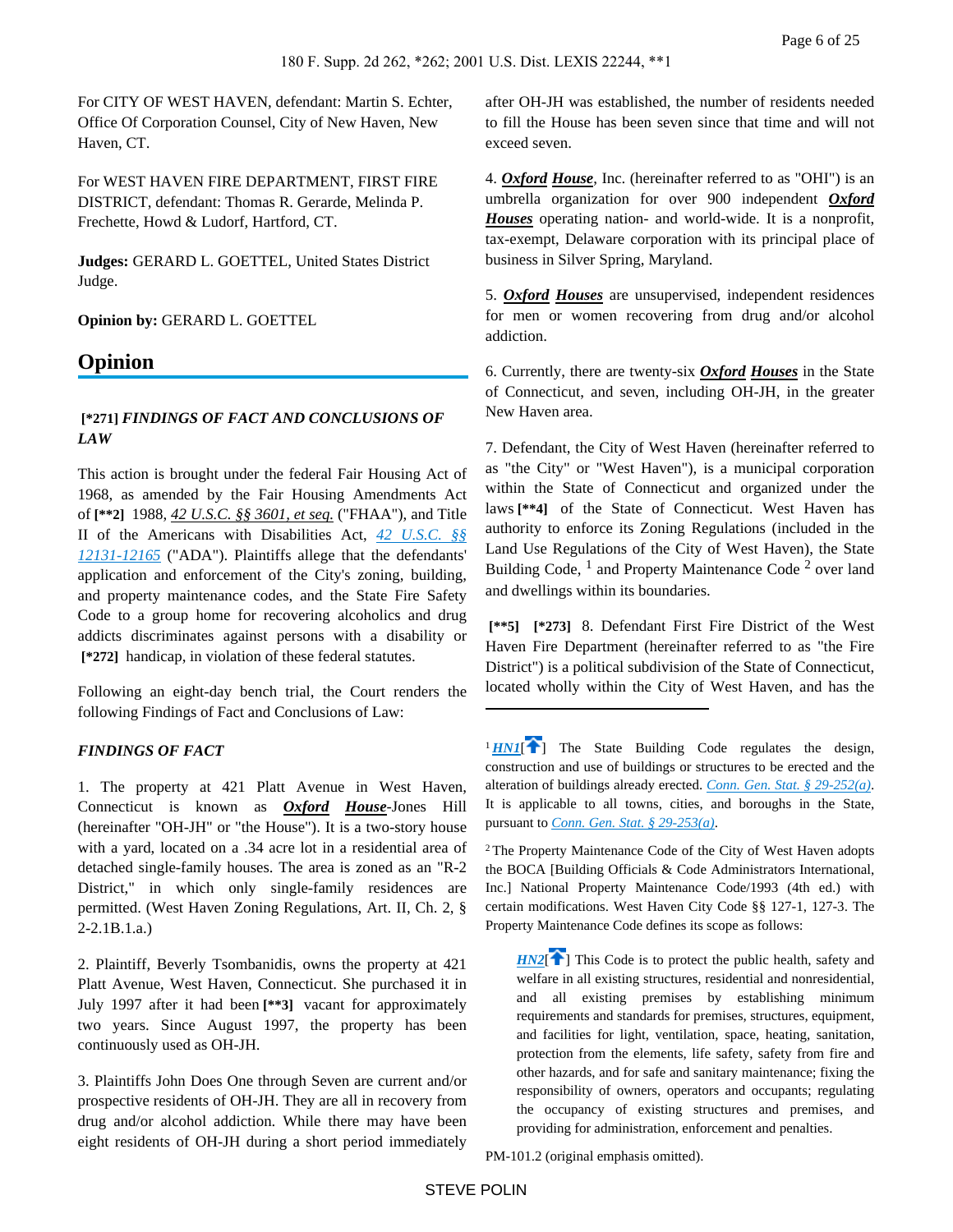For CITY OF WEST HAVEN, defendant: Martin S. Echter, Office Of Corporation Counsel, City of New Haven, New Haven, CT.

For WEST HAVEN FIRE DEPARTMENT, FIRST FIRE DISTRICT, defendant: Thomas R. Gerarde, Melinda P. Frechette, Howd & Ludorf, Hartford, CT.

**Judges:** GERARD L. GOETTEL, United States District Judge.

**Opinion by:** GERARD L. GOETTEL

# **Opinion**

# **[\*271]** *FINDINGS OF FACT AND CONCLUSIONS OF LAW*

This action is brought under the federal Fair Housing Act of 1968, as amended by the Fair Housing Amendments Act of **[\*\*2]** 1988, *42 U.S.C. §§ 3601, et seq.* ("FHAA"), and Title II of the Americans with Disabilities Act, *[42 U.S.C. §§](https://advance.lexis.com/api/document?collection=statutes-legislation&id=urn:contentItem:4YF7-GVG1-NRF4-41T6-00000-00&context=)  [12131-12165](https://advance.lexis.com/api/document?collection=statutes-legislation&id=urn:contentItem:4YF7-GVG1-NRF4-41T6-00000-00&context=)* ("ADA"). Plaintiffs allege that the defendants' application and enforcement of the City's zoning, building, and property maintenance codes, and the State Fire Safety Code to a group home for recovering alcoholics and drug addicts discriminates against persons with a disability or  **[\*272]** handicap, in violation of these federal statutes.

Following an eight-day bench trial, the Court renders the following Findings of Fact and Conclusions of Law:

## *FINDINGS OF FACT*

1. The property at 421 Platt Avenue in West Haven, Connecticut is known as *Oxford House*-Jones Hill (hereinafter "OH-JH" or "the House"). It is a two-story house with a yard, located on a .34 acre lot in a residential area of detached single-family houses. The area is zoned as an "R-2 District," in which only single-family residences are permitted. (West Haven Zoning Regulations, Art. II, Ch. 2, § 2-2.1B.1.a.)

2. Plaintiff, Beverly Tsombanidis, owns the property at 421 Platt Avenue, West Haven, Connecticut. She purchased it in July 1997 after it had been **[\*\*3]** vacant for approximately two years. Since August 1997, the property has been continuously used as OH-JH.

3. Plaintiffs John Does One through Seven are current and/or prospective residents of OH-JH. They are all in recovery from drug and/or alcohol addiction. While there may have been eight residents of OH-JH during a short period immediately

after OH-JH was established, the number of residents needed to fill the House has been seven since that time and will not exceed seven.

4. *Oxford House*, Inc. (hereinafter referred to as "OHI") is an umbrella organization for over 900 independent *Oxford Houses* operating nation- and world-wide. It is a nonprofit, tax-exempt, Delaware corporation with its principal place of business in Silver Spring, Maryland.

5. *Oxford Houses* are unsupervised, independent residences for men or women recovering from drug and/or alcohol addiction.

6. Currently, there are twenty-six *Oxford Houses* in the State of Connecticut, and seven, including OH-JH, in the greater New Haven area.

7. Defendant, the City of West Haven (hereinafter referred to as "the City" or "West Haven"), is a municipal corporation within the State of Connecticut and organized under the laws **[\*\*4]** of the State of Connecticut. West Haven has authority to enforce its Zoning Regulations (included in the Land Use Regulations of the City of West Haven), the State Building Code, <sup>1</sup> and Property Maintenance Code<sup>2</sup> over land and dwellings within its boundaries.

 **[\*\*5] [\*273]** 8. Defendant First Fire District of the West Haven Fire Department (hereinafter referred to as "the Fire District") is a political subdivision of the State of Connecticut, located wholly within the City of West Haven, and has the

<span id="page-5-0"></span> $1$ *[HN1](https://advance.lexis.com/api/document?collection=cases&id=urn:contentItem:44YH-3PM0-0038-Y2MP-00000-00&context=&link=clscc1)*<sup> $\uparrow$ </sup>] The State Building Code regulates the design, construction and use of buildings or structures to be erected and the alteration of buildings already erected. *[Conn. Gen. Stat. § 29-252\(a\)](https://advance.lexis.com/api/document?collection=statutes-legislation&id=urn:contentItem:8JC4-F9G2-8T6X-7554-00000-00&context=)*. It is applicable to all towns, cities, and boroughs in the State, pursuant to *[Conn. Gen. Stat. § 29-253\(a\)](https://advance.lexis.com/api/document?collection=statutes-legislation&id=urn:contentItem:56C1-2NG1-648C-K414-00000-00&context=)*.

<sup>2</sup>The Property Maintenance Code of the City of West Haven adopts the BOCA [Building Officials & Code Administrators International, Inc.] National Property Maintenance Code/1993 (4th ed.) with certain modifications. West Haven City Code §§ 127-1, 127-3. The Property Maintenance Code defines its scope as follows:

<span id="page-5-1"></span> $HNI$  This Code is to protect the public health, safety and welfare in all existing structures, residential and nonresidential, and all existing premises by establishing minimum requirements and standards for premises, structures, equipment, and facilities for light, ventilation, space, heating, sanitation, protection from the elements, life safety, safety from fire and other hazards, and for safe and sanitary maintenance; fixing the responsibility of owners, operators and occupants; regulating the occupancy of existing structures and premises, and providing for administration, enforcement and penalties.

PM-101.2 (original emphasis omitted).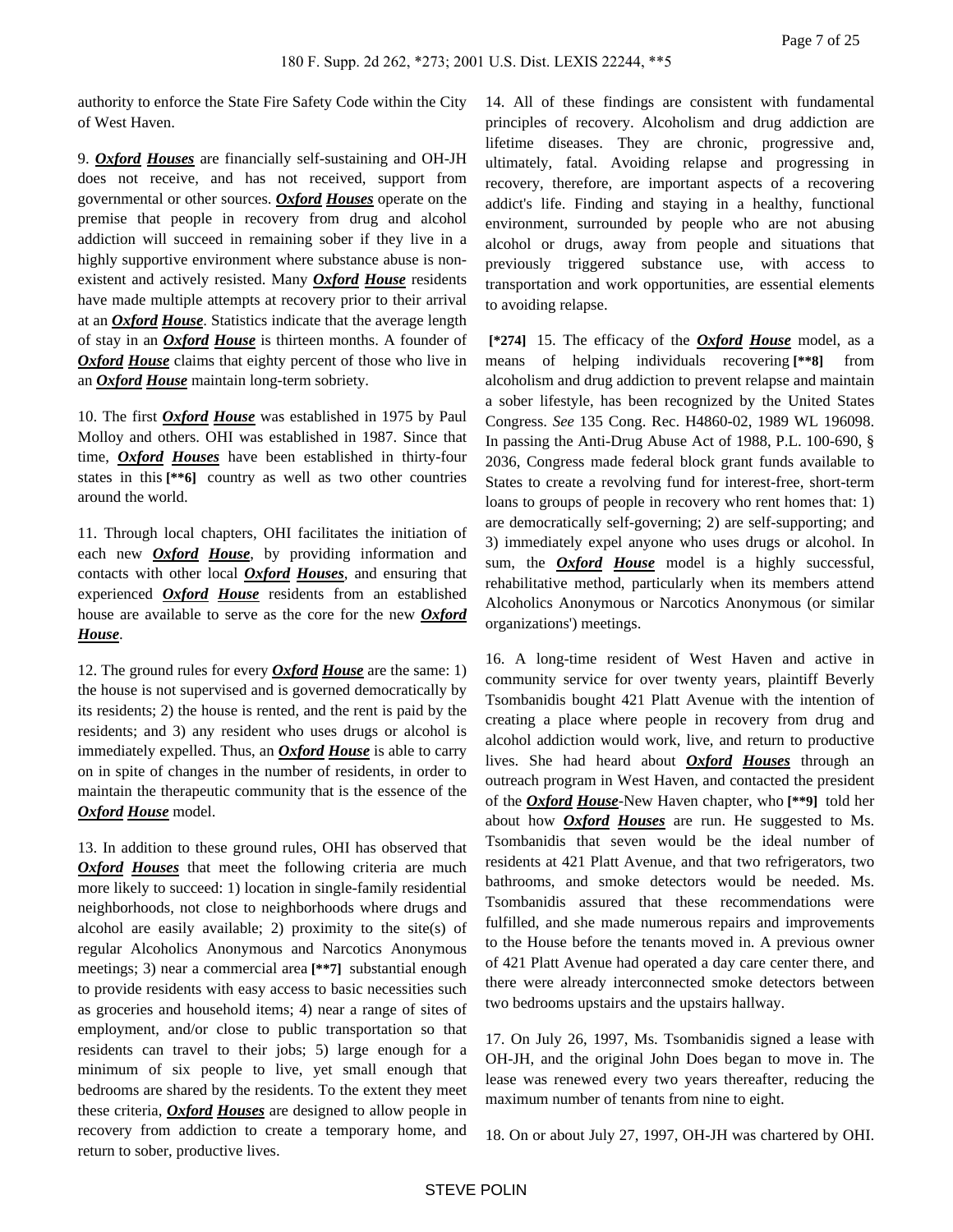authority to enforce the State Fire Safety Code within the City of West Haven.

9. *Oxford Houses* are financially self-sustaining and OH-JH does not receive, and has not received, support from governmental or other sources. *Oxford Houses* operate on the premise that people in recovery from drug and alcohol addiction will succeed in remaining sober if they live in a highly supportive environment where substance abuse is nonexistent and actively resisted. Many *Oxford House* residents have made multiple attempts at recovery prior to their arrival at an *Oxford House*. Statistics indicate that the average length of stay in an *Oxford House* is thirteen months. A founder of *Oxford House* claims that eighty percent of those who live in an *Oxford House* maintain long-term sobriety.

10. The first *Oxford House* was established in 1975 by Paul Molloy and others. OHI was established in 1987. Since that time, *Oxford Houses* have been established in thirty-four states in this **[\*\*6]** country as well as two other countries around the world.

11. Through local chapters, OHI facilitates the initiation of each new *Oxford House*, by providing information and contacts with other local *Oxford Houses*, and ensuring that experienced *Oxford House* residents from an established house are available to serve as the core for the new *Oxford House*.

12. The ground rules for every *Oxford House* are the same: 1) the house is not supervised and is governed democratically by its residents; 2) the house is rented, and the rent is paid by the residents; and 3) any resident who uses drugs or alcohol is immediately expelled. Thus, an *Oxford House* is able to carry on in spite of changes in the number of residents, in order to maintain the therapeutic community that is the essence of the *Oxford House* model.

13. In addition to these ground rules, OHI has observed that *Oxford Houses* that meet the following criteria are much more likely to succeed: 1) location in single-family residential neighborhoods, not close to neighborhoods where drugs and alcohol are easily available; 2) proximity to the site(s) of regular Alcoholics Anonymous and Narcotics Anonymous meetings; 3) near a commercial area **[\*\*7]** substantial enough to provide residents with easy access to basic necessities such as groceries and household items; 4) near a range of sites of employment, and/or close to public transportation so that residents can travel to their jobs; 5) large enough for a minimum of six people to live, yet small enough that bedrooms are shared by the residents. To the extent they meet these criteria, *Oxford Houses* are designed to allow people in recovery from addiction to create a temporary home, and return to sober, productive lives.

14. All of these findings are consistent with fundamental principles of recovery. Alcoholism and drug addiction are lifetime diseases. They are chronic, progressive and, ultimately, fatal. Avoiding relapse and progressing in recovery, therefore, are important aspects of a recovering addict's life. Finding and staying in a healthy, functional environment, surrounded by people who are not abusing alcohol or drugs, away from people and situations that previously triggered substance use, with access to transportation and work opportunities, are essential elements to avoiding relapse.

 **[\*274]** 15. The efficacy of the *Oxford House* model, as a means of helping individuals recovering **[\*\*8]** from alcoholism and drug addiction to prevent relapse and maintain a sober lifestyle, has been recognized by the United States Congress. *See* 135 Cong. Rec. H4860-02, 1989 WL 196098. In passing the Anti-Drug Abuse Act of 1988, P.L. 100-690, § 2036, Congress made federal block grant funds available to States to create a revolving fund for interest-free, short-term loans to groups of people in recovery who rent homes that: 1) are democratically self-governing; 2) are self-supporting; and 3) immediately expel anyone who uses drugs or alcohol. In sum, the *Oxford House* model is a highly successful, rehabilitative method, particularly when its members attend Alcoholics Anonymous or Narcotics Anonymous (or similar organizations') meetings.

16. A long-time resident of West Haven and active in community service for over twenty years, plaintiff Beverly Tsombanidis bought 421 Platt Avenue with the intention of creating a place where people in recovery from drug and alcohol addiction would work, live, and return to productive lives. She had heard about *Oxford Houses* through an outreach program in West Haven, and contacted the president of the *Oxford House*-New Haven chapter, who **[\*\*9]** told her about how *Oxford Houses* are run. He suggested to Ms. Tsombanidis that seven would be the ideal number of residents at 421 Platt Avenue, and that two refrigerators, two bathrooms, and smoke detectors would be needed. Ms. Tsombanidis assured that these recommendations were fulfilled, and she made numerous repairs and improvements to the House before the tenants moved in. A previous owner of 421 Platt Avenue had operated a day care center there, and there were already interconnected smoke detectors between two bedrooms upstairs and the upstairs hallway.

17. On July 26, 1997, Ms. Tsombanidis signed a lease with OH-JH, and the original John Does began to move in. The lease was renewed every two years thereafter, reducing the maximum number of tenants from nine to eight.

18. On or about July 27, 1997, OH-JH was chartered by OHI.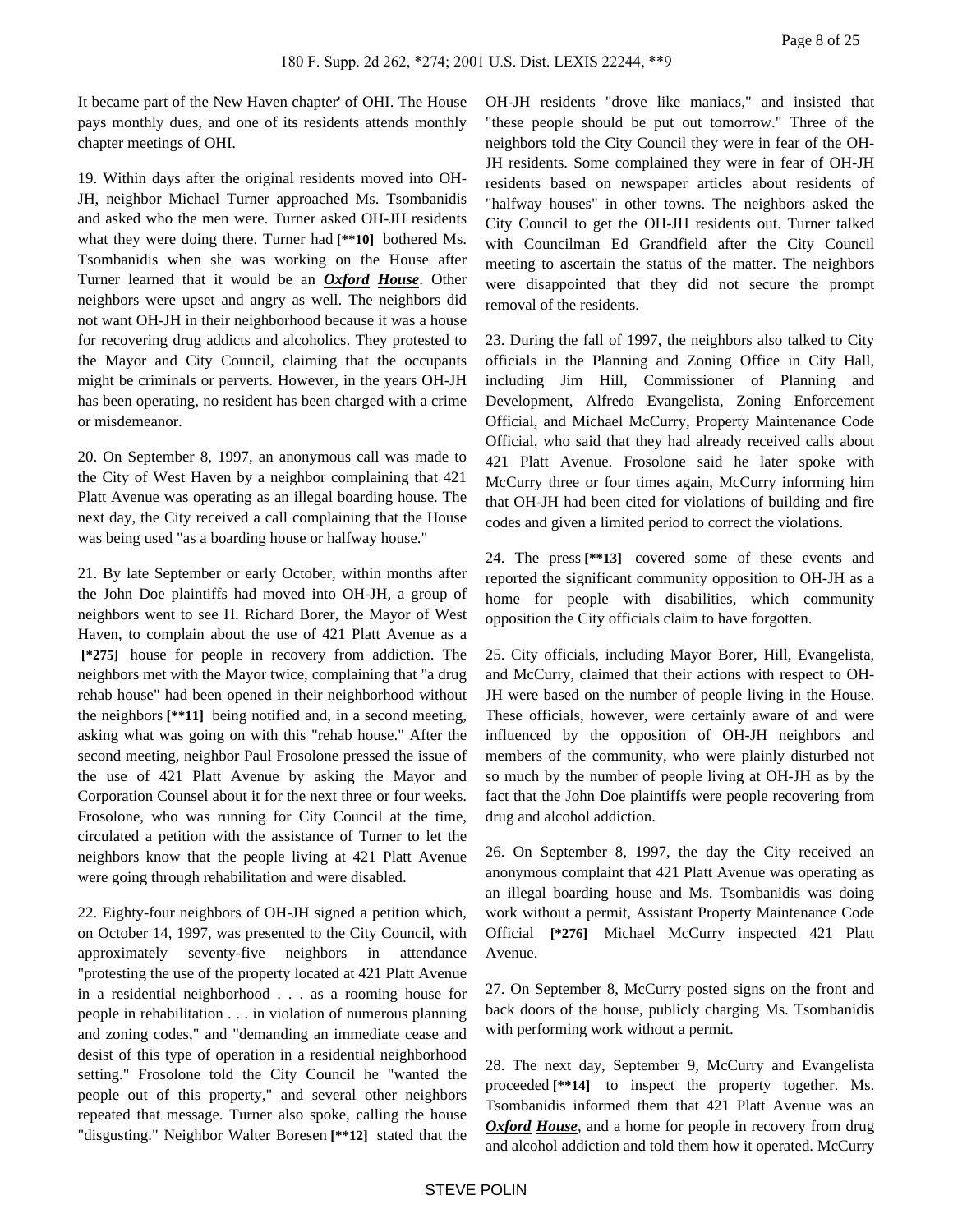It became part of the New Haven chapter' of OHI. The House pays monthly dues, and one of its residents attends monthly chapter meetings of OHI.

19. Within days after the original residents moved into OH-JH, neighbor Michael Turner approached Ms. Tsombanidis and asked who the men were. Turner asked OH-JH residents what they were doing there. Turner had **[\*\*10]** bothered Ms. Tsombanidis when she was working on the House after Turner learned that it would be an *Oxford House*. Other neighbors were upset and angry as well. The neighbors did not want OH-JH in their neighborhood because it was a house for recovering drug addicts and alcoholics. They protested to the Mayor and City Council, claiming that the occupants might be criminals or perverts. However, in the years OH-JH has been operating, no resident has been charged with a crime or misdemeanor.

20. On September 8, 1997, an anonymous call was made to the City of West Haven by a neighbor complaining that 421 Platt Avenue was operating as an illegal boarding house. The next day, the City received a call complaining that the House was being used "as a boarding house or halfway house."

21. By late September or early October, within months after the John Doe plaintiffs had moved into OH-JH, a group of neighbors went to see H. Richard Borer, the Mayor of West Haven, to complain about the use of 421 Platt Avenue as a  **[\*275]** house for people in recovery from addiction. The neighbors met with the Mayor twice, complaining that "a drug rehab house" had been opened in their neighborhood without the neighbors **[\*\*11]** being notified and, in a second meeting, asking what was going on with this "rehab house." After the second meeting, neighbor Paul Frosolone pressed the issue of the use of 421 Platt Avenue by asking the Mayor and Corporation Counsel about it for the next three or four weeks. Frosolone, who was running for City Council at the time, circulated a petition with the assistance of Turner to let the neighbors know that the people living at 421 Platt Avenue were going through rehabilitation and were disabled.

22. Eighty-four neighbors of OH-JH signed a petition which, on October 14, 1997, was presented to the City Council, with approximately seventy-five neighbors in attendance "protesting the use of the property located at 421 Platt Avenue in a residential neighborhood . . . as a rooming house for people in rehabilitation . . . in violation of numerous planning and zoning codes," and "demanding an immediate cease and desist of this type of operation in a residential neighborhood setting." Frosolone told the City Council he "wanted the people out of this property," and several other neighbors repeated that message. Turner also spoke, calling the house "disgusting." Neighbor Walter Boresen **[\*\*12]** stated that the

OH-JH residents "drove like maniacs," and insisted that "these people should be put out tomorrow." Three of the neighbors told the City Council they were in fear of the OH-JH residents. Some complained they were in fear of OH-JH residents based on newspaper articles about residents of "halfway houses" in other towns. The neighbors asked the City Council to get the OH-JH residents out. Turner talked with Councilman Ed Grandfield after the City Council meeting to ascertain the status of the matter. The neighbors were disappointed that they did not secure the prompt removal of the residents.

23. During the fall of 1997, the neighbors also talked to City officials in the Planning and Zoning Office in City Hall, including Jim Hill, Commissioner of Planning and Development, Alfredo Evangelista, Zoning Enforcement Official, and Michael McCurry, Property Maintenance Code Official, who said that they had already received calls about 421 Platt Avenue. Frosolone said he later spoke with McCurry three or four times again, McCurry informing him that OH-JH had been cited for violations of building and fire codes and given a limited period to correct the violations.

24. The press **[\*\*13]** covered some of these events and reported the significant community opposition to OH-JH as a home for people with disabilities, which community opposition the City officials claim to have forgotten.

25. City officials, including Mayor Borer, Hill, Evangelista, and McCurry, claimed that their actions with respect to OH-JH were based on the number of people living in the House. These officials, however, were certainly aware of and were influenced by the opposition of OH-JH neighbors and members of the community, who were plainly disturbed not so much by the number of people living at OH-JH as by the fact that the John Doe plaintiffs were people recovering from drug and alcohol addiction.

26. On September 8, 1997, the day the City received an anonymous complaint that 421 Platt Avenue was operating as an illegal boarding house and Ms. Tsombanidis was doing work without a permit, Assistant Property Maintenance Code Official **[\*276]** Michael McCurry inspected 421 Platt Avenue.

27. On September 8, McCurry posted signs on the front and back doors of the house, publicly charging Ms. Tsombanidis with performing work without a permit.

28. The next day, September 9, McCurry and Evangelista proceeded **[\*\*14]** to inspect the property together. Ms. Tsombanidis informed them that 421 Platt Avenue was an *Oxford House*, and a home for people in recovery from drug and alcohol addiction and told them how it operated. McCurry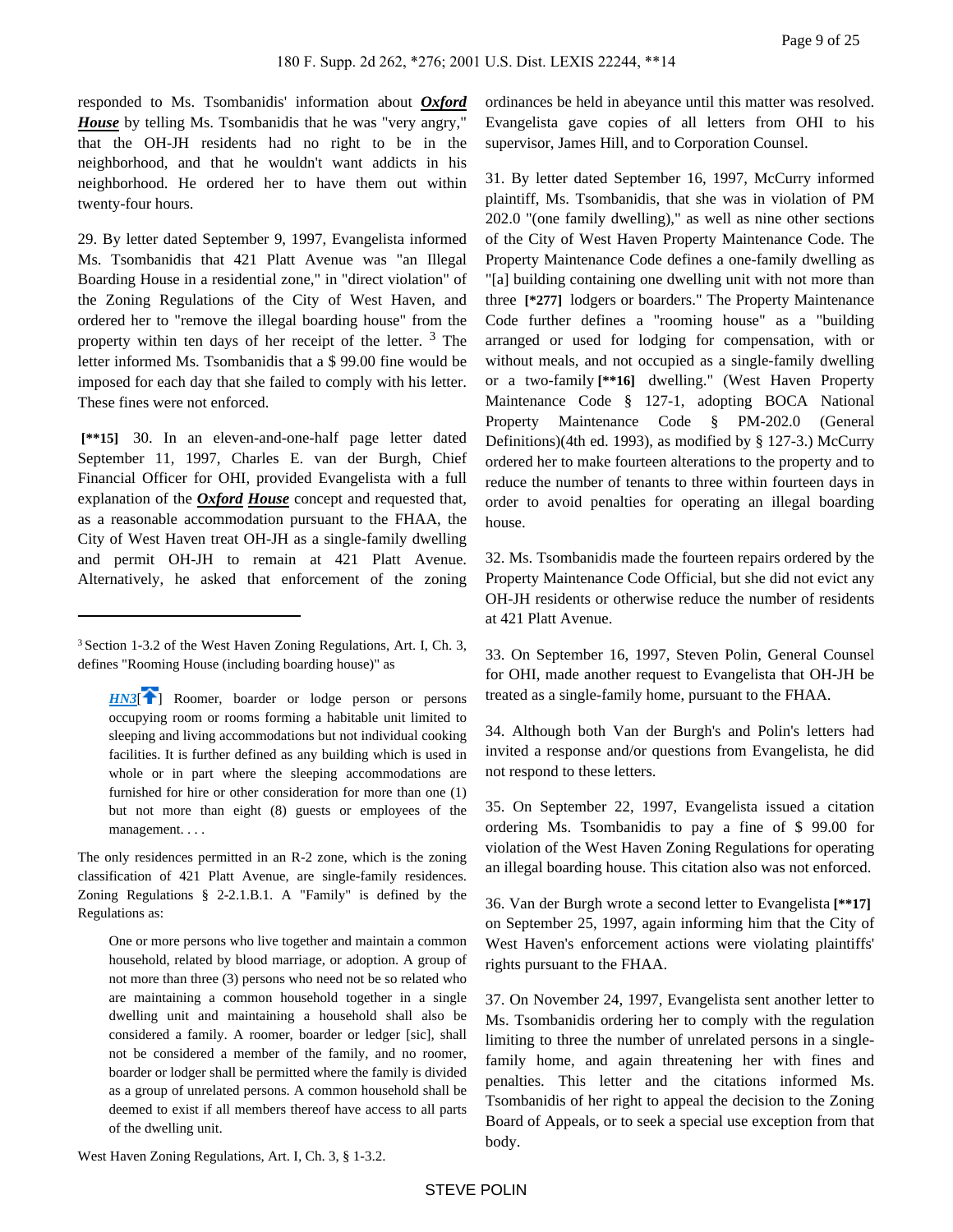responded to Ms. Tsombanidis' information about *Oxford House* by telling Ms. Tsombanidis that he was "very angry," that the OH-JH residents had no right to be in the neighborhood, and that he wouldn't want addicts in his neighborhood. He ordered her to have them out within twenty-four hours.

29. By letter dated September 9, 1997, Evangelista informed Ms. Tsombanidis that 421 Platt Avenue was "an Illegal Boarding House in a residential zone," in "direct violation" of the Zoning Regulations of the City of West Haven, and ordered her to "remove the illegal boarding house" from the property within ten days of her receipt of the letter.<sup>3</sup> The letter informed Ms. Tsombanidis that a \$ 99.00 fine would be imposed for each day that she failed to comply with his letter. These fines were not enforced.

 **[\*\*15]** 30. In an eleven-and-one-half page letter dated September 11, 1997, Charles E. van der Burgh, Chief Financial Officer for OHI, provided Evangelista with a full explanation of the *Oxford House* concept and requested that, as a reasonable accommodation pursuant to the FHAA, the City of West Haven treat OH-JH as a single-family dwelling and permit OH-JH to remain at 421 Platt Avenue. Alternatively, he asked that enforcement of the zoning

ordinances be held in abeyance until this matter was resolved. Evangelista gave copies of all letters from OHI to his supervisor, James Hill, and to Corporation Counsel.

31. By letter dated September 16, 1997, McCurry informed plaintiff, Ms. Tsombanidis, that she was in violation of PM 202.0 "(one family dwelling)," as well as nine other sections of the City of West Haven Property Maintenance Code. The Property Maintenance Code defines a one-family dwelling as "[a] building containing one dwelling unit with not more than three **[\*277]** lodgers or boarders." The Property Maintenance Code further defines a "rooming house" as a "building arranged or used for lodging for compensation, with or without meals, and not occupied as a single-family dwelling or a two-family **[\*\*16]** dwelling." (West Haven Property Maintenance Code § 127-1, adopting BOCA National Property Maintenance Code § PM-202.0 (General Definitions)(4th ed. 1993), as modified by § 127-3.) McCurry ordered her to make fourteen alterations to the property and to reduce the number of tenants to three within fourteen days in order to avoid penalties for operating an illegal boarding house.

32. Ms. Tsombanidis made the fourteen repairs ordered by the Property Maintenance Code Official, but she did not evict any OH-JH residents or otherwise reduce the number of residents at 421 Platt Avenue.

33. On September 16, 1997, Steven Polin, General Counsel for OHI, made another request to Evangelista that OH-JH be treated as a single-family home, pursuant to the FHAA.

34. Although both Van der Burgh's and Polin's letters had invited a response and/or questions from Evangelista, he did not respond to these letters.

35. On September 22, 1997, Evangelista issued a citation ordering Ms. Tsombanidis to pay a fine of \$ 99.00 for violation of the West Haven Zoning Regulations for operating an illegal boarding house. This citation also was not enforced.

36. Van der Burgh wrote a second letter to Evangelista **[\*\*17]**  on September 25, 1997, again informing him that the City of West Haven's enforcement actions were violating plaintiffs' rights pursuant to the FHAA.

West Haven Zoning Regulations, Art. I, Ch. 3, § 1-3.2.

<sup>3</sup>Section 1-3.2 of the West Haven Zoning Regulations, Art. I, Ch. 3, defines "Rooming House (including boarding house)" as

<span id="page-8-0"></span>*[HN3](https://advance.lexis.com/api/document?collection=cases&id=urn:contentItem:44YH-3PM0-0038-Y2MP-00000-00&context=&link=clscc3)*<sup>[ $\uparrow$ </sup>] Roomer, boarder or lodge person or persons occupying room or rooms forming a habitable unit limited to sleeping and living accommodations but not individual cooking facilities. It is further defined as any building which is used in whole or in part where the sleeping accommodations are furnished for hire or other consideration for more than one (1) but not more than eight (8) guests or employees of the management. . . .

The only residences permitted in an R-2 zone, which is the zoning classification of 421 Platt Avenue, are single-family residences. Zoning Regulations § 2-2.1.B.1. A "Family" is defined by the Regulations as:

One or more persons who live together and maintain a common household, related by blood marriage, or adoption. A group of not more than three (3) persons who need not be so related who are maintaining a common household together in a single dwelling unit and maintaining a household shall also be considered a family. A roomer, boarder or ledger [sic], shall not be considered a member of the family, and no roomer, boarder or lodger shall be permitted where the family is divided as a group of unrelated persons. A common household shall be deemed to exist if all members thereof have access to all parts of the dwelling unit.

<sup>37.</sup> On November 24, 1997, Evangelista sent another letter to Ms. Tsombanidis ordering her to comply with the regulation limiting to three the number of unrelated persons in a singlefamily home, and again threatening her with fines and penalties. This letter and the citations informed Ms. Tsombanidis of her right to appeal the decision to the Zoning Board of Appeals, or to seek a special use exception from that body.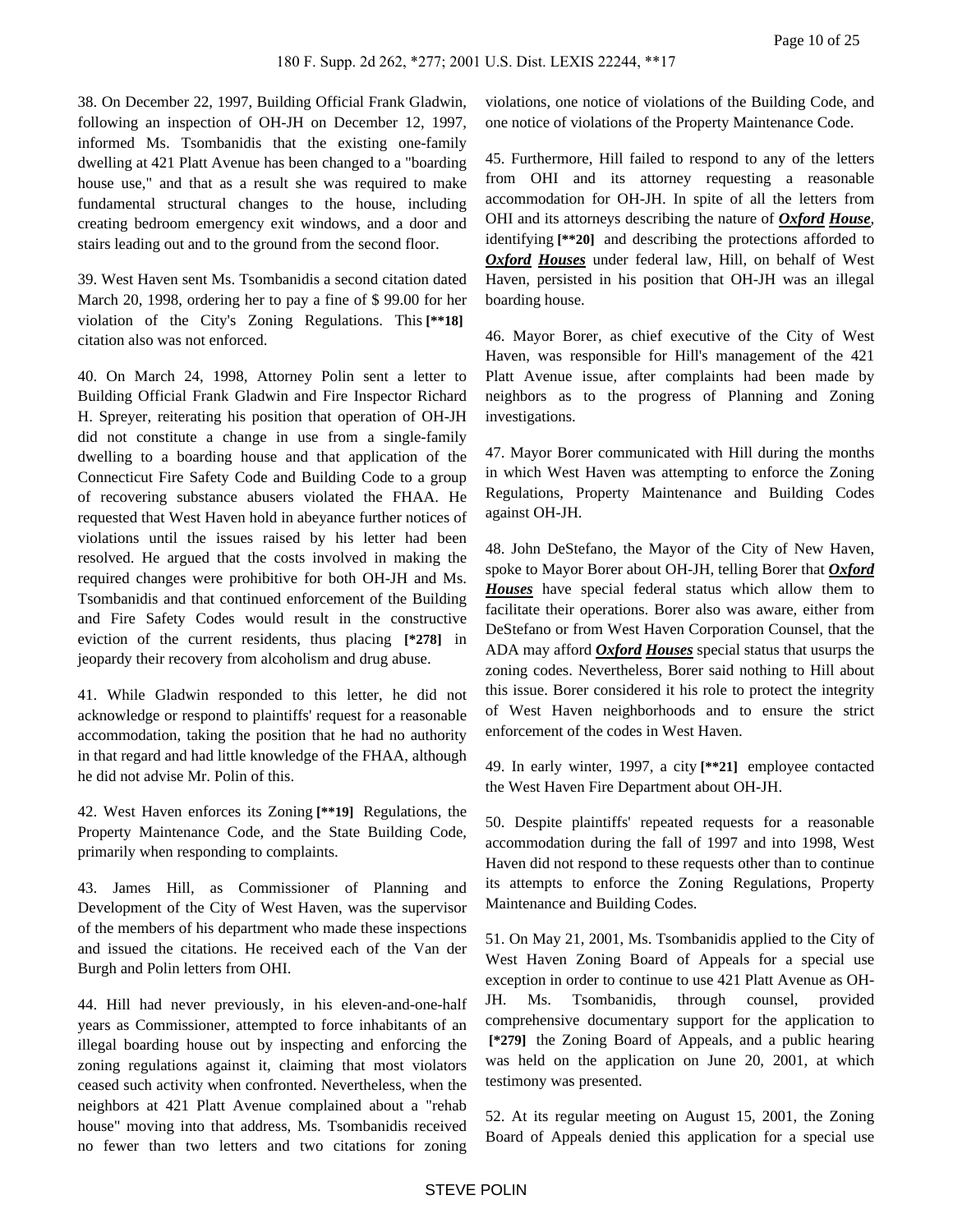38. On December 22, 1997, Building Official Frank Gladwin, following an inspection of OH-JH on December 12, 1997, informed Ms. Tsombanidis that the existing one-family dwelling at 421 Platt Avenue has been changed to a "boarding house use," and that as a result she was required to make fundamental structural changes to the house, including creating bedroom emergency exit windows, and a door and stairs leading out and to the ground from the second floor.

39. West Haven sent Ms. Tsombanidis a second citation dated March 20, 1998, ordering her to pay a fine of \$ 99.00 for her violation of the City's Zoning Regulations. This **[\*\*18]**  citation also was not enforced.

40. On March 24, 1998, Attorney Polin sent a letter to Building Official Frank Gladwin and Fire Inspector Richard H. Spreyer, reiterating his position that operation of OH-JH did not constitute a change in use from a single-family dwelling to a boarding house and that application of the Connecticut Fire Safety Code and Building Code to a group of recovering substance abusers violated the FHAA. He requested that West Haven hold in abeyance further notices of violations until the issues raised by his letter had been resolved. He argued that the costs involved in making the required changes were prohibitive for both OH-JH and Ms. Tsombanidis and that continued enforcement of the Building and Fire Safety Codes would result in the constructive eviction of the current residents, thus placing **[\*278]** in jeopardy their recovery from alcoholism and drug abuse.

41. While Gladwin responded to this letter, he did not acknowledge or respond to plaintiffs' request for a reasonable accommodation, taking the position that he had no authority in that regard and had little knowledge of the FHAA, although he did not advise Mr. Polin of this.

42. West Haven enforces its Zoning **[\*\*19]** Regulations, the Property Maintenance Code, and the State Building Code, primarily when responding to complaints.

43. James Hill, as Commissioner of Planning and Development of the City of West Haven, was the supervisor of the members of his department who made these inspections and issued the citations. He received each of the Van der Burgh and Polin letters from OHI.

44. Hill had never previously, in his eleven-and-one-half years as Commissioner, attempted to force inhabitants of an illegal boarding house out by inspecting and enforcing the zoning regulations against it, claiming that most violators ceased such activity when confronted. Nevertheless, when the neighbors at 421 Platt Avenue complained about a "rehab house" moving into that address, Ms. Tsombanidis received no fewer than two letters and two citations for zoning violations, one notice of violations of the Building Code, and one notice of violations of the Property Maintenance Code.

45. Furthermore, Hill failed to respond to any of the letters from OHI and its attorney requesting a reasonable accommodation for OH-JH. In spite of all the letters from OHI and its attorneys describing the nature of *Oxford House*, identifying **[\*\*20]** and describing the protections afforded to *Oxford Houses* under federal law, Hill, on behalf of West Haven, persisted in his position that OH-JH was an illegal boarding house.

46. Mayor Borer, as chief executive of the City of West Haven, was responsible for Hill's management of the 421 Platt Avenue issue, after complaints had been made by neighbors as to the progress of Planning and Zoning investigations.

47. Mayor Borer communicated with Hill during the months in which West Haven was attempting to enforce the Zoning Regulations, Property Maintenance and Building Codes against OH-JH.

48. John DeStefano, the Mayor of the City of New Haven, spoke to Mayor Borer about OH-JH, telling Borer that *Oxford Houses* have special federal status which allow them to facilitate their operations. Borer also was aware, either from DeStefano or from West Haven Corporation Counsel, that the ADA may afford *Oxford Houses* special status that usurps the zoning codes. Nevertheless, Borer said nothing to Hill about this issue. Borer considered it his role to protect the integrity of West Haven neighborhoods and to ensure the strict enforcement of the codes in West Haven.

49. In early winter, 1997, a city **[\*\*21]** employee contacted the West Haven Fire Department about OH-JH.

50. Despite plaintiffs' repeated requests for a reasonable accommodation during the fall of 1997 and into 1998, West Haven did not respond to these requests other than to continue its attempts to enforce the Zoning Regulations, Property Maintenance and Building Codes.

51. On May 21, 2001, Ms. Tsombanidis applied to the City of West Haven Zoning Board of Appeals for a special use exception in order to continue to use 421 Platt Avenue as OH-JH. Ms. Tsombanidis, through counsel, provided comprehensive documentary support for the application to  **[\*279]** the Zoning Board of Appeals, and a public hearing was held on the application on June 20, 2001, at which testimony was presented.

52. At its regular meeting on August 15, 2001, the Zoning Board of Appeals denied this application for a special use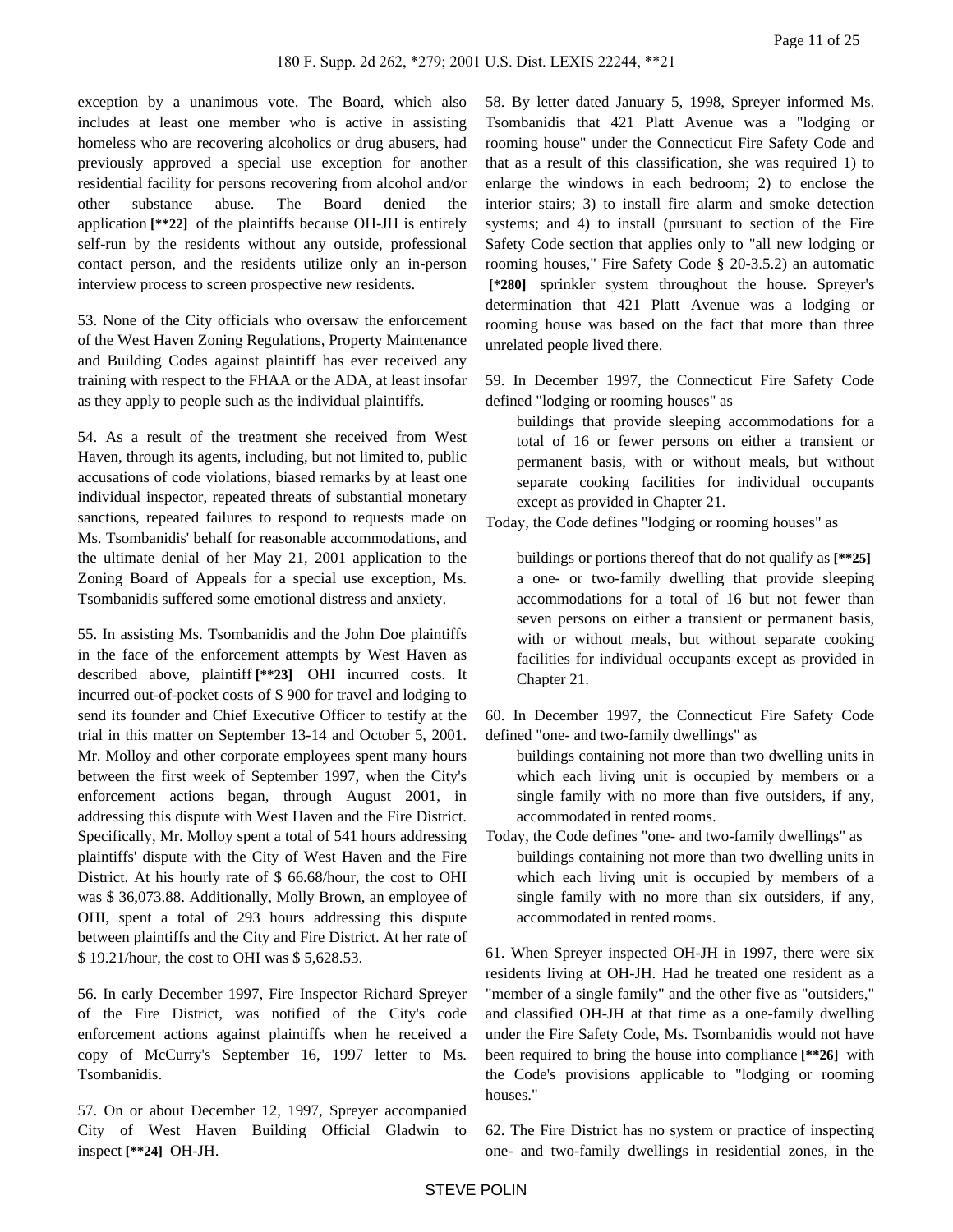exception by a unanimous vote. The Board, which also includes at least one member who is active in assisting homeless who are recovering alcoholics or drug abusers, had previously approved a special use exception for another residential facility for persons recovering from alcohol and/or other substance abuse. The Board denied the application **[\*\*22]** of the plaintiffs because OH-JH is entirely self-run by the residents without any outside, professional contact person, and the residents utilize only an in-person interview process to screen prospective new residents.

53. None of the City officials who oversaw the enforcement of the West Haven Zoning Regulations, Property Maintenance and Building Codes against plaintiff has ever received any training with respect to the FHAA or the ADA, at least insofar as they apply to people such as the individual plaintiffs.

54. As a result of the treatment she received from West Haven, through its agents, including, but not limited to, public accusations of code violations, biased remarks by at least one individual inspector, repeated threats of substantial monetary sanctions, repeated failures to respond to requests made on Ms. Tsombanidis' behalf for reasonable accommodations, and the ultimate denial of her May 21, 2001 application to the Zoning Board of Appeals for a special use exception, Ms. Tsombanidis suffered some emotional distress and anxiety.

55. In assisting Ms. Tsombanidis and the John Doe plaintiffs in the face of the enforcement attempts by West Haven as described above, plaintiff **[\*\*23]** OHI incurred costs. It incurred out-of-pocket costs of \$ 900 for travel and lodging to send its founder and Chief Executive Officer to testify at the trial in this matter on September 13-14 and October 5, 2001. Mr. Molloy and other corporate employees spent many hours between the first week of September 1997, when the City's enforcement actions began, through August 2001, in addressing this dispute with West Haven and the Fire District. Specifically, Mr. Molloy spent a total of 541 hours addressing plaintiffs' dispute with the City of West Haven and the Fire District. At his hourly rate of \$ 66.68/hour, the cost to OHI was \$ 36,073.88. Additionally, Molly Brown, an employee of OHI, spent a total of 293 hours addressing this dispute between plaintiffs and the City and Fire District. At her rate of \$ 19.21/hour, the cost to OHI was \$ 5,628.53.

56. In early December 1997, Fire Inspector Richard Spreyer of the Fire District, was notified of the City's code enforcement actions against plaintiffs when he received a copy of McCurry's September 16, 1997 letter to Ms. Tsombanidis.

57. On or about December 12, 1997, Spreyer accompanied City of West Haven Building Official Gladwin to inspect **[\*\*24]** OH-JH.

58. By letter dated January 5, 1998, Spreyer informed Ms. Tsombanidis that 421 Platt Avenue was a "lodging or rooming house" under the Connecticut Fire Safety Code and that as a result of this classification, she was required 1) to enlarge the windows in each bedroom; 2) to enclose the interior stairs; 3) to install fire alarm and smoke detection systems; and 4) to install (pursuant to section of the Fire Safety Code section that applies only to "all new lodging or rooming houses," Fire Safety Code § 20-3.5.2) an automatic  **[\*280]** sprinkler system throughout the house. Spreyer's determination that 421 Platt Avenue was a lodging or rooming house was based on the fact that more than three unrelated people lived there.

59. In December 1997, the Connecticut Fire Safety Code defined "lodging or rooming houses" as

buildings that provide sleeping accommodations for a total of 16 or fewer persons on either a transient or permanent basis, with or without meals, but without separate cooking facilities for individual occupants except as provided in Chapter 21.

Today, the Code defines "lodging or rooming houses" as

buildings or portions thereof that do not qualify as **[\*\*25]**  a one- or two-family dwelling that provide sleeping accommodations for a total of 16 but not fewer than seven persons on either a transient or permanent basis, with or without meals, but without separate cooking facilities for individual occupants except as provided in Chapter 21.

60. In December 1997, the Connecticut Fire Safety Code defined "one- and two-family dwellings" as

buildings containing not more than two dwelling units in which each living unit is occupied by members or a single family with no more than five outsiders, if any, accommodated in rented rooms.

Today, the Code defines "one- and two-family dwellings" as buildings containing not more than two dwelling units in which each living unit is occupied by members of a single family with no more than six outsiders, if any, accommodated in rented rooms.

61. When Spreyer inspected OH-JH in 1997, there were six residents living at OH-JH. Had he treated one resident as a "member of a single family" and the other five as "outsiders," and classified OH-JH at that time as a one-family dwelling under the Fire Safety Code, Ms. Tsombanidis would not have been required to bring the house into compliance **[\*\*26]** with the Code's provisions applicable to "lodging or rooming houses."

62. The Fire District has no system or practice of inspecting one- and two-family dwellings in residential zones, in the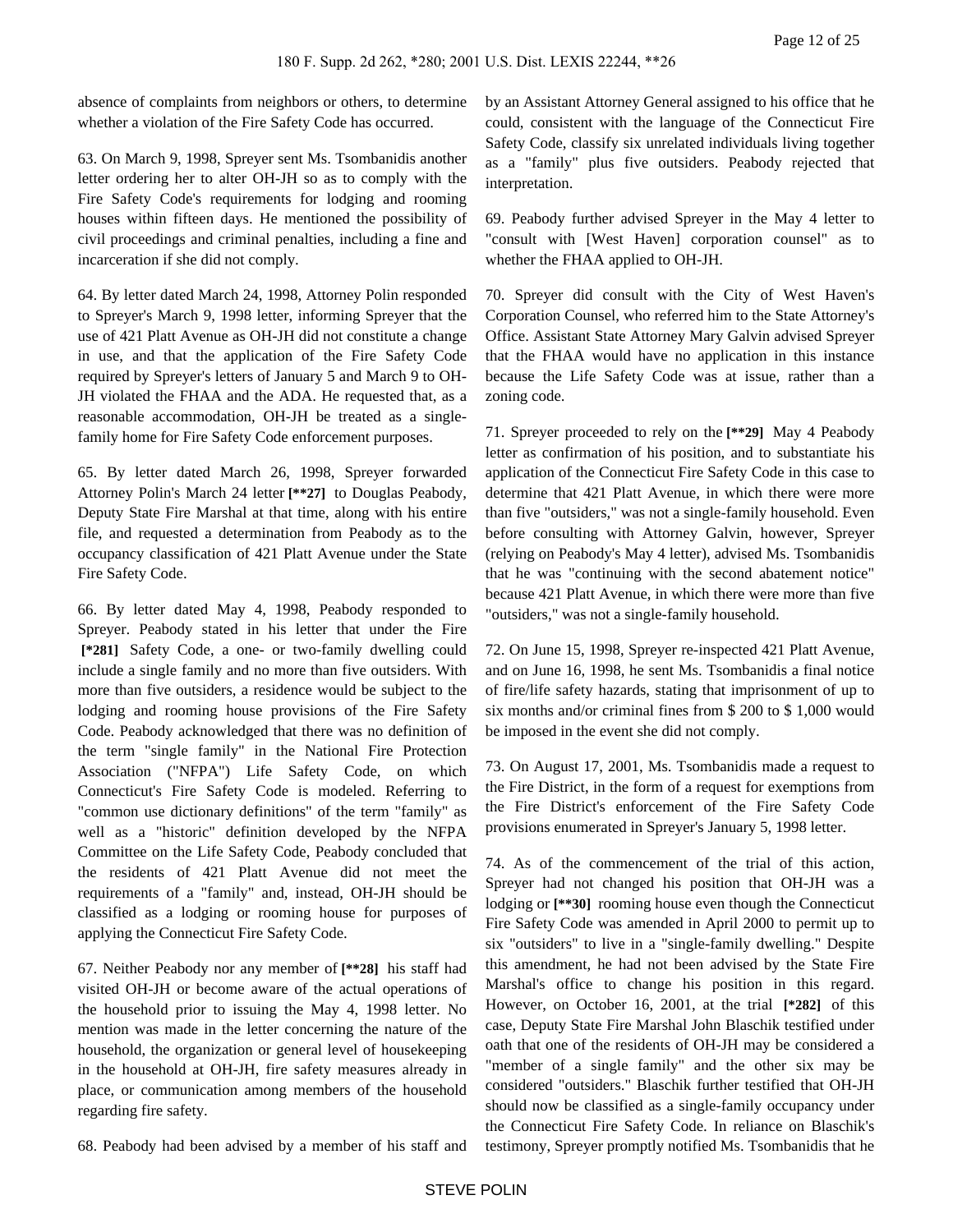absence of complaints from neighbors or others, to determine whether a violation of the Fire Safety Code has occurred.

63. On March 9, 1998, Spreyer sent Ms. Tsombanidis another letter ordering her to alter OH-JH so as to comply with the Fire Safety Code's requirements for lodging and rooming houses within fifteen days. He mentioned the possibility of civil proceedings and criminal penalties, including a fine and incarceration if she did not comply.

64. By letter dated March 24, 1998, Attorney Polin responded to Spreyer's March 9, 1998 letter, informing Spreyer that the use of 421 Platt Avenue as OH-JH did not constitute a change in use, and that the application of the Fire Safety Code required by Spreyer's letters of January 5 and March 9 to OH-JH violated the FHAA and the ADA. He requested that, as a reasonable accommodation, OH-JH be treated as a singlefamily home for Fire Safety Code enforcement purposes.

65. By letter dated March 26, 1998, Spreyer forwarded Attorney Polin's March 24 letter **[\*\*27]** to Douglas Peabody, Deputy State Fire Marshal at that time, along with his entire file, and requested a determination from Peabody as to the occupancy classification of 421 Platt Avenue under the State Fire Safety Code.

66. By letter dated May 4, 1998, Peabody responded to Spreyer. Peabody stated in his letter that under the Fire  **[\*281]** Safety Code, a one- or two-family dwelling could include a single family and no more than five outsiders. With more than five outsiders, a residence would be subject to the lodging and rooming house provisions of the Fire Safety Code. Peabody acknowledged that there was no definition of the term "single family" in the National Fire Protection Association ("NFPA") Life Safety Code, on which Connecticut's Fire Safety Code is modeled. Referring to "common use dictionary definitions" of the term "family" as well as a "historic" definition developed by the NFPA Committee on the Life Safety Code, Peabody concluded that the residents of 421 Platt Avenue did not meet the requirements of a "family" and, instead, OH-JH should be classified as a lodging or rooming house for purposes of applying the Connecticut Fire Safety Code.

67. Neither Peabody nor any member of **[\*\*28]** his staff had visited OH-JH or become aware of the actual operations of the household prior to issuing the May 4, 1998 letter. No mention was made in the letter concerning the nature of the household, the organization or general level of housekeeping in the household at OH-JH, fire safety measures already in place, or communication among members of the household regarding fire safety.

68. Peabody had been advised by a member of his staff and

by an Assistant Attorney General assigned to his office that he could, consistent with the language of the Connecticut Fire Safety Code, classify six unrelated individuals living together as a "family" plus five outsiders. Peabody rejected that interpretation.

69. Peabody further advised Spreyer in the May 4 letter to "consult with [West Haven] corporation counsel" as to whether the FHAA applied to OH-JH.

70. Spreyer did consult with the City of West Haven's Corporation Counsel, who referred him to the State Attorney's Office. Assistant State Attorney Mary Galvin advised Spreyer that the FHAA would have no application in this instance because the Life Safety Code was at issue, rather than a zoning code.

71. Spreyer proceeded to rely on the **[\*\*29]** May 4 Peabody letter as confirmation of his position, and to substantiate his application of the Connecticut Fire Safety Code in this case to determine that 421 Platt Avenue, in which there were more than five "outsiders," was not a single-family household. Even before consulting with Attorney Galvin, however, Spreyer (relying on Peabody's May 4 letter), advised Ms. Tsombanidis that he was "continuing with the second abatement notice" because 421 Platt Avenue, in which there were more than five "outsiders," was not a single-family household.

72. On June 15, 1998, Spreyer re-inspected 421 Platt Avenue, and on June 16, 1998, he sent Ms. Tsombanidis a final notice of fire/life safety hazards, stating that imprisonment of up to six months and/or criminal fines from \$ 200 to \$ 1,000 would be imposed in the event she did not comply.

73. On August 17, 2001, Ms. Tsombanidis made a request to the Fire District, in the form of a request for exemptions from the Fire District's enforcement of the Fire Safety Code provisions enumerated in Spreyer's January 5, 1998 letter.

74. As of the commencement of the trial of this action, Spreyer had not changed his position that OH-JH was a lodging or **[\*\*30]** rooming house even though the Connecticut Fire Safety Code was amended in April 2000 to permit up to six "outsiders" to live in a "single-family dwelling." Despite this amendment, he had not been advised by the State Fire Marshal's office to change his position in this regard. However, on October 16, 2001, at the trial **[\*282]** of this case, Deputy State Fire Marshal John Blaschik testified under oath that one of the residents of OH-JH may be considered a "member of a single family" and the other six may be considered "outsiders." Blaschik further testified that OH-JH should now be classified as a single-family occupancy under the Connecticut Fire Safety Code. In reliance on Blaschik's testimony, Spreyer promptly notified Ms. Tsombanidis that he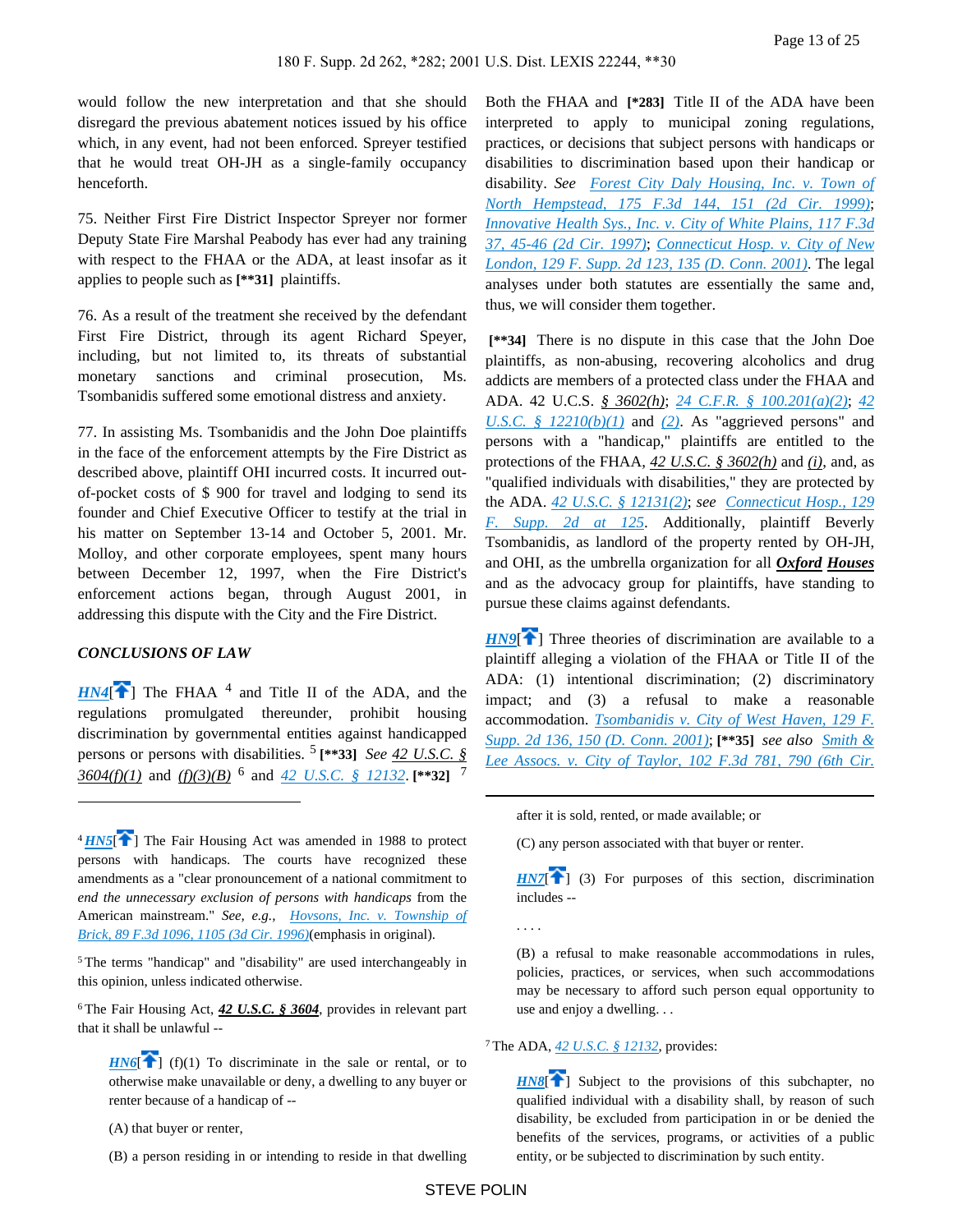would follow the new interpretation and that she should disregard the previous abatement notices issued by his office which, in any event, had not been enforced. Spreyer testified that he would treat OH-JH as a single-family occupancy henceforth.

75. Neither First Fire District Inspector Spreyer nor former Deputy State Fire Marshal Peabody has ever had any training with respect to the FHAA or the ADA, at least insofar as it applies to people such as **[\*\*31]** plaintiffs.

76. As a result of the treatment she received by the defendant First Fire District, through its agent Richard Speyer, including, but not limited to, its threats of substantial monetary sanctions and criminal prosecution, Ms. Tsombanidis suffered some emotional distress and anxiety.

77. In assisting Ms. Tsombanidis and the John Doe plaintiffs in the face of the enforcement attempts by the Fire District as described above, plaintiff OHI incurred costs. It incurred outof-pocket costs of \$ 900 for travel and lodging to send its founder and Chief Executive Officer to testify at the trial in his matter on September 13-14 and October 5, 2001. Mr. Molloy, and other corporate employees, spent many hours between December 12, 1997, when the Fire District's enforcement actions began, through August 2001, in addressing this dispute with the City and the Fire District.

## <span id="page-12-0"></span>*CONCLUSIONS OF LAW*

 $HN4$ <sup> $\uparrow$ </sup>] The FHAA<sup>4</sup> and Title II of the ADA, and the regulations promulgated thereunder, prohibit housing discrimination by governmental entities against handicapped persons or persons with disabilities. <sup>5</sup>  **[\*\*33]** *See 42 U.S.C. § 3604(f)(1)* and *(f)(3)(B)* <sup>6</sup> and *[42 U.S.C. § 12132](https://advance.lexis.com/api/document?collection=statutes-legislation&id=urn:contentItem:4YF7-GN41-NRF4-40JX-00000-00&context=)*. **[\*\*32]** <sup>7</sup>

<sup>5</sup>The terms "handicap" and "disability" are used interchangeably in this opinion, unless indicated otherwise.

<sup>6</sup>The Fair Housing Act, *42 U.S.C. § 3604*, provides in relevant part that it shall be unlawful --

<span id="page-12-2"></span> $H\left[\widehat{H}\right]$  (f)(1) To discriminate in the sale or rental, or to otherwise make unavailable or deny, a dwelling to any buyer or renter because of a handicap of --

(A) that buyer or renter,

(B) a person residing in or intending to reside in that dwelling

Both the FHAA and **[\*283]** Title II of the ADA have been interpreted to apply to municipal zoning regulations, practices, or decisions that subject persons with handicaps or disabilities to discrimination based upon their handicap or disability. *See [Forest City Daly Housing, Inc. v. Town of](https://advance.lexis.com/api/document?collection=cases&id=urn:contentItem:3W8Y-GDW0-0038-X53X-00000-00&context=)  [North Hempstead, 175 F.3d 144, 151 \(2d Cir. 1999\)](https://advance.lexis.com/api/document?collection=cases&id=urn:contentItem:3W8Y-GDW0-0038-X53X-00000-00&context=)*; *[Innovative Health Sys., Inc. v. City of White Plains, 117 F.3d](https://advance.lexis.com/api/document?collection=cases&id=urn:contentItem:3S4X-FSV0-00B1-D295-00000-00&context=)  [37, 45-46 \(2d Cir. 1997\)](https://advance.lexis.com/api/document?collection=cases&id=urn:contentItem:3S4X-FSV0-00B1-D295-00000-00&context=)*; *[Connecticut Hosp. v. City of New](https://advance.lexis.com/api/document?collection=cases&id=urn:contentItem:42F4-VD20-0038-Y4K4-00000-00&context=)  [London, 129 F. Supp. 2d 123, 135 \(D. Conn. 2001\)](https://advance.lexis.com/api/document?collection=cases&id=urn:contentItem:42F4-VD20-0038-Y4K4-00000-00&context=)*. The legal analyses under both statutes are essentially the same and, thus, we will consider them together.

 **[\*\*34]** There is no dispute in this case that the John Doe plaintiffs, as non-abusing, recovering alcoholics and drug addicts are members of a protected class under the FHAA and ADA. 42 U.C.S. *§ 3602(h)*; *[24 C.F.R. § 100.201\(a\)\(2\)](https://advance.lexis.com/api/document?collection=administrative-codes&id=urn:contentItem:5MD7-1KX0-008G-Y3M4-00000-00&context=)*; *[42](https://advance.lexis.com/api/document?collection=statutes-legislation&id=urn:contentItem:4YF7-GJW1-NRF4-44XN-00000-00&context=)  [U.S.C. § 12210\(b\)\(1\)](https://advance.lexis.com/api/document?collection=statutes-legislation&id=urn:contentItem:4YF7-GJW1-NRF4-44XN-00000-00&context=)* and *[\(2\)](https://advance.lexis.com/api/document?collection=statutes-legislation&id=urn:contentItem:4YF7-GJW1-NRF4-44XN-00000-00&context=)*. As "aggrieved persons" and persons with a "handicap," plaintiffs are entitled to the protections of the FHAA, *42 U.S.C. § 3602(h)* and *(i)*, and, as "qualified individuals with disabilities," they are protected by the ADA. *[42 U.S.C. § 12131\(2\)](https://advance.lexis.com/api/document?collection=statutes-legislation&id=urn:contentItem:4YF7-GVG1-NRF4-41T6-00000-00&context=)*; *see [Connecticut Hosp., 129](https://advance.lexis.com/api/document?collection=cases&id=urn:contentItem:42F4-VD20-0038-Y4K4-00000-00&context=)  [F. Supp. 2d at 125](https://advance.lexis.com/api/document?collection=cases&id=urn:contentItem:42F4-VD20-0038-Y4K4-00000-00&context=)*. Additionally, plaintiff Beverly Tsombanidis, as landlord of the property rented by OH-JH, and OHI, as the umbrella organization for all *Oxford Houses* and as the advocacy group for plaintiffs, have standing to pursue these claims against defendants.

<span id="page-12-5"></span>*[HN9](https://advance.lexis.com/api/document?collection=cases&id=urn:contentItem:44YH-3PM0-0038-Y2MP-00000-00&context=&link=clscc9)*<sup>[\[](#page-1-2)2]</sup> Three theories of discrimination are available to a plaintiff alleging a violation of the FHAA or Title II of the ADA: (1) intentional discrimination; (2) discriminatory impact; and (3) a refusal to make a reasonable accommodation. *[Tsombanidis v. City of West Haven, 129 F.](https://advance.lexis.com/api/document?collection=cases&id=urn:contentItem:42BJ-Y5F0-0038-Y3FX-00000-00&context=)  [Supp. 2d 136, 150 \(D. Conn. 2001\)](https://advance.lexis.com/api/document?collection=cases&id=urn:contentItem:42BJ-Y5F0-0038-Y3FX-00000-00&context=)*; **[\*\*35]** *see also [Smith &](https://advance.lexis.com/api/document?collection=cases&id=urn:contentItem:3S4W-Y930-006F-M12K-00000-00&context=)*  Lee Assocs. v. City of Taylor, 102 F.3d 781, 790 (6th Cir.

after it is sold, rented, or made available; or

<span id="page-12-3"></span>(C) any person associated with that buyer or renter.

 $HNT$ <sup>[ $\bigcap$ </sup>] (3) For purposes of this section, discrimination includes --

(B) a refusal to make reasonable accommodations in rules, policies, practices, or services, when such accommodations may be necessary to afford such person equal opportunity to use and enjoy a dwelling. . .

#### <sup>7</sup>The ADA, *[42 U.S.C. § 12132](https://advance.lexis.com/api/document?collection=statutes-legislation&id=urn:contentItem:4YF7-GN41-NRF4-40JX-00000-00&context=)*, provides:

<span id="page-12-4"></span>*[HN8](https://advance.lexis.com/api/document?collection=cases&id=urn:contentItem:44YH-3PM0-0038-Y2MP-00000-00&context=&link=clscc8)*<sup>[4]</sup> Subject to the provisions of this subchapter, no qualified individual with a disability shall, by reason of such disability, be excluded from participation in or be denied the benefits of the services, programs, or activities of a public entity, or be subjected to discrimination by such entity.

<span id="page-12-1"></span><sup>&</sup>lt;sup>4</sup>*[HN5](https://advance.lexis.com/api/document?collection=cases&id=urn:contentItem:44YH-3PM0-0038-Y2MP-00000-00&context=&link=clscc5)*<sup> $\uparrow$ </sup>] The Fair Housing Act was amended in 1988 to protect persons with handicaps. The courts have recognized these amendments as a "clear pronouncement of a national commitment to *end the unnecessary exclusion of persons with handicaps* from the American mainstream." *See, e.g., [Hovsons, Inc. v. Township of](https://advance.lexis.com/api/document?collection=cases&id=urn:contentItem:3S4X-1MM0-006F-M3SR-00000-00&context=)  [Brick, 89 F.3d 1096, 1105 \(3d Cir. 1996\)](https://advance.lexis.com/api/document?collection=cases&id=urn:contentItem:3S4X-1MM0-006F-M3SR-00000-00&context=)*(emphasis in original).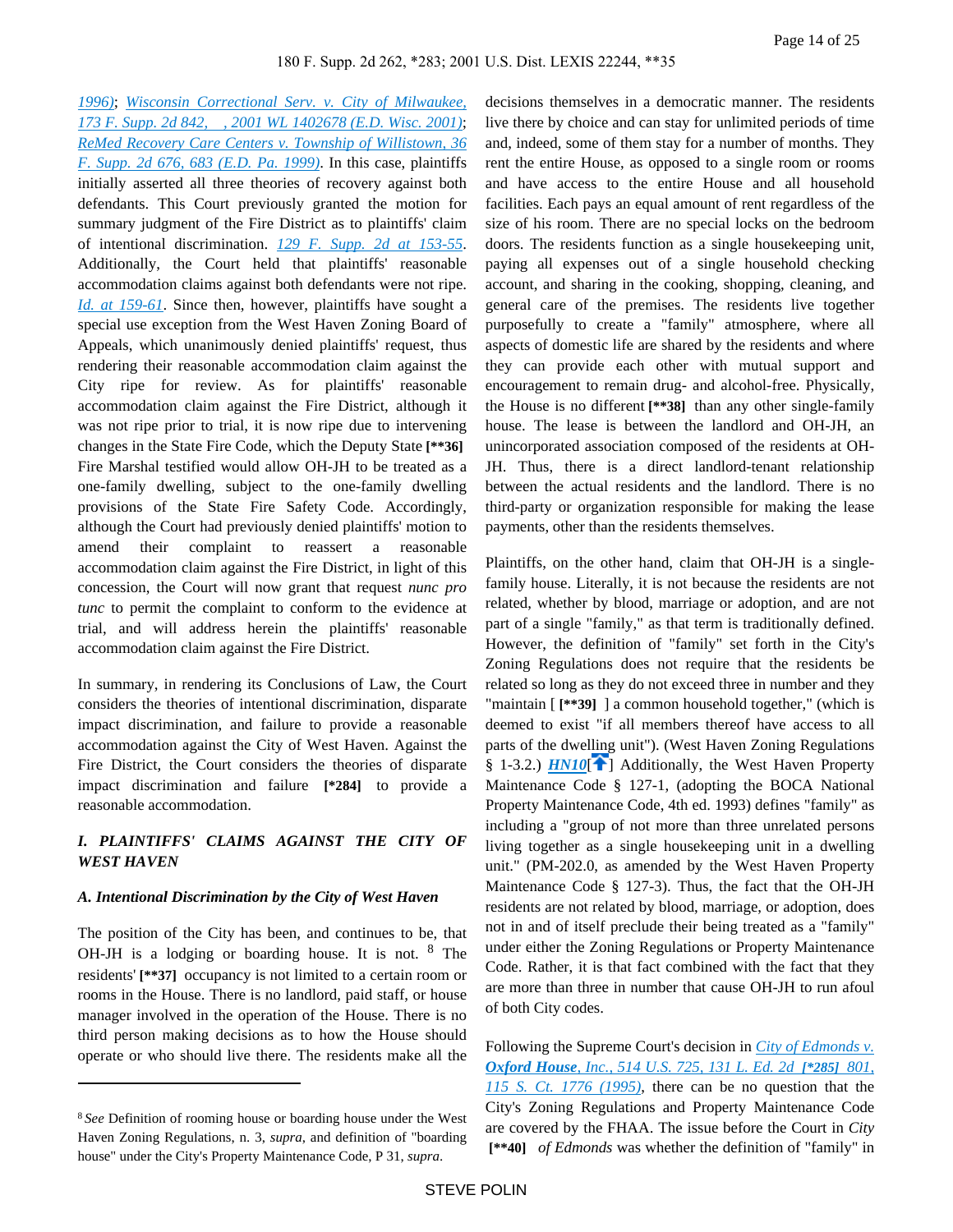*[1996\)](https://advance.lexis.com/api/document?collection=cases&id=urn:contentItem:3S4W-Y930-006F-M12K-00000-00&context=)*; *[Wisconsin Correctional Serv. v. City of Milwaukee,](https://advance.lexis.com/api/document?collection=cases&id=urn:contentItem:44G8-15D0-0038-Y27H-00000-00&context=)  [173 F. Supp. 2d 842, , 2001 WL 1402678 \(E.D. Wisc. 2001\)](https://advance.lexis.com/api/document?collection=cases&id=urn:contentItem:44G8-15D0-0038-Y27H-00000-00&context=)*; *[ReMed Recovery Care Centers v. Township of Willistown, 36](https://advance.lexis.com/api/document?collection=cases&id=urn:contentItem:3VTW-FBX0-0038-Y1GW-00000-00&context=)  [F. Supp. 2d 676, 683 \(E.D. Pa. 1999\)](https://advance.lexis.com/api/document?collection=cases&id=urn:contentItem:3VTW-FBX0-0038-Y1GW-00000-00&context=)*. In this case, plaintiffs initially asserted all three theories of recovery against both defendants. This Court previously granted the motion for summary judgment of the Fire District as to plaintiffs' claim of intentional discrimination. *[129 F. Supp. 2d at 153-55](https://advance.lexis.com/api/document?collection=cases&id=urn:contentItem:42BJ-Y5F0-0038-Y3FX-00000-00&context=)*. Additionally, the Court held that plaintiffs' reasonable accommodation claims against both defendants were not ripe. *[Id. at 159-61](https://advance.lexis.com/api/document?collection=cases&id=urn:contentItem:42BJ-Y5F0-0038-Y3FX-00000-00&context=)*. Since then, however, plaintiffs have sought a special use exception from the West Haven Zoning Board of Appeals, which unanimously denied plaintiffs' request, thus rendering their reasonable accommodation claim against the City ripe for review. As for plaintiffs' reasonable accommodation claim against the Fire District, although it was not ripe prior to trial, it is now ripe due to intervening changes in the State Fire Code, which the Deputy State **[\*\*36]**  Fire Marshal testified would allow OH-JH to be treated as a one-family dwelling, subject to the one-family dwelling provisions of the State Fire Safety Code. Accordingly, although the Court had previously denied plaintiffs' motion to amend their complaint to reassert a reasonable accommodation claim against the Fire District, in light of this concession, the Court will now grant that request *nunc pro tunc* to permit the complaint to conform to the evidence at trial, and will address herein the plaintiffs' reasonable accommodation claim against the Fire District.

In summary, in rendering its Conclusions of Law, the Court considers the theories of intentional discrimination, disparate impact discrimination, and failure to provide a reasonable accommodation against the City of West Haven. Against the Fire District, the Court considers the theories of disparate impact discrimination and failure **[\*284]** to provide a reasonable accommodation.

# *I. PLAINTIFFS' CLAIMS AGAINST THE CITY OF WEST HAVEN*

## *A. Intentional Discrimination by the City of West Haven*

The position of the City has been, and continues to be, that OH-JH is a lodging or boarding house. It is not. <sup>8</sup> The residents' **[\*\*37]** occupancy is not limited to a certain room or rooms in the House. There is no landlord, paid staff, or house manager involved in the operation of the House. There is no third person making decisions as to how the House should operate or who should live there. The residents make all the

decisions themselves in a democratic manner. The residents live there by choice and can stay for unlimited periods of time and, indeed, some of them stay for a number of months. They rent the entire House, as opposed to a single room or rooms and have access to the entire House and all household facilities. Each pays an equal amount of rent regardless of the size of his room. There are no special locks on the bedroom doors. The residents function as a single housekeeping unit, paying all expenses out of a single household checking account, and sharing in the cooking, shopping, cleaning, and general care of the premises. The residents live together purposefully to create a "family" atmosphere, where all aspects of domestic life are shared by the residents and where they can provide each other with mutual support and encouragement to remain drug- and alcohol-free. Physically, the House is no different **[\*\*38]** than any other single-family house. The lease is between the landlord and OH-JH, an unincorporated association composed of the residents at OH-JH. Thus, there is a direct landlord-tenant relationship between the actual residents and the landlord. There is no third-party or organization responsible for making the lease payments, other than the residents themselves.

<span id="page-13-0"></span>Plaintiffs, on the other hand, claim that OH-JH is a singlefamily house. Literally, it is not because the residents are not related, whether by blood, marriage or adoption, and are not part of a single "family," as that term is traditionally defined. However, the definition of "family" set forth in the City's Zoning Regulations does not require that the residents be related so long as they do not exceed three in number and they "maintain [ **[\*\*39]** ] a common household together," (which is deemed to exist "if all members thereof have access to all parts of the dwelling unit"). (West Haven Zoning Regulations § 1-3.2.) *[HN10](https://advance.lexis.com/api/document?collection=cases&id=urn:contentItem:44YH-3PM0-0038-Y2MP-00000-00&context=&link=clscc10)*<sup>[42</sup>] Additionally, the West Haven Property Maintenance Code § 127-1, (adopting the BOCA National Property Maintenance Code, 4th ed. 1993) defines "family" as including a "group of not more than three unrelated persons living together as a single housekeeping unit in a dwelling unit." (PM-202.0, as amended by the West Haven Property Maintenance Code § 127-3). Thus, the fact that the OH-JH residents are not related by blood, marriage, or adoption, does not in and of itself preclude their being treated as a "family" under either the Zoning Regulations or Property Maintenance Code. Rather, it is that fact combined with the fact that they are more than three in number that cause OH-JH to run afoul of both City codes.

Following the Supreme Court's decision in *[City of Edmonds v.](https://advance.lexis.com/api/document?collection=cases&id=urn:contentItem:3S42-78R0-003B-R3P1-00000-00&context=)  Oxford House[, Inc., 514 U.S. 725, 131 L. Ed. 2d](https://advance.lexis.com/api/document?collection=cases&id=urn:contentItem:3S42-78R0-003B-R3P1-00000-00&context=) [\*285] 801, [115 S. Ct. 1776 \(1995\)](https://advance.lexis.com/api/document?collection=cases&id=urn:contentItem:3S42-78R0-003B-R3P1-00000-00&context=)*, there can be no question that the City's Zoning Regulations and Property Maintenance Code are covered by the FHAA. The issue before the Court in *City*  **[\*\*40]** *of Edmonds* was whether the definition of "family" in

<sup>8</sup>*See* Definition of rooming house or boarding house under the West Haven Zoning Regulations, n. 3, *supra*, and definition of "boarding house" under the City's Property Maintenance Code, P 31, *supra*.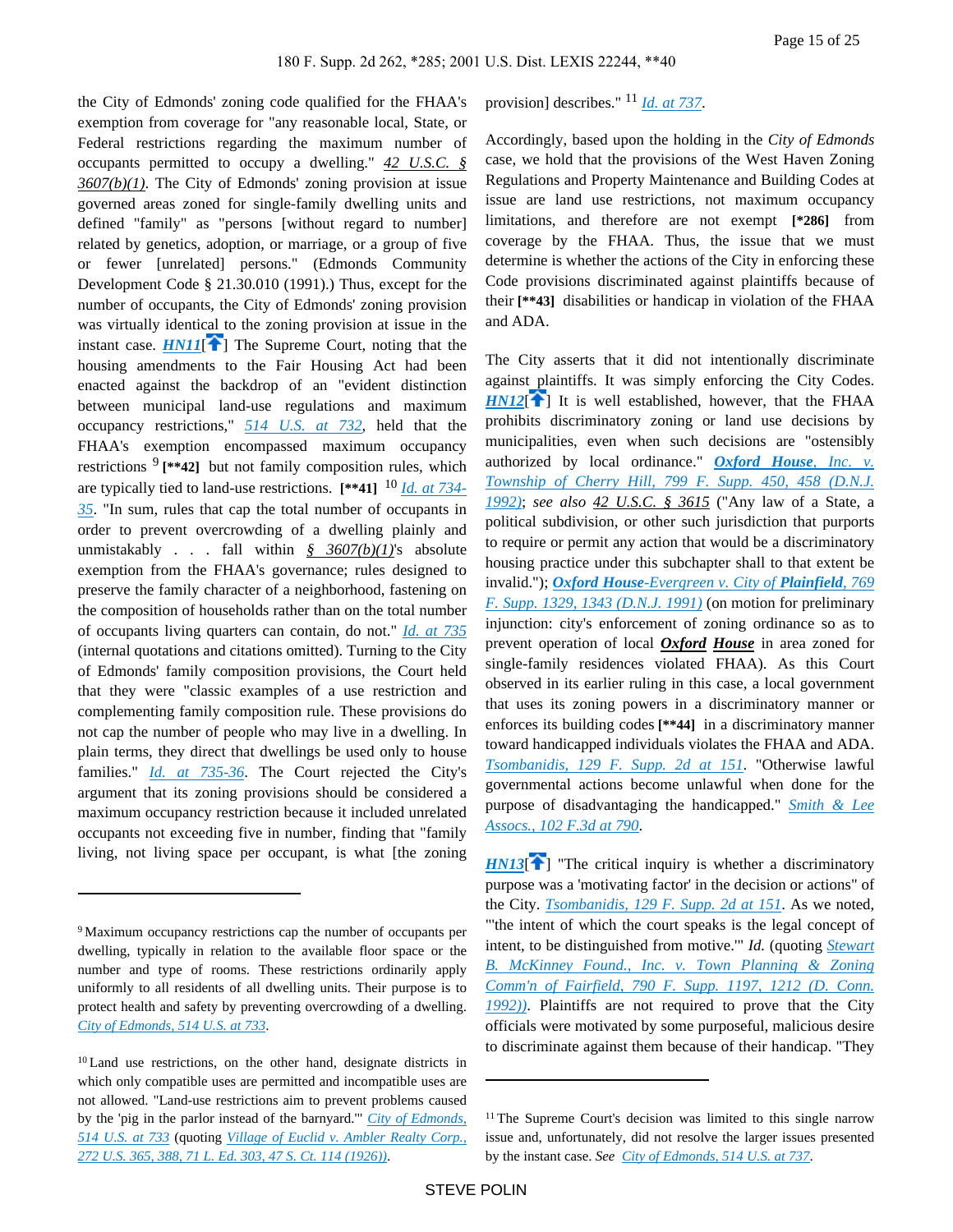<span id="page-14-0"></span>the City of Edmonds' zoning code qualified for the FHAA's exemption from coverage for "any reasonable local, State, or Federal restrictions regarding the maximum number of occupants permitted to occupy a dwelling." *42 U.S.C. § 3607(b)(1)*. The City of Edmonds' zoning provision at issue governed areas zoned for single-family dwelling units and defined "family" as "persons [without regard to number] related by genetics, adoption, or marriage, or a group of five or fewer [unrelated] persons." (Edmonds Community Development Code § 21.30.010 (1991).) Thus, except for the number of occupants, the City of Edmonds' zoning provision was virtually identical to the zoning provision at issue in the instant case.  $HMII$ <sup> $\uparrow$ </sup>] The Supreme Court, noting that the housing amendments to the Fair Housing Act had been enacted against the backdrop of an "evident distinction between municipal land-use regulations and maximum occupancy restrictions," *[514 U.S. at 732](https://advance.lexis.com/api/document?collection=cases&id=urn:contentItem:3S42-78R0-003B-R3P1-00000-00&context=)*, held that the FHAA's exemption encompassed maximum occupancy restrictions <sup>9</sup> [\*\*42] but not family composition rules, which are typically tied to land-use restrictions. **[\*\*41]** <sup>10</sup> *[Id. at 734-](https://advance.lexis.com/api/document?collection=cases&id=urn:contentItem:3S42-78R0-003B-R3P1-00000-00&context=) [35](https://advance.lexis.com/api/document?collection=cases&id=urn:contentItem:3S42-78R0-003B-R3P1-00000-00&context=)*. "In sum, rules that cap the total number of occupants in order to prevent overcrowding of a dwelling plainly and unmistakably . . . fall within *§ 3607(b)(1)*'s absolute exemption from the FHAA's governance; rules designed to preserve the family character of a neighborhood, fastening on the composition of households rather than on the total number of occupants living quarters can contain, do not." *[Id. at 735](https://advance.lexis.com/api/document?collection=cases&id=urn:contentItem:3S42-78R0-003B-R3P1-00000-00&context=)* (internal quotations and citations omitted). Turning to the City of Edmonds' family composition provisions, the Court held that they were "classic examples of a use restriction and complementing family composition rule. These provisions do not cap the number of people who may live in a dwelling. In plain terms, they direct that dwellings be used only to house families." *[Id. at 735-36](https://advance.lexis.com/api/document?collection=cases&id=urn:contentItem:3S42-78R0-003B-R3P1-00000-00&context=)*. The Court rejected the City's argument that its zoning provisions should be considered a maximum occupancy restriction because it included unrelated occupants not exceeding five in number, finding that "family living, not living space per occupant, is what [the zoning

# provision] describes." <sup>11</sup> *[Id. at 737](https://advance.lexis.com/api/document?collection=cases&id=urn:contentItem:3S42-78R0-003B-R3P1-00000-00&context=)*.

Accordingly, based upon the holding in the *City of Edmonds* case, we hold that the provisions of the West Haven Zoning Regulations and Property Maintenance and Building Codes at issue are land use restrictions, not maximum occupancy limitations, and therefore are not exempt **[\*286]** from coverage by the FHAA. Thus, the issue that we must determine is whether the actions of the City in enforcing these Code provisions discriminated against plaintiffs because of their **[\*\*43]** disabilities or handicap in violation of the FHAA and ADA.

<span id="page-14-1"></span>The City asserts that it did not intentionally discriminate against plaintiffs. It was simply enforcing the City Codes. *[HN12](https://advance.lexis.com/api/document?collection=cases&id=urn:contentItem:44YH-3PM0-0038-Y2MP-00000-00&context=&link=clscc12)*<sup>[\[](#page-2-0)1]</sup> It is well established, however, that the FHAA prohibits discriminatory zoning or land use decisions by municipalities, even when such decisions are "ostensibly authorized by local ordinance." *Oxford House[, Inc. v.](https://advance.lexis.com/api/document?collection=cases&id=urn:contentItem:3S4N-GPD0-008H-F367-00000-00&context=)  [Township of Cherry Hill, 799 F. Supp. 450, 458 \(D.N.J.](https://advance.lexis.com/api/document?collection=cases&id=urn:contentItem:3S4N-GPD0-008H-F367-00000-00&context=)  [1992\)](https://advance.lexis.com/api/document?collection=cases&id=urn:contentItem:3S4N-GPD0-008H-F367-00000-00&context=)*; *see also 42 U.S.C. § 3615* ("Any law of a State, a political subdivision, or other such jurisdiction that purports to require or permit any action that would be a discriminatory housing practice under this subchapter shall to that extent be invalid."); *Oxford House[-Evergreen v. City of](https://advance.lexis.com/api/document?collection=cases&id=urn:contentItem:3S4N-BV70-001T-7071-00000-00&context=) Plainfield, 769 [F. Supp. 1329, 1343 \(D.N.J. 1991\)](https://advance.lexis.com/api/document?collection=cases&id=urn:contentItem:3S4N-BV70-001T-7071-00000-00&context=)* (on motion for preliminary injunction: city's enforcement of zoning ordinance so as to prevent operation of local *Oxford House* in area zoned for single-family residences violated FHAA). As this Court observed in its earlier ruling in this case, a local government that uses its zoning powers in a discriminatory manner or enforces its building codes **[\*\*44]** in a discriminatory manner toward handicapped individuals violates the FHAA and ADA. *[Tsombanidis, 129 F. Supp. 2d at 151](https://advance.lexis.com/api/document?collection=cases&id=urn:contentItem:42BJ-Y5F0-0038-Y3FX-00000-00&context=)*. "Otherwise lawful governmental actions become unlawful when done for the purpose of disadvantaging the handicapped." *[Smith & Lee](https://advance.lexis.com/api/document?collection=cases&id=urn:contentItem:3S4W-Y930-006F-M12K-00000-00&context=)  [Assocs., 102 F.3d at 790](https://advance.lexis.com/api/document?collection=cases&id=urn:contentItem:3S4W-Y930-006F-M12K-00000-00&context=)*.

<span id="page-14-2"></span> $HNI3$ <sup>[\[](#page-2-1)14]</sup> "The critical inquiry is whether a discriminatory purpose was a 'motivating factor' in the decision or actions" of the City. *[Tsombanidis, 129 F. Supp. 2d at 151](https://advance.lexis.com/api/document?collection=cases&id=urn:contentItem:42BJ-Y5F0-0038-Y3FX-00000-00&context=)*. As we noted, "'the intent of which the court speaks is the legal concept of intent, to be distinguished from motive.'" *Id.* (quoting *[Stewart](https://advance.lexis.com/api/document?collection=cases&id=urn:contentItem:3S4N-MMX0-008H-F51N-00000-00&context=)  [B. McKinney Found., Inc. v. Town Planning & Zoning](https://advance.lexis.com/api/document?collection=cases&id=urn:contentItem:3S4N-MMX0-008H-F51N-00000-00&context=)  [Comm'n of Fairfield, 790 F. Supp. 1197, 1212 \(D. Conn.](https://advance.lexis.com/api/document?collection=cases&id=urn:contentItem:3S4N-MMX0-008H-F51N-00000-00&context=)  [1992\)\)](https://advance.lexis.com/api/document?collection=cases&id=urn:contentItem:3S4N-MMX0-008H-F51N-00000-00&context=)*. Plaintiffs are not required to prove that the City officials were motivated by some purposeful, malicious desire to discriminate against them because of their handicap. "They

<sup>9</sup>Maximum occupancy restrictions cap the number of occupants per dwelling, typically in relation to the available floor space or the number and type of rooms. These restrictions ordinarily apply uniformly to all residents of all dwelling units. Their purpose is to protect health and safety by preventing overcrowding of a dwelling. *[City of Edmonds, 514 U.S. at 733](https://advance.lexis.com/api/document?collection=cases&id=urn:contentItem:3S42-78R0-003B-R3P1-00000-00&context=)*.

<sup>10</sup>Land use restrictions, on the other hand, designate districts in which only compatible uses are permitted and incompatible uses are not allowed. "Land-use restrictions aim to prevent problems caused by the 'pig in the parlor instead of the barnyard.'" *[City of Edmonds,](https://advance.lexis.com/api/document?collection=cases&id=urn:contentItem:3S42-78R0-003B-R3P1-00000-00&context=)  [514 U.S. at 733](https://advance.lexis.com/api/document?collection=cases&id=urn:contentItem:3S42-78R0-003B-R3P1-00000-00&context=)* (quoting *[Village of Euclid v. Ambler Realty Corp.,](https://advance.lexis.com/api/document?collection=cases&id=urn:contentItem:3S4X-GDR0-003B-74WB-00000-00&context=)  [272 U.S. 365, 388, 71 L. Ed. 303, 47 S. Ct. 114 \(1926\)\)](https://advance.lexis.com/api/document?collection=cases&id=urn:contentItem:3S4X-GDR0-003B-74WB-00000-00&context=)*.

<sup>&</sup>lt;sup>11</sup>The Supreme Court's decision was limited to this single narrow issue and, unfortunately, did not resolve the larger issues presented by the instant case. *See [City of Edmonds, 514 U.S. at 737](https://advance.lexis.com/api/document?collection=cases&id=urn:contentItem:3S42-78R0-003B-R3P1-00000-00&context=)*.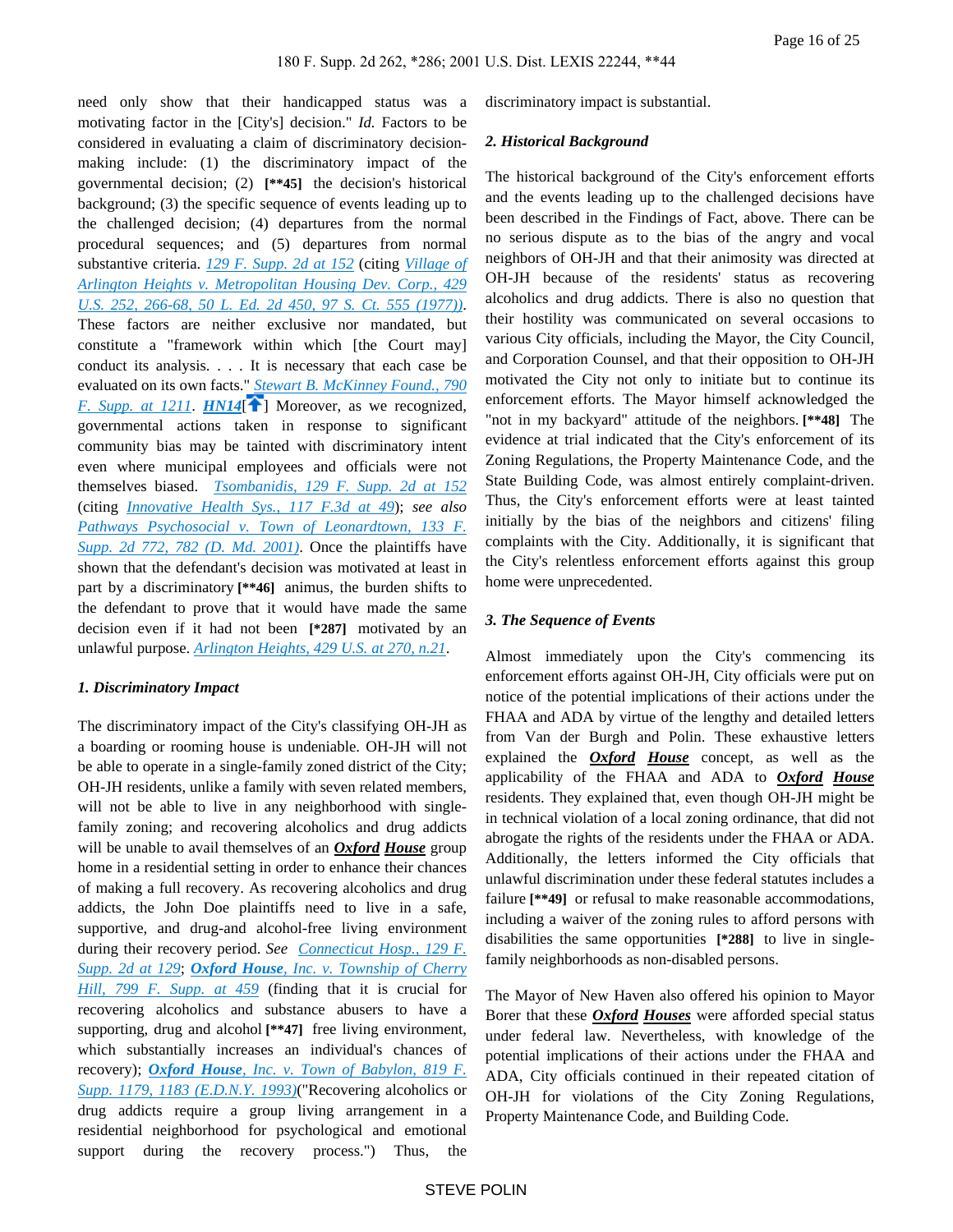need only show that their handicapped status was a motivating factor in the [City's] decision." *Id.* Factors to be considered in evaluating a claim of discriminatory decisionmaking include: (1) the discriminatory impact of the governmental decision; (2) **[\*\*45]** the decision's historical background; (3) the specific sequence of events leading up to the challenged decision; (4) departures from the normal procedural sequences; and (5) departures from normal substantive criteria. *[129 F. Supp. 2d at 152](https://advance.lexis.com/api/document?collection=cases&id=urn:contentItem:42BJ-Y5F0-0038-Y3FX-00000-00&context=)* (citing *[Village of](https://advance.lexis.com/api/document?collection=cases&id=urn:contentItem:3S4X-9M30-003B-S4DP-00000-00&context=)  [Arlington Heights v. Metropolitan Housing Dev. Corp., 429](https://advance.lexis.com/api/document?collection=cases&id=urn:contentItem:3S4X-9M30-003B-S4DP-00000-00&context=)  [U.S. 252, 266-68, 50 L. Ed. 2d 450, 97 S. Ct. 555 \(1977\)\)](https://advance.lexis.com/api/document?collection=cases&id=urn:contentItem:3S4X-9M30-003B-S4DP-00000-00&context=)*. These factors are neither exclusive nor mandated, but constitute a "framework within which [the Court may] conduct its analysis. . . . It is necessary that each case be evaluated on its own facts." *[Stewart B. McKinney Found., 790](https://advance.lexis.com/api/document?collection=cases&id=urn:contentItem:3S4N-MMX0-008H-F51N-00000-00&context=)  [F. Supp. at 1211](https://advance.lexis.com/api/document?collection=cases&id=urn:contentItem:3S4N-MMX0-008H-F51N-00000-00&context=). [HN14](https://advance.lexis.com/api/document?collection=cases&id=urn:contentItem:44YH-3PM0-0038-Y2MP-00000-00&context=&link=clscc14)* **f** ] Moreover, as we recognized, governmental actions taken in response to significant community bias may be tainted with discriminatory intent even where municipal employees and officials were not themselves biased. *[Tsombanidis, 129 F. Supp. 2d at 152](https://advance.lexis.com/api/document?collection=cases&id=urn:contentItem:42BJ-Y5F0-0038-Y3FX-00000-00&context=)* (citing *[Innovative Health Sys., 117 F.3d at 49](https://advance.lexis.com/api/document?collection=cases&id=urn:contentItem:3S4X-FSV0-00B1-D295-00000-00&context=)*); *see also [Pathways Psychosocial v. Town of Leonardtown, 133 F.](https://advance.lexis.com/api/document?collection=cases&id=urn:contentItem:4374-GDD0-0038-Y1VS-00000-00&context=)  [Supp. 2d 772, 782 \(D. Md. 2001\)](https://advance.lexis.com/api/document?collection=cases&id=urn:contentItem:4374-GDD0-0038-Y1VS-00000-00&context=)*. Once the plaintiffs have shown that the defendant's decision was motivated at least in part by a discriminatory **[\*\*46]** animus, the burden shifts to the defendant to prove that it would have made the same decision even if it had not been **[\*287]** motivated by an unlawful purpose. *[Arlington Heights, 429 U.S. at 270, n.21](https://advance.lexis.com/api/document?collection=cases&id=urn:contentItem:3S4X-9M30-003B-S4DP-00000-00&context=)*.

## <span id="page-15-0"></span>*1. Discriminatory Impact*

The discriminatory impact of the City's classifying OH-JH as a boarding or rooming house is undeniable. OH-JH will not be able to operate in a single-family zoned district of the City; OH-JH residents, unlike a family with seven related members, will not be able to live in any neighborhood with singlefamily zoning; and recovering alcoholics and drug addicts will be unable to avail themselves of an *Oxford House* group home in a residential setting in order to enhance their chances of making a full recovery. As recovering alcoholics and drug addicts, the John Doe plaintiffs need to live in a safe, supportive, and drug-and alcohol-free living environment during their recovery period. *See [Connecticut Hosp., 129 F.](https://advance.lexis.com/api/document?collection=cases&id=urn:contentItem:42F4-VD20-0038-Y4K4-00000-00&context=)  [Supp. 2d at 129](https://advance.lexis.com/api/document?collection=cases&id=urn:contentItem:42F4-VD20-0038-Y4K4-00000-00&context=)*; *Oxford House[, Inc. v. Township of Cherry](https://advance.lexis.com/api/document?collection=cases&id=urn:contentItem:3S4N-GPD0-008H-F367-00000-00&context=)  [Hill, 799 F. Supp. at 459](https://advance.lexis.com/api/document?collection=cases&id=urn:contentItem:3S4N-GPD0-008H-F367-00000-00&context=)* (finding that it is crucial for recovering alcoholics and substance abusers to have a supporting, drug and alcohol **[\*\*47]** free living environment, which substantially increases an individual's chances of recovery); *Oxford House[, Inc. v. Town of Babylon, 819 F.](https://advance.lexis.com/api/document?collection=cases&id=urn:contentItem:3S4N-SJ40-001T-6260-00000-00&context=)  [Supp. 1179, 1183 \(E.D.N.Y. 1993\)](https://advance.lexis.com/api/document?collection=cases&id=urn:contentItem:3S4N-SJ40-001T-6260-00000-00&context=)*("Recovering alcoholics or drug addicts require a group living arrangement in a residential neighborhood for psychological and emotional support during the recovery process.") Thus, the

discriminatory impact is substantial.

#### *2. Historical Background*

The historical background of the City's enforcement efforts and the events leading up to the challenged decisions have been described in the Findings of Fact, above. There can be no serious dispute as to the bias of the angry and vocal neighbors of OH-JH and that their animosity was directed at OH-JH because of the residents' status as recovering alcoholics and drug addicts. There is also no question that their hostility was communicated on several occasions to various City officials, including the Mayor, the City Council, and Corporation Counsel, and that their opposition to OH-JH motivated the City not only to initiate but to continue its enforcement efforts. The Mayor himself acknowledged the "not in my backyard" attitude of the neighbors. **[\*\*48]** The evidence at trial indicated that the City's enforcement of its Zoning Regulations, the Property Maintenance Code, and the State Building Code, was almost entirely complaint-driven. Thus, the City's enforcement efforts were at least tainted initially by the bias of the neighbors and citizens' filing complaints with the City. Additionally, it is significant that the City's relentless enforcement efforts against this group home were unprecedented.

## *3. The Sequence of Events*

Almost immediately upon the City's commencing its enforcement efforts against OH-JH, City officials were put on notice of the potential implications of their actions under the FHAA and ADA by virtue of the lengthy and detailed letters from Van der Burgh and Polin. These exhaustive letters explained the *Oxford House* concept, as well as the applicability of the FHAA and ADA to *Oxford House* residents. They explained that, even though OH-JH might be in technical violation of a local zoning ordinance, that did not abrogate the rights of the residents under the FHAA or ADA. Additionally, the letters informed the City officials that unlawful discrimination under these federal statutes includes a failure **[\*\*49]** or refusal to make reasonable accommodations, including a waiver of the zoning rules to afford persons with disabilities the same opportunities **[\*288]** to live in singlefamily neighborhoods as non-disabled persons.

The Mayor of New Haven also offered his opinion to Mayor Borer that these *Oxford Houses* were afforded special status under federal law. Nevertheless, with knowledge of the potential implications of their actions under the FHAA and ADA, City officials continued in their repeated citation of OH-JH for violations of the City Zoning Regulations, Property Maintenance Code, and Building Code.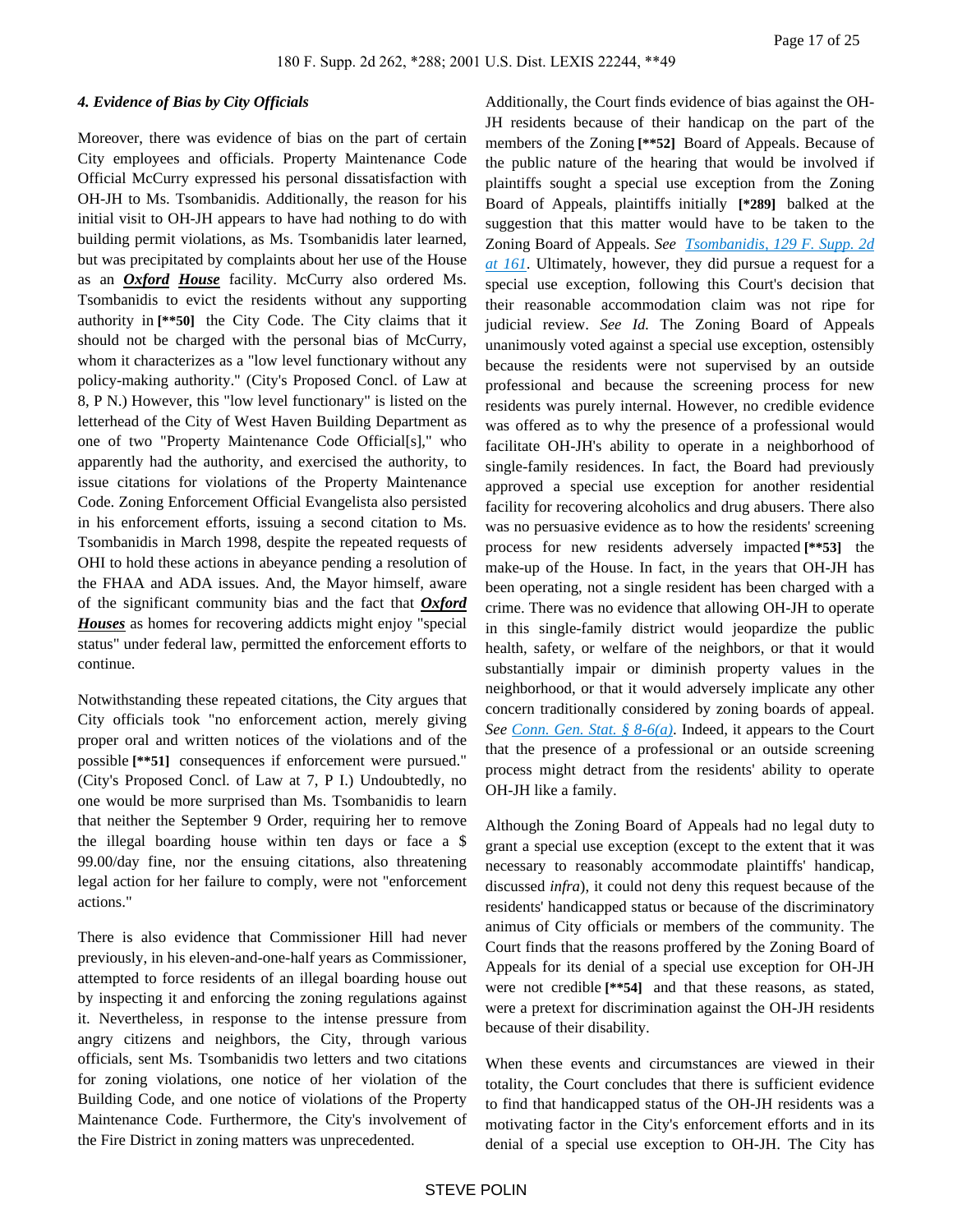### *4. Evidence of Bias by City Officials*

Moreover, there was evidence of bias on the part of certain City employees and officials. Property Maintenance Code Official McCurry expressed his personal dissatisfaction with OH-JH to Ms. Tsombanidis. Additionally, the reason for his initial visit to OH-JH appears to have had nothing to do with building permit violations, as Ms. Tsombanidis later learned, but was precipitated by complaints about her use of the House as an *Oxford House* facility. McCurry also ordered Ms. Tsombanidis to evict the residents without any supporting authority in **[\*\*50]** the City Code. The City claims that it should not be charged with the personal bias of McCurry, whom it characterizes as a "low level functionary without any policy-making authority." (City's Proposed Concl. of Law at 8, P N.) However, this "low level functionary" is listed on the letterhead of the City of West Haven Building Department as one of two "Property Maintenance Code Official[s]," who apparently had the authority, and exercised the authority, to issue citations for violations of the Property Maintenance Code. Zoning Enforcement Official Evangelista also persisted in his enforcement efforts, issuing a second citation to Ms. Tsombanidis in March 1998, despite the repeated requests of OHI to hold these actions in abeyance pending a resolution of the FHAA and ADA issues. And, the Mayor himself, aware of the significant community bias and the fact that *Oxford Houses* as homes for recovering addicts might enjoy "special status" under federal law, permitted the enforcement efforts to continue.

Notwithstanding these repeated citations, the City argues that City officials took "no enforcement action, merely giving proper oral and written notices of the violations and of the possible **[\*\*51]** consequences if enforcement were pursued." (City's Proposed Concl. of Law at 7, P I.) Undoubtedly, no one would be more surprised than Ms. Tsombanidis to learn that neither the September 9 Order, requiring her to remove the illegal boarding house within ten days or face a \$ 99.00/day fine, nor the ensuing citations, also threatening legal action for her failure to comply, were not "enforcement actions."

There is also evidence that Commissioner Hill had never previously, in his eleven-and-one-half years as Commissioner, attempted to force residents of an illegal boarding house out by inspecting it and enforcing the zoning regulations against it. Nevertheless, in response to the intense pressure from angry citizens and neighbors, the City, through various officials, sent Ms. Tsombanidis two letters and two citations for zoning violations, one notice of her violation of the Building Code, and one notice of violations of the Property Maintenance Code. Furthermore, the City's involvement of the Fire District in zoning matters was unprecedented.

Additionally, the Court finds evidence of bias against the OH-JH residents because of their handicap on the part of the members of the Zoning **[\*\*52]** Board of Appeals. Because of the public nature of the hearing that would be involved if plaintiffs sought a special use exception from the Zoning Board of Appeals, plaintiffs initially **[\*289]** balked at the suggestion that this matter would have to be taken to the Zoning Board of Appeals. *See [Tsombanidis, 129 F. Supp. 2d](https://advance.lexis.com/api/document?collection=cases&id=urn:contentItem:42BJ-Y5F0-0038-Y3FX-00000-00&context=)  [at 161](https://advance.lexis.com/api/document?collection=cases&id=urn:contentItem:42BJ-Y5F0-0038-Y3FX-00000-00&context=)*. Ultimately, however, they did pursue a request for a special use exception, following this Court's decision that their reasonable accommodation claim was not ripe for judicial review. *See Id.* The Zoning Board of Appeals unanimously voted against a special use exception, ostensibly because the residents were not supervised by an outside professional and because the screening process for new residents was purely internal. However, no credible evidence was offered as to why the presence of a professional would facilitate OH-JH's ability to operate in a neighborhood of single-family residences. In fact, the Board had previously approved a special use exception for another residential facility for recovering alcoholics and drug abusers. There also was no persuasive evidence as to how the residents' screening process for new residents adversely impacted **[\*\*53]** the make-up of the House. In fact, in the years that OH-JH has been operating, not a single resident has been charged with a crime. There was no evidence that allowing OH-JH to operate in this single-family district would jeopardize the public health, safety, or welfare of the neighbors, or that it would substantially impair or diminish property values in the neighborhood, or that it would adversely implicate any other concern traditionally considered by zoning boards of appeal. *See [Conn. Gen. Stat. § 8-6\(a\)](https://advance.lexis.com/api/document?collection=statutes-legislation&id=urn:contentItem:56BW-55B1-648C-K4KM-00000-00&context=)*. Indeed, it appears to the Court that the presence of a professional or an outside screening process might detract from the residents' ability to operate OH-JH like a family.

Although the Zoning Board of Appeals had no legal duty to grant a special use exception (except to the extent that it was necessary to reasonably accommodate plaintiffs' handicap, discussed *infra*), it could not deny this request because of the residents' handicapped status or because of the discriminatory animus of City officials or members of the community. The Court finds that the reasons proffered by the Zoning Board of Appeals for its denial of a special use exception for OH-JH were not credible **[\*\*54]** and that these reasons, as stated, were a pretext for discrimination against the OH-JH residents because of their disability.

When these events and circumstances are viewed in their totality, the Court concludes that there is sufficient evidence to find that handicapped status of the OH-JH residents was a motivating factor in the City's enforcement efforts and in its denial of a special use exception to OH-JH. The City has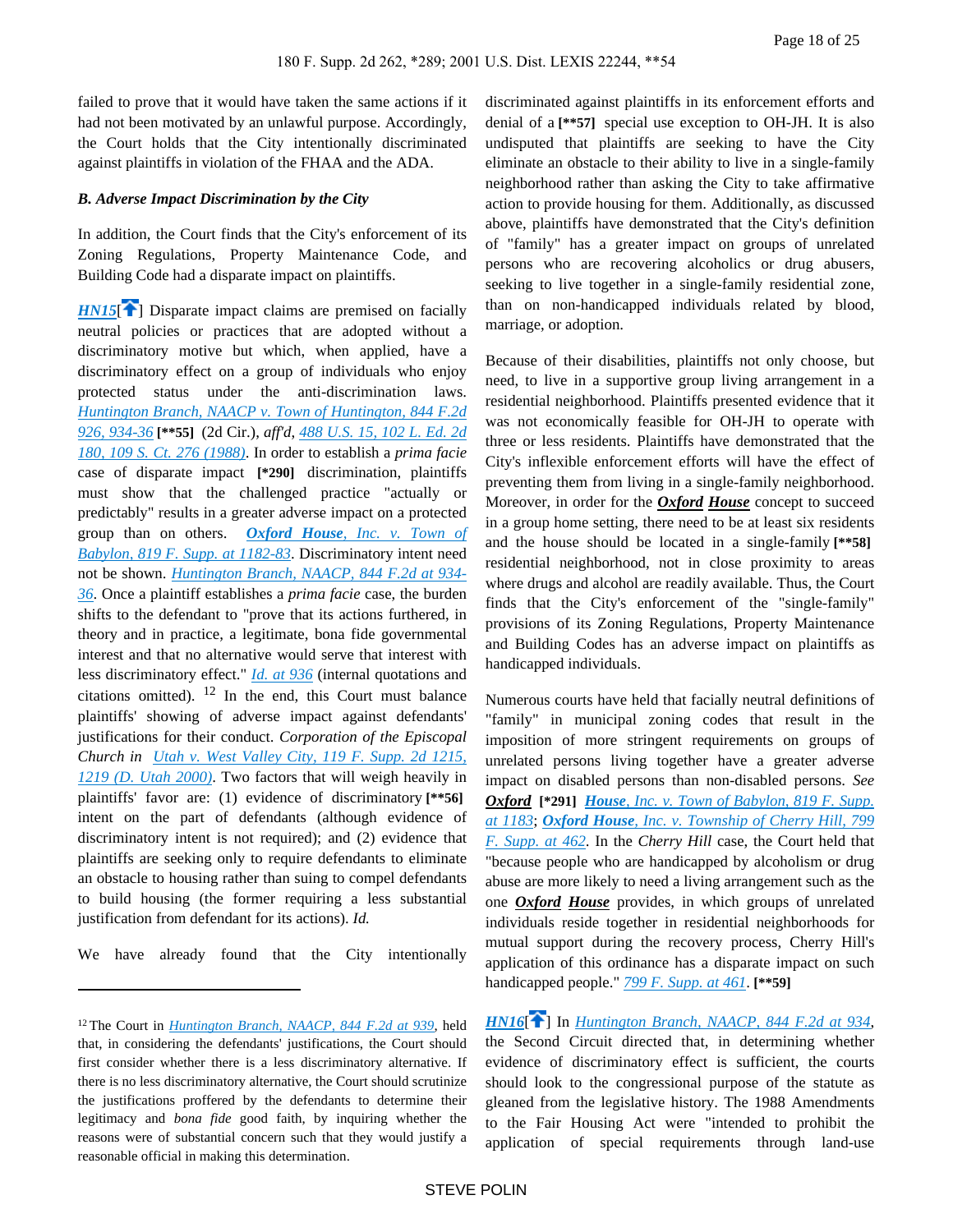failed to prove that it would have taken the same actions if it had not been motivated by an unlawful purpose. Accordingly, the Court holds that the City intentionally discriminated against plaintiffs in violation of the FHAA and the ADA.

## *B. Adverse Impact Discrimination by the City*

In addition, the Court finds that the City's enforcement of its Zoning Regulations, Property Maintenance Code, and Building Code had a disparate impact on plaintiffs.

<span id="page-17-0"></span>*[HN15](https://advance.lexis.com/api/document?collection=cases&id=urn:contentItem:44YH-3PM0-0038-Y2MP-00000-00&context=&link=clscc15)*<sup> $\uparrow$ </sup>] Disparate impact claims are premised on facially neutral policies or practices that are adopted without a discriminatory motive but which, when applied, have a discriminatory effect on a group of individuals who enjoy protected status under the anti-discrimination laws. *[Huntington Branch, NAACP v. Town of Huntington, 844 F.2d](https://advance.lexis.com/api/document?collection=cases&id=urn:contentItem:3S4X-1KC0-001B-K1HF-00000-00&context=)  [926, 934-36](https://advance.lexis.com/api/document?collection=cases&id=urn:contentItem:3S4X-1KC0-001B-K1HF-00000-00&context=)* **[\*\*55]** (2d Cir.), *aff'd*, *[488 U.S. 15, 102 L. Ed. 2d](https://advance.lexis.com/api/document?collection=cases&id=urn:contentItem:3S4X-CWK0-003B-40M9-00000-00&context=)  [180, 109 S. Ct. 276 \(1988\)](https://advance.lexis.com/api/document?collection=cases&id=urn:contentItem:3S4X-CWK0-003B-40M9-00000-00&context=)*. In order to establish a *prima facie* case of disparate impact **[\*290]** discrimination, plaintiffs must show that the challenged practice "actually or predictably" results in a greater adverse impact on a protected group than on others. *Oxford House[, Inc. v. Town of](https://advance.lexis.com/api/document?collection=cases&id=urn:contentItem:3S4N-SJ40-001T-6260-00000-00&context=)  [Babylon, 819 F. Supp. at 1182-83](https://advance.lexis.com/api/document?collection=cases&id=urn:contentItem:3S4N-SJ40-001T-6260-00000-00&context=)*. Discriminatory intent need not be shown. *[Huntington Branch, NAACP, 844 F.2d at 934-](https://advance.lexis.com/api/document?collection=cases&id=urn:contentItem:3S4X-1KC0-001B-K1HF-00000-00&context=) [36](https://advance.lexis.com/api/document?collection=cases&id=urn:contentItem:3S4X-1KC0-001B-K1HF-00000-00&context=)*. Once a plaintiff establishes a *prima facie* case, the burden shifts to the defendant to "prove that its actions furthered, in theory and in practice, a legitimate, bona fide governmental interest and that no alternative would serve that interest with less discriminatory effect." *[Id. at 936](https://advance.lexis.com/api/document?collection=cases&id=urn:contentItem:3S4X-1KC0-001B-K1HF-00000-00&context=)* (internal quotations and citations omitted). 12 In the end, this Court must balance plaintiffs' showing of adverse impact against defendants' justifications for their conduct. *Corporation of the Episcopal Church in [Utah v. West Valley City, 119 F. Supp. 2d 1215,](https://advance.lexis.com/api/document?collection=cases&id=urn:contentItem:41P1-H380-0038-Y2YV-00000-00&context=)  [1219 \(D. Utah 2000\)](https://advance.lexis.com/api/document?collection=cases&id=urn:contentItem:41P1-H380-0038-Y2YV-00000-00&context=)*. Two factors that will weigh heavily in plaintiffs' favor are: (1) evidence of discriminatory **[\*\*56]**  intent on the part of defendants (although evidence of discriminatory intent is not required); and (2) evidence that plaintiffs are seeking only to require defendants to eliminate an obstacle to housing rather than suing to compel defendants to build housing (the former requiring a less substantial justification from defendant for its actions). *Id.*

We have already found that the City intentionally

discriminated against plaintiffs in its enforcement efforts and denial of a **[\*\*57]** special use exception to OH-JH. It is also undisputed that plaintiffs are seeking to have the City eliminate an obstacle to their ability to live in a single-family neighborhood rather than asking the City to take affirmative action to provide housing for them. Additionally, as discussed above, plaintiffs have demonstrated that the City's definition of "family" has a greater impact on groups of unrelated persons who are recovering alcoholics or drug abusers, seeking to live together in a single-family residential zone, than on non-handicapped individuals related by blood, marriage, or adoption.

Because of their disabilities, plaintiffs not only choose, but need, to live in a supportive group living arrangement in a residential neighborhood. Plaintiffs presented evidence that it was not economically feasible for OH-JH to operate with three or less residents. Plaintiffs have demonstrated that the City's inflexible enforcement efforts will have the effect of preventing them from living in a single-family neighborhood. Moreover, in order for the *Oxford House* concept to succeed in a group home setting, there need to be at least six residents and the house should be located in a single-family **[\*\*58]**  residential neighborhood, not in close proximity to areas where drugs and alcohol are readily available. Thus, the Court finds that the City's enforcement of the "single-family" provisions of its Zoning Regulations, Property Maintenance and Building Codes has an adverse impact on plaintiffs as handicapped individuals.

Numerous courts have held that facially neutral definitions of "family" in municipal zoning codes that result in the imposition of more stringent requirements on groups of unrelated persons living together have a greater adverse impact on disabled persons than non-disabled persons. *See Oxford* **[\*291]** *House[, Inc. v. Town of Babylon, 819 F. Supp.](https://advance.lexis.com/api/document?collection=cases&id=urn:contentItem:3S4N-SJ40-001T-6260-00000-00&context=)  [at 1183](https://advance.lexis.com/api/document?collection=cases&id=urn:contentItem:3S4N-SJ40-001T-6260-00000-00&context=)*; *Oxford House[, Inc. v. Township of Cherry Hill, 799](https://advance.lexis.com/api/document?collection=cases&id=urn:contentItem:3S4N-GPD0-008H-F367-00000-00&context=)  [F. Supp. at 462](https://advance.lexis.com/api/document?collection=cases&id=urn:contentItem:3S4N-GPD0-008H-F367-00000-00&context=)*. In the *Cherry Hill* case, the Court held that "because people who are handicapped by alcoholism or drug abuse are more likely to need a living arrangement such as the one *Oxford House* provides, in which groups of unrelated individuals reside together in residential neighborhoods for mutual support during the recovery process, Cherry Hill's application of this ordinance has a disparate impact on such handicapped people." *[799 F. Supp. at 461](https://advance.lexis.com/api/document?collection=cases&id=urn:contentItem:3S4N-GPD0-008H-F367-00000-00&context=)*. **[\*\*59]** 

<span id="page-17-1"></span>*[HN16](https://advance.lexis.com/api/document?collection=cases&id=urn:contentItem:44YH-3PM0-0038-Y2MP-00000-00&context=&link=clscc16)*[\[](#page-3-1) ] In *[Huntington Branch, NAACP, 844 F.2d at 934](https://advance.lexis.com/api/document?collection=cases&id=urn:contentItem:3S4X-1KC0-001B-K1HF-00000-00&context=)*, the Second Circuit directed that, in determining whether evidence of discriminatory effect is sufficient, the courts should look to the congressional purpose of the statute as gleaned from the legislative history. The 1988 Amendments to the Fair Housing Act were "intended to prohibit the application of special requirements through land-use

<sup>12</sup>The Court in *[Huntington Branch, NAACP, 844 F.2d at 939](https://advance.lexis.com/api/document?collection=cases&id=urn:contentItem:3S4X-1KC0-001B-K1HF-00000-00&context=)*, held that, in considering the defendants' justifications, the Court should first consider whether there is a less discriminatory alternative. If there is no less discriminatory alternative, the Court should scrutinize the justifications proffered by the defendants to determine their legitimacy and *bona fide* good faith, by inquiring whether the reasons were of substantial concern such that they would justify a reasonable official in making this determination.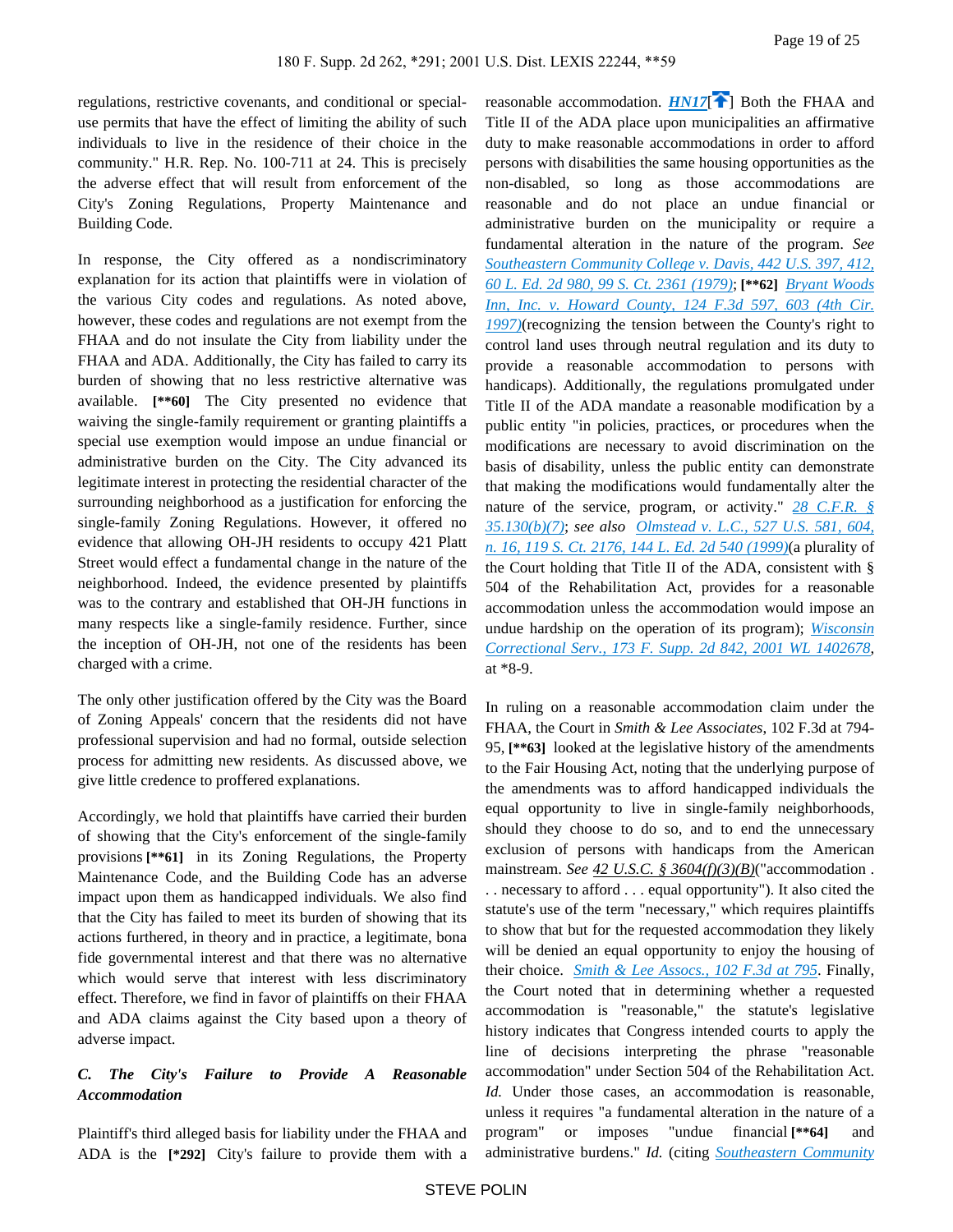regulations, restrictive covenants, and conditional or specialuse permits that have the effect of limiting the ability of such individuals to live in the residence of their choice in the community." H.R. Rep. No. 100-711 at 24. This is precisely the adverse effect that will result from enforcement of the City's Zoning Regulations, Property Maintenance and Building Code.

In response, the City offered as a nondiscriminatory explanation for its action that plaintiffs were in violation of the various City codes and regulations. As noted above, however, these codes and regulations are not exempt from the FHAA and do not insulate the City from liability under the FHAA and ADA. Additionally, the City has failed to carry its burden of showing that no less restrictive alternative was available. **[\*\*60]** The City presented no evidence that waiving the single-family requirement or granting plaintiffs a special use exemption would impose an undue financial or administrative burden on the City. The City advanced its legitimate interest in protecting the residential character of the surrounding neighborhood as a justification for enforcing the single-family Zoning Regulations. However, it offered no evidence that allowing OH-JH residents to occupy 421 Platt Street would effect a fundamental change in the nature of the neighborhood. Indeed, the evidence presented by plaintiffs was to the contrary and established that OH-JH functions in many respects like a single-family residence. Further, since the inception of OH-JH, not one of the residents has been charged with a crime.

The only other justification offered by the City was the Board of Zoning Appeals' concern that the residents did not have professional supervision and had no formal, outside selection process for admitting new residents. As discussed above, we give little credence to proffered explanations.

Accordingly, we hold that plaintiffs have carried their burden of showing that the City's enforcement of the single-family provisions **[\*\*61]** in its Zoning Regulations, the Property Maintenance Code, and the Building Code has an adverse impact upon them as handicapped individuals. We also find that the City has failed to meet its burden of showing that its actions furthered, in theory and in practice, a legitimate, bona fide governmental interest and that there was no alternative which would serve that interest with less discriminatory effect. Therefore, we find in favor of plaintiffs on their FHAA and ADA claims against the City based upon a theory of adverse impact.

## *C. The City's Failure to Provide A Reasonable Accommodation*

Plaintiff's third alleged basis for liability under the FHAA and ADA is the **[\*292]** City's failure to provide them with a

<span id="page-18-0"></span>reasonable accommodation.  $HM17$   $\uparrow$  Both the FHAA and Title II of the ADA place upon municipalities an affirmative duty to make reasonable accommodations in order to afford persons with disabilities the same housing opportunities as the non-disabled, so long as those accommodations are reasonable and do not place an undue financial or administrative burden on the municipality or require a fundamental alteration in the nature of the program. *See [Southeastern Community College v. Davis, 442 U.S. 397, 412,](https://advance.lexis.com/api/document?collection=cases&id=urn:contentItem:3S4X-83T0-003B-S188-00000-00&context=)  [60 L. Ed. 2d 980, 99 S. Ct. 2361 \(1979\)](https://advance.lexis.com/api/document?collection=cases&id=urn:contentItem:3S4X-83T0-003B-S188-00000-00&context=)*; **[\*\*62]** *[Bryant Woods](https://advance.lexis.com/api/document?collection=cases&id=urn:contentItem:3S24-9TC0-00B1-D0S7-00000-00&context=)  [Inn, Inc. v. Howard County, 124 F.3d 597, 603 \(4th Cir.](https://advance.lexis.com/api/document?collection=cases&id=urn:contentItem:3S24-9TC0-00B1-D0S7-00000-00&context=)  [1997\)](https://advance.lexis.com/api/document?collection=cases&id=urn:contentItem:3S24-9TC0-00B1-D0S7-00000-00&context=)*(recognizing the tension between the County's right to control land uses through neutral regulation and its duty to provide a reasonable accommodation to persons with handicaps). Additionally, the regulations promulgated under Title II of the ADA mandate a reasonable modification by a public entity "in policies, practices, or procedures when the modifications are necessary to avoid discrimination on the basis of disability, unless the public entity can demonstrate that making the modifications would fundamentally alter the nature of the service, program, or activity." *[28 C.F.R. §](https://advance.lexis.com/api/document?collection=administrative-codes&id=urn:contentItem:5MBV-98H0-008H-00V2-00000-00&context=)  [35.130\(b\)\(7\)](https://advance.lexis.com/api/document?collection=administrative-codes&id=urn:contentItem:5MBV-98H0-008H-00V2-00000-00&context=)*; *see also [Olmstead v. L.C., 527 U.S. 581, 604,](https://advance.lexis.com/api/document?collection=cases&id=urn:contentItem:3WSC-9XD0-004B-Y01R-00000-00&context=)  [n. 16, 119 S. Ct. 2176, 144 L. Ed. 2d 540 \(1999\)](https://advance.lexis.com/api/document?collection=cases&id=urn:contentItem:3WSC-9XD0-004B-Y01R-00000-00&context=)*(a plurality of the Court holding that Title II of the ADA, consistent with § 504 of the Rehabilitation Act, provides for a reasonable accommodation unless the accommodation would impose an undue hardship on the operation of its program); *[Wisconsin](https://advance.lexis.com/api/document?collection=cases&id=urn:contentItem:44G8-15D0-0038-Y27H-00000-00&context=)  [Correctional Serv., 173 F. Supp. 2d 842, 2001 WL 1402678](https://advance.lexis.com/api/document?collection=cases&id=urn:contentItem:44G8-15D0-0038-Y27H-00000-00&context=)*, at \*8-9.

In ruling on a reasonable accommodation claim under the FHAA, the Court in *Smith & Lee Associates*, 102 F.3d at 794- 95, **[\*\*63]** looked at the legislative history of the amendments to the Fair Housing Act, noting that the underlying purpose of the amendments was to afford handicapped individuals the equal opportunity to live in single-family neighborhoods, should they choose to do so, and to end the unnecessary exclusion of persons with handicaps from the American mainstream. *See 42 U.S.C. § 3604(f)(3)(B)*("accommodation . . . necessary to afford . . . equal opportunity"). It also cited the statute's use of the term "necessary," which requires plaintiffs to show that but for the requested accommodation they likely will be denied an equal opportunity to enjoy the housing of their choice. *[Smith & Lee Assocs., 102 F.3d at 795](https://advance.lexis.com/api/document?collection=cases&id=urn:contentItem:3S4W-Y930-006F-M12K-00000-00&context=)*. Finally, the Court noted that in determining whether a requested accommodation is "reasonable," the statute's legislative history indicates that Congress intended courts to apply the line of decisions interpreting the phrase "reasonable accommodation" under Section 504 of the Rehabilitation Act. *Id.* Under those cases, an accommodation is reasonable, unless it requires "a fundamental alteration in the nature of a program" or imposes "undue financial **[\*\*64]** and administrative burdens." *Id.* (citing *[Southeastern Community](https://advance.lexis.com/api/document?collection=cases&id=urn:contentItem:3S4X-83T0-003B-S188-00000-00&context=)*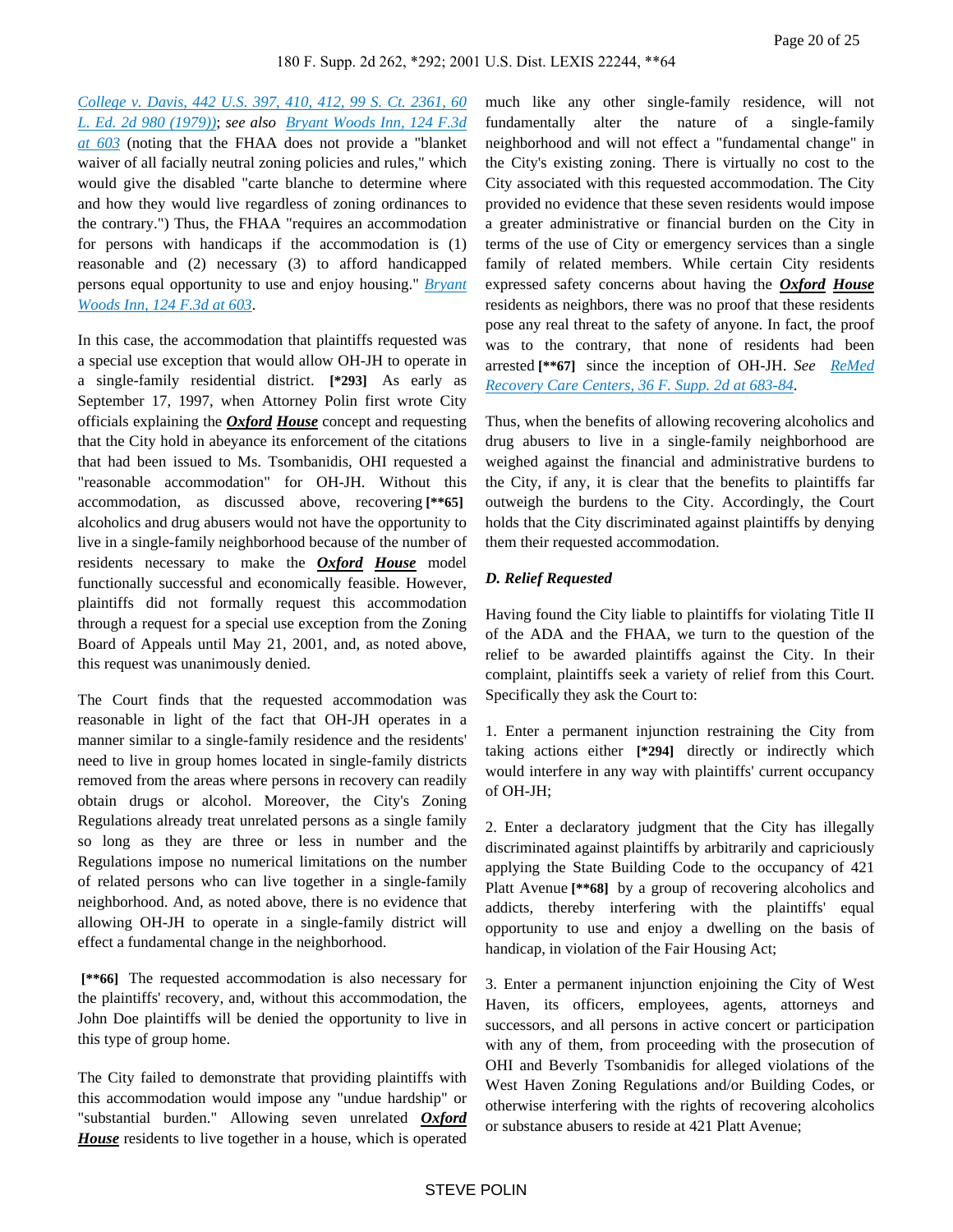*[College v. Davis, 442 U.S. 397, 410, 412, 99 S. Ct. 2361, 60](https://advance.lexis.com/api/document?collection=cases&id=urn:contentItem:3S4X-83T0-003B-S188-00000-00&context=)  [L. Ed. 2d 980 \(1979\)\)](https://advance.lexis.com/api/document?collection=cases&id=urn:contentItem:3S4X-83T0-003B-S188-00000-00&context=)*; *see also [Bryant Woods Inn, 124 F.3d](https://advance.lexis.com/api/document?collection=cases&id=urn:contentItem:3S24-9TC0-00B1-D0S7-00000-00&context=)  [at 603](https://advance.lexis.com/api/document?collection=cases&id=urn:contentItem:3S24-9TC0-00B1-D0S7-00000-00&context=)* (noting that the FHAA does not provide a "blanket waiver of all facially neutral zoning policies and rules," which would give the disabled "carte blanche to determine where and how they would live regardless of zoning ordinances to the contrary.") Thus, the FHAA "requires an accommodation for persons with handicaps if the accommodation is (1) reasonable and (2) necessary (3) to afford handicapped persons equal opportunity to use and enjoy housing." *[Bryant](https://advance.lexis.com/api/document?collection=cases&id=urn:contentItem:3S24-9TC0-00B1-D0S7-00000-00&context=)  [Woods Inn, 124 F.3d at 603](https://advance.lexis.com/api/document?collection=cases&id=urn:contentItem:3S24-9TC0-00B1-D0S7-00000-00&context=)*.

In this case, the accommodation that plaintiffs requested was a special use exception that would allow OH-JH to operate in a single-family residential district. **[\*293]** As early as September 17, 1997, when Attorney Polin first wrote City officials explaining the *Oxford House* concept and requesting that the City hold in abeyance its enforcement of the citations that had been issued to Ms. Tsombanidis, OHI requested a "reasonable accommodation" for OH-JH. Without this accommodation, as discussed above, recovering **[\*\*65]**  alcoholics and drug abusers would not have the opportunity to live in a single-family neighborhood because of the number of residents necessary to make the *Oxford House* model functionally successful and economically feasible. However, plaintiffs did not formally request this accommodation through a request for a special use exception from the Zoning Board of Appeals until May 21, 2001, and, as noted above, this request was unanimously denied.

The Court finds that the requested accommodation was reasonable in light of the fact that OH-JH operates in a manner similar to a single-family residence and the residents' need to live in group homes located in single-family districts removed from the areas where persons in recovery can readily obtain drugs or alcohol. Moreover, the City's Zoning Regulations already treat unrelated persons as a single family so long as they are three or less in number and the Regulations impose no numerical limitations on the number of related persons who can live together in a single-family neighborhood. And, as noted above, there is no evidence that allowing OH-JH to operate in a single-family district will effect a fundamental change in the neighborhood.

 **[\*\*66]** The requested accommodation is also necessary for the plaintiffs' recovery, and, without this accommodation, the John Doe plaintiffs will be denied the opportunity to live in this type of group home.

The City failed to demonstrate that providing plaintiffs with this accommodation would impose any "undue hardship" or "substantial burden." Allowing seven unrelated *Oxford House* residents to live together in a house, which is operated

much like any other single-family residence, will not fundamentally alter the nature of a single-family neighborhood and will not effect a "fundamental change" in the City's existing zoning. There is virtually no cost to the City associated with this requested accommodation. The City provided no evidence that these seven residents would impose a greater administrative or financial burden on the City in terms of the use of City or emergency services than a single family of related members. While certain City residents expressed safety concerns about having the *Oxford House* residents as neighbors, there was no proof that these residents pose any real threat to the safety of anyone. In fact, the proof was to the contrary, that none of residents had been arrested **[\*\*67]** since the inception of OH-JH. *See [ReMed](https://advance.lexis.com/api/document?collection=cases&id=urn:contentItem:3VTW-FBX0-0038-Y1GW-00000-00&context=)  [Recovery Care Centers, 36 F. Supp. 2d at 683-84](https://advance.lexis.com/api/document?collection=cases&id=urn:contentItem:3VTW-FBX0-0038-Y1GW-00000-00&context=)*.

Thus, when the benefits of allowing recovering alcoholics and drug abusers to live in a single-family neighborhood are weighed against the financial and administrative burdens to the City, if any, it is clear that the benefits to plaintiffs far outweigh the burdens to the City. Accordingly, the Court holds that the City discriminated against plaintiffs by denying them their requested accommodation.

#### *D. Relief Requested*

Having found the City liable to plaintiffs for violating Title II of the ADA and the FHAA, we turn to the question of the relief to be awarded plaintiffs against the City. In their complaint, plaintiffs seek a variety of relief from this Court. Specifically they ask the Court to:

1. Enter a permanent injunction restraining the City from taking actions either **[\*294]** directly or indirectly which would interfere in any way with plaintiffs' current occupancy of OH-JH;

2. Enter a declaratory judgment that the City has illegally discriminated against plaintiffs by arbitrarily and capriciously applying the State Building Code to the occupancy of 421 Platt Avenue **[\*\*68]** by a group of recovering alcoholics and addicts, thereby interfering with the plaintiffs' equal opportunity to use and enjoy a dwelling on the basis of handicap, in violation of the Fair Housing Act;

3. Enter a permanent injunction enjoining the City of West Haven, its officers, employees, agents, attorneys and successors, and all persons in active concert or participation with any of them, from proceeding with the prosecution of OHI and Beverly Tsombanidis for alleged violations of the West Haven Zoning Regulations and/or Building Codes, or otherwise interfering with the rights of recovering alcoholics or substance abusers to reside at 421 Platt Avenue;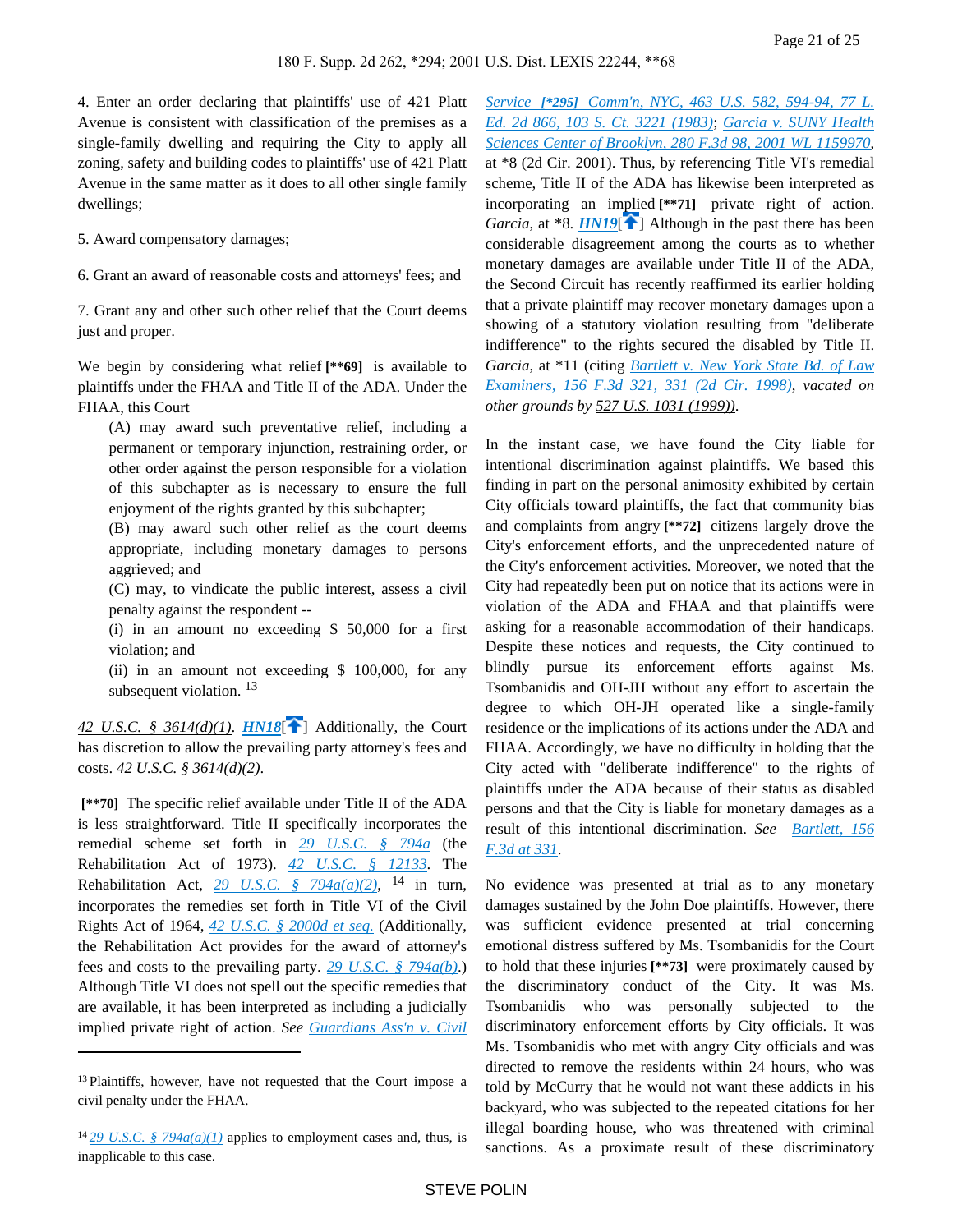4. Enter an order declaring that plaintiffs' use of 421 Platt Avenue is consistent with classification of the premises as a single-family dwelling and requiring the City to apply all zoning, safety and building codes to plaintiffs' use of 421 Platt Avenue in the same matter as it does to all other single family dwellings;

5. Award compensatory damages;

6. Grant an award of reasonable costs and attorneys' fees; and

7. Grant any and other such other relief that the Court deems just and proper.

We begin by considering what relief **[\*\*69]** is available to plaintiffs under the FHAA and Title II of the ADA. Under the FHAA, this Court

(A) may award such preventative relief, including a permanent or temporary injunction, restraining order, or other order against the person responsible for a violation of this subchapter as is necessary to ensure the full enjoyment of the rights granted by this subchapter;

(B) may award such other relief as the court deems appropriate, including monetary damages to persons aggrieved; and

(C) may, to vindicate the public interest, assess a civil penalty against the respondent --

(i) in an amount no exceeding \$ 50,000 for a first violation; and

<span id="page-20-0"></span>(ii) in an amount not exceeding \$ 100,000, for any subsequent violation.<sup>13</sup>

*42 U.S.C. § 3614(d)(1). [HN18](https://advance.lexis.com/api/document?collection=cases&id=urn:contentItem:44YH-3PM0-0038-Y2MP-00000-00&context=&link=clscc18)*<sup>[</sup> [\]](#page-4-0) Additionally, the Court has discretion to allow the prevailing party attorney's fees and costs. *42 U.S.C. § 3614(d)(2)*.

 **[\*\*70]** The specific relief available under Title II of the ADA is less straightforward. Title II specifically incorporates the remedial scheme set forth in *[29 U.S.C. § 794a](https://advance.lexis.com/api/document?collection=statutes-legislation&id=urn:contentItem:4YF7-GM61-NRF4-41X9-00000-00&context=)* (the Rehabilitation Act of 1973). *[42 U.S.C. § 12133](https://advance.lexis.com/api/document?collection=statutes-legislation&id=urn:contentItem:4YF7-GPR1-NRF4-4148-00000-00&context=)*. The Rehabilitation Act,  $\frac{29 \text{ U.S.C. } }{9}$   $\frac{794a(a)(2)}{ }$ , <sup>14</sup> in turn, incorporates the remedies set forth in Title VI of the Civil Rights Act of 1964, *[42 U.S.C. § 2000d et seq.](https://advance.lexis.com/api/document?collection=statutes-legislation&id=urn:contentItem:4YF7-GK71-NRF4-431F-00000-00&context=)* (Additionally, the Rehabilitation Act provides for the award of attorney's fees and costs to the prevailing party. *[29 U.S.C. § 794a\(b\)](https://advance.lexis.com/api/document?collection=statutes-legislation&id=urn:contentItem:4YF7-GM61-NRF4-41X9-00000-00&context=)*.) Although Title VI does not spell out the specific remedies that are available, it has been interpreted as including a judicially implied private right of action. *See [Guardians Ass'n v. Civil](https://advance.lexis.com/api/document?collection=cases&id=urn:contentItem:3S4X-4GR0-003B-S3KW-00000-00&context=)* 

<span id="page-20-1"></span>*Service [\*295] [Comm'n, NYC, 463 U.S. 582, 594-94, 77 L.](https://advance.lexis.com/api/document?collection=cases&id=urn:contentItem:3S4X-4GR0-003B-S3KW-00000-00&context=)  [Ed. 2d 866, 103 S. Ct. 3221 \(1983\)](https://advance.lexis.com/api/document?collection=cases&id=urn:contentItem:3S4X-4GR0-003B-S3KW-00000-00&context=)*; *[Garcia v. SUNY Health](https://advance.lexis.com/api/document?collection=cases&id=urn:contentItem:4449-3CM0-0038-X2YD-00000-00&context=)  [Sciences Center of Brooklyn, 280 F.3d 98, 2001 WL 1159970](https://advance.lexis.com/api/document?collection=cases&id=urn:contentItem:4449-3CM0-0038-X2YD-00000-00&context=)*, at \*8 (2d Cir. 2001). Thus, by referencing Title VI's remedial scheme, Title II of the ADA has likewise been interpreted as incorporating an implied **[\*\*71]** private right of action. *Garcia*, at \*8. *[HN19](https://advance.lexis.com/api/document?collection=cases&id=urn:contentItem:44YH-3PM0-0038-Y2MP-00000-00&context=&link=clscc19)*<sup>[4[\]](#page-4-1)</sup> Although in the past there has been considerable disagreement among the courts as to whether monetary damages are available under Title II of the ADA, the Second Circuit has recently reaffirmed its earlier holding that a private plaintiff may recover monetary damages upon a showing of a statutory violation resulting from "deliberate indifference" to the rights secured the disabled by Title II. *Garcia*, at \*11 (citing *[Bartlett v. New York State Bd. of Law](https://advance.lexis.com/api/document?collection=cases&id=urn:contentItem:3TMP-NRB0-0038-X531-00000-00&context=)  [Examiners, 156 F.3d 321, 331 \(2d Cir. 1998\)](https://advance.lexis.com/api/document?collection=cases&id=urn:contentItem:3TMP-NRB0-0038-X531-00000-00&context=)*, *vacated on other grounds by 527 U.S. 1031 (1999))*.

In the instant case, we have found the City liable for intentional discrimination against plaintiffs. We based this finding in part on the personal animosity exhibited by certain City officials toward plaintiffs, the fact that community bias and complaints from angry **[\*\*72]** citizens largely drove the City's enforcement efforts, and the unprecedented nature of the City's enforcement activities. Moreover, we noted that the City had repeatedly been put on notice that its actions were in violation of the ADA and FHAA and that plaintiffs were asking for a reasonable accommodation of their handicaps. Despite these notices and requests, the City continued to blindly pursue its enforcement efforts against Ms. Tsombanidis and OH-JH without any effort to ascertain the degree to which OH-JH operated like a single-family residence or the implications of its actions under the ADA and FHAA. Accordingly, we have no difficulty in holding that the City acted with "deliberate indifference" to the rights of plaintiffs under the ADA because of their status as disabled persons and that the City is liable for monetary damages as a result of this intentional discrimination. *See [Bartlett, 156](https://advance.lexis.com/api/document?collection=cases&id=urn:contentItem:3TMP-NRB0-0038-X531-00000-00&context=)  [F.3d at 331](https://advance.lexis.com/api/document?collection=cases&id=urn:contentItem:3TMP-NRB0-0038-X531-00000-00&context=)*.

No evidence was presented at trial as to any monetary damages sustained by the John Doe plaintiffs. However, there was sufficient evidence presented at trial concerning emotional distress suffered by Ms. Tsombanidis for the Court to hold that these injuries **[\*\*73]** were proximately caused by the discriminatory conduct of the City. It was Ms. Tsombanidis who was personally subjected to the discriminatory enforcement efforts by City officials. It was Ms. Tsombanidis who met with angry City officials and was directed to remove the residents within 24 hours, who was told by McCurry that he would not want these addicts in his backyard, who was subjected to the repeated citations for her illegal boarding house, who was threatened with criminal sanctions. As a proximate result of these discriminatory

<sup>&</sup>lt;sup>13</sup> Plaintiffs, however, have not requested that the Court impose a civil penalty under the FHAA.

<sup>&</sup>lt;sup>14</sup> 29 *U.S.C.* § 794 $a(a)(1)$  applies to employment cases and, thus, is inapplicable to this case.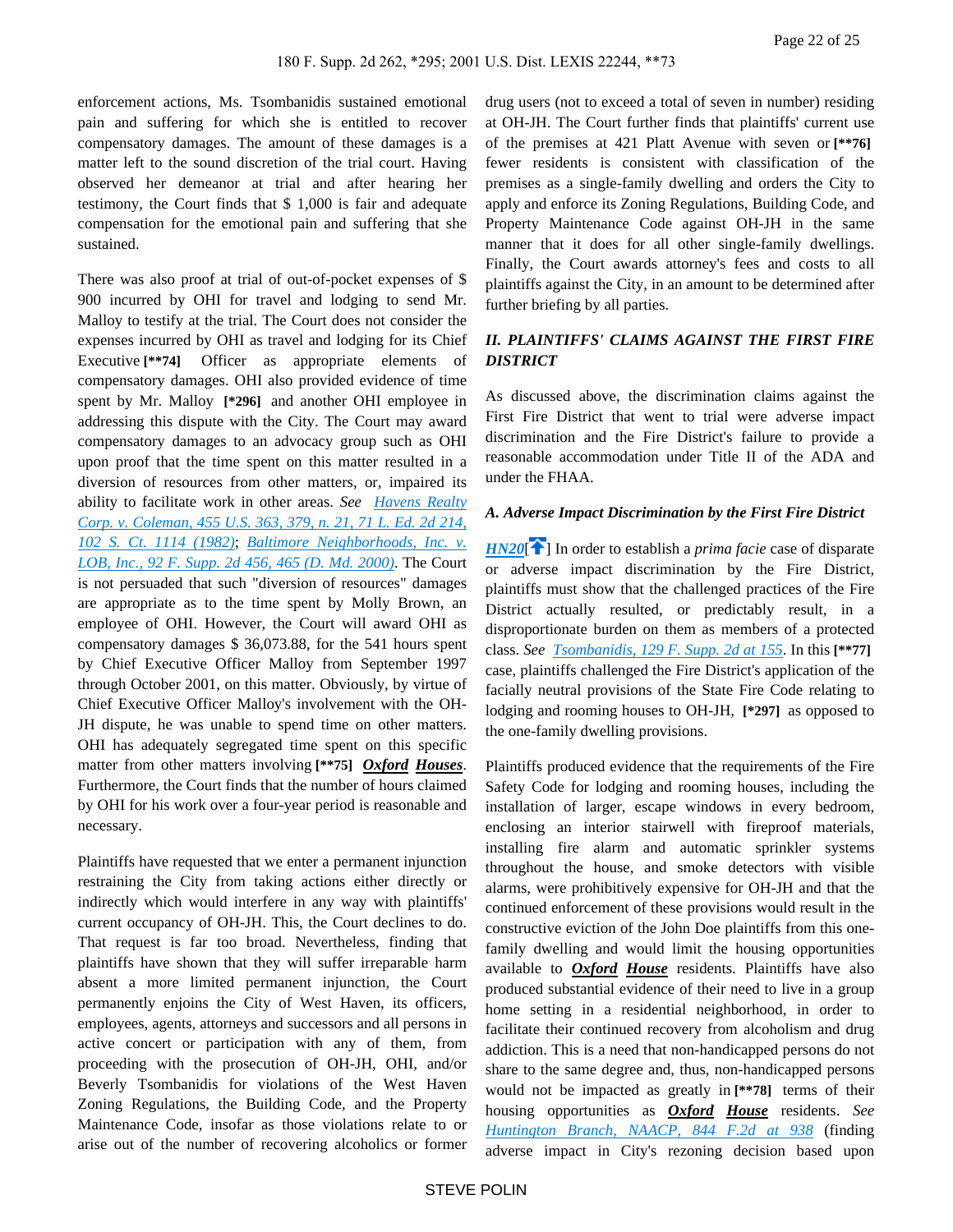enforcement actions, Ms. Tsombanidis sustained emotional pain and suffering for which she is entitled to recover compensatory damages. The amount of these damages is a matter left to the sound discretion of the trial court. Having observed her demeanor at trial and after hearing her testimony, the Court finds that \$ 1,000 is fair and adequate compensation for the emotional pain and suffering that she sustained.

There was also proof at trial of out-of-pocket expenses of \$ 900 incurred by OHI for travel and lodging to send Mr. Malloy to testify at the trial. The Court does not consider the expenses incurred by OHI as travel and lodging for its Chief Executive **[\*\*74]** Officer as appropriate elements of compensatory damages. OHI also provided evidence of time spent by Mr. Malloy **[\*296]** and another OHI employee in addressing this dispute with the City. The Court may award compensatory damages to an advocacy group such as OHI upon proof that the time spent on this matter resulted in a diversion of resources from other matters, or, impaired its ability to facilitate work in other areas. *See [Havens Realty](https://advance.lexis.com/api/document?collection=cases&id=urn:contentItem:3S4X-5RB0-003B-S1M3-00000-00&context=)  [Corp. v. Coleman, 455 U.S. 363, 379, n. 21, 71 L. Ed. 2d 214,](https://advance.lexis.com/api/document?collection=cases&id=urn:contentItem:3S4X-5RB0-003B-S1M3-00000-00&context=)  [102 S. Ct. 1114 \(1982\)](https://advance.lexis.com/api/document?collection=cases&id=urn:contentItem:3S4X-5RB0-003B-S1M3-00000-00&context=)*; *[Baltimore Neighborhoods, Inc. v.](https://advance.lexis.com/api/document?collection=cases&id=urn:contentItem:404D-W9G0-0038-Y07D-00000-00&context=)  [LOB, Inc., 92 F. Supp. 2d 456, 465 \(D. Md. 2000\)](https://advance.lexis.com/api/document?collection=cases&id=urn:contentItem:404D-W9G0-0038-Y07D-00000-00&context=)*. The Court is not persuaded that such "diversion of resources" damages are appropriate as to the time spent by Molly Brown, an employee of OHI. However, the Court will award OHI as compensatory damages \$ 36,073.88, for the 541 hours spent by Chief Executive Officer Malloy from September 1997 through October 2001, on this matter. Obviously, by virtue of Chief Executive Officer Malloy's involvement with the OH-JH dispute, he was unable to spend time on other matters. OHI has adequately segregated time spent on this specific matter from other matters involving **[\*\*75]** *Oxford Houses*. Furthermore, the Court finds that the number of hours claimed by OHI for his work over a four-year period is reasonable and necessary.

Plaintiffs have requested that we enter a permanent injunction restraining the City from taking actions either directly or indirectly which would interfere in any way with plaintiffs' current occupancy of OH-JH. This, the Court declines to do. That request is far too broad. Nevertheless, finding that plaintiffs have shown that they will suffer irreparable harm absent a more limited permanent injunction, the Court permanently enjoins the City of West Haven, its officers, employees, agents, attorneys and successors and all persons in active concert or participation with any of them, from proceeding with the prosecution of OH-JH, OHI, and/or Beverly Tsombanidis for violations of the West Haven Zoning Regulations, the Building Code, and the Property Maintenance Code, insofar as those violations relate to or arise out of the number of recovering alcoholics or former

drug users (not to exceed a total of seven in number) residing at OH-JH. The Court further finds that plaintiffs' current use of the premises at 421 Platt Avenue with seven or **[\*\*76]**  fewer residents is consistent with classification of the premises as a single-family dwelling and orders the City to apply and enforce its Zoning Regulations, Building Code, and Property Maintenance Code against OH-JH in the same manner that it does for all other single-family dwellings. Finally, the Court awards attorney's fees and costs to all plaintiffs against the City, in an amount to be determined after further briefing by all parties.

## *II. PLAINTIFFS' CLAIMS AGAINST THE FIRST FIRE DISTRICT*

As discussed above, the discrimination claims against the First Fire District that went to trial were adverse impact discrimination and the Fire District's failure to provide a reasonable accommodation under Title II of the ADA and under the FHAA.

## *A. Adverse Impact Discrimination by the First Fire District*

<span id="page-21-0"></span>*[HN20](https://advance.lexis.com/api/document?collection=cases&id=urn:contentItem:44YH-3PM0-0038-Y2MP-00000-00&context=&link=clscc20)*<sup>[\[](#page-4-2)2]</sup> In order to establish a *prima facie* case of disparate or adverse impact discrimination by the Fire District, plaintiffs must show that the challenged practices of the Fire District actually resulted, or predictably result, in a disproportionate burden on them as members of a protected class. *See [Tsombanidis, 129 F. Supp. 2d at 155](https://advance.lexis.com/api/document?collection=cases&id=urn:contentItem:42BJ-Y5F0-0038-Y3FX-00000-00&context=)*. In this **[\*\*77]**  case, plaintiffs challenged the Fire District's application of the facially neutral provisions of the State Fire Code relating to lodging and rooming houses to OH-JH, **[\*297]** as opposed to the one-family dwelling provisions.

Plaintiffs produced evidence that the requirements of the Fire Safety Code for lodging and rooming houses, including the installation of larger, escape windows in every bedroom, enclosing an interior stairwell with fireproof materials, installing fire alarm and automatic sprinkler systems throughout the house, and smoke detectors with visible alarms, were prohibitively expensive for OH-JH and that the continued enforcement of these provisions would result in the constructive eviction of the John Doe plaintiffs from this onefamily dwelling and would limit the housing opportunities available to *Oxford House* residents. Plaintiffs have also produced substantial evidence of their need to live in a group home setting in a residential neighborhood, in order to facilitate their continued recovery from alcoholism and drug addiction. This is a need that non-handicapped persons do not share to the same degree and, thus, non-handicapped persons would not be impacted as greatly in **[\*\*78]** terms of their housing opportunities as *Oxford House* residents. *See [Huntington Branch, NAACP, 844 F.2d at 938](https://advance.lexis.com/api/document?collection=cases&id=urn:contentItem:3S4X-1KC0-001B-K1HF-00000-00&context=)* (finding adverse impact in City's rezoning decision based upon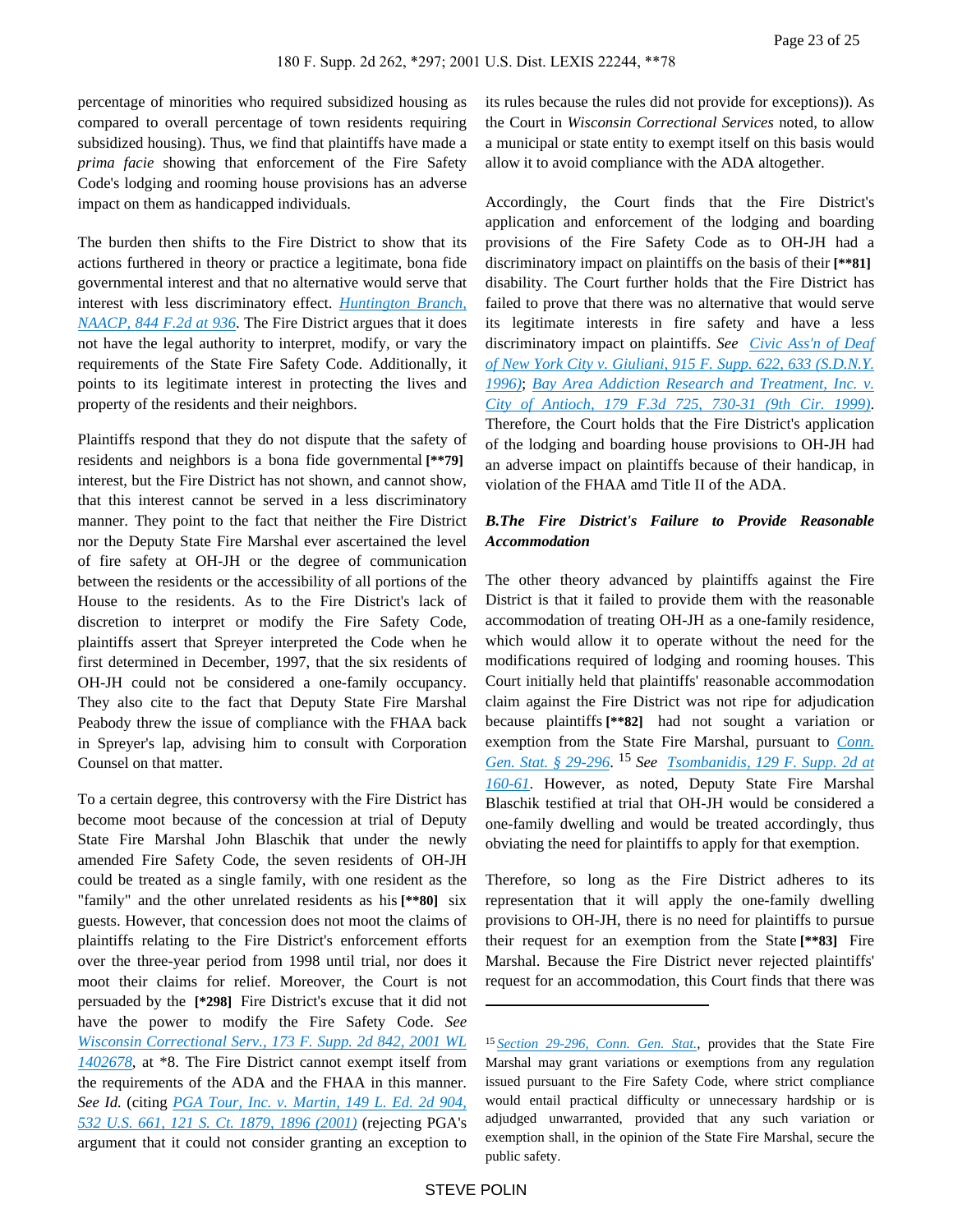percentage of minorities who required subsidized housing as compared to overall percentage of town residents requiring subsidized housing). Thus, we find that plaintiffs have made a *prima facie* showing that enforcement of the Fire Safety Code's lodging and rooming house provisions has an adverse impact on them as handicapped individuals.

The burden then shifts to the Fire District to show that its actions furthered in theory or practice a legitimate, bona fide governmental interest and that no alternative would serve that interest with less discriminatory effect. *[Huntington Branch,](https://advance.lexis.com/api/document?collection=cases&id=urn:contentItem:3S4X-1KC0-001B-K1HF-00000-00&context=)  [NAACP, 844 F.2d at 936](https://advance.lexis.com/api/document?collection=cases&id=urn:contentItem:3S4X-1KC0-001B-K1HF-00000-00&context=)*. The Fire District argues that it does not have the legal authority to interpret, modify, or vary the requirements of the State Fire Safety Code. Additionally, it points to its legitimate interest in protecting the lives and property of the residents and their neighbors.

Plaintiffs respond that they do not dispute that the safety of residents and neighbors is a bona fide governmental **[\*\*79]**  interest, but the Fire District has not shown, and cannot show, that this interest cannot be served in a less discriminatory manner. They point to the fact that neither the Fire District nor the Deputy State Fire Marshal ever ascertained the level of fire safety at OH-JH or the degree of communication between the residents or the accessibility of all portions of the House to the residents. As to the Fire District's lack of discretion to interpret or modify the Fire Safety Code, plaintiffs assert that Spreyer interpreted the Code when he first determined in December, 1997, that the six residents of OH-JH could not be considered a one-family occupancy. They also cite to the fact that Deputy State Fire Marshal Peabody threw the issue of compliance with the FHAA back in Spreyer's lap, advising him to consult with Corporation Counsel on that matter.

To a certain degree, this controversy with the Fire District has become moot because of the concession at trial of Deputy State Fire Marshal John Blaschik that under the newly amended Fire Safety Code, the seven residents of OH-JH could be treated as a single family, with one resident as the "family" and the other unrelated residents as his **[\*\*80]** six guests. However, that concession does not moot the claims of plaintiffs relating to the Fire District's enforcement efforts over the three-year period from 1998 until trial, nor does it moot their claims for relief. Moreover, the Court is not persuaded by the **[\*298]** Fire District's excuse that it did not have the power to modify the Fire Safety Code. *See [Wisconsin Correctional Serv., 173 F. Supp. 2d 842, 2001 WL](https://advance.lexis.com/api/document?collection=cases&id=urn:contentItem:44G8-15D0-0038-Y27H-00000-00&context=)  [1402678](https://advance.lexis.com/api/document?collection=cases&id=urn:contentItem:44G8-15D0-0038-Y27H-00000-00&context=)*, at \*8. The Fire District cannot exempt itself from the requirements of the ADA and the FHAA in this manner. *See Id.* (citing *[PGA Tour, Inc. v. Martin, 149 L. Ed. 2d 904,](https://advance.lexis.com/api/document?collection=cases&id=urn:contentItem:4354-TBF0-004C-200W-00000-00&context=)  [532 U.S. 661, 121 S. Ct. 1879, 1896 \(2001\)](https://advance.lexis.com/api/document?collection=cases&id=urn:contentItem:4354-TBF0-004C-200W-00000-00&context=)* (rejecting PGA's argument that it could not consider granting an exception to

its rules because the rules did not provide for exceptions)). As the Court in *Wisconsin Correctional Services* noted, to allow a municipal or state entity to exempt itself on this basis would allow it to avoid compliance with the ADA altogether.

Accordingly, the Court finds that the Fire District's application and enforcement of the lodging and boarding provisions of the Fire Safety Code as to OH-JH had a discriminatory impact on plaintiffs on the basis of their **[\*\*81]**  disability. The Court further holds that the Fire District has failed to prove that there was no alternative that would serve its legitimate interests in fire safety and have a less discriminatory impact on plaintiffs. *See [Civic Ass'n of Deaf](https://advance.lexis.com/api/document?collection=cases&id=urn:contentItem:3RVJ-5T70-006F-P10N-00000-00&context=)  [of New York City v. Giuliani, 915 F. Supp. 622, 633 \(S.D.N.Y.](https://advance.lexis.com/api/document?collection=cases&id=urn:contentItem:3RVJ-5T70-006F-P10N-00000-00&context=)  [1996\)](https://advance.lexis.com/api/document?collection=cases&id=urn:contentItem:3RVJ-5T70-006F-P10N-00000-00&context=)*; *[Bay Area Addiction Research and Treatment, Inc. v.](https://advance.lexis.com/api/document?collection=cases&id=urn:contentItem:3WMC-2720-0038-X4S9-00000-00&context=)  [City of Antioch, 179 F.3d 725, 730-31 \(9th Cir. 1999\)](https://advance.lexis.com/api/document?collection=cases&id=urn:contentItem:3WMC-2720-0038-X4S9-00000-00&context=)*. Therefore, the Court holds that the Fire District's application of the lodging and boarding house provisions to OH-JH had an adverse impact on plaintiffs because of their handicap, in violation of the FHAA amd Title II of the ADA.

# *B.The Fire District's Failure to Provide Reasonable Accommodation*

The other theory advanced by plaintiffs against the Fire District is that it failed to provide them with the reasonable accommodation of treating OH-JH as a one-family residence, which would allow it to operate without the need for the modifications required of lodging and rooming houses. This Court initially held that plaintiffs' reasonable accommodation claim against the Fire District was not ripe for adjudication because plaintiffs **[\*\*82]** had not sought a variation or exemption from the State Fire Marshal, pursuant to *[Conn.](https://advance.lexis.com/api/document?collection=statutes-legislation&id=urn:contentItem:56C1-2NG1-648C-K433-00000-00&context=)  [Gen. Stat. § 29-296](https://advance.lexis.com/api/document?collection=statutes-legislation&id=urn:contentItem:56C1-2NG1-648C-K433-00000-00&context=)*. <sup>15</sup> *See [Tsombanidis, 129 F. Supp. 2d at](https://advance.lexis.com/api/document?collection=cases&id=urn:contentItem:42BJ-Y5F0-0038-Y3FX-00000-00&context=)  [160-61](https://advance.lexis.com/api/document?collection=cases&id=urn:contentItem:42BJ-Y5F0-0038-Y3FX-00000-00&context=)*. However, as noted, Deputy State Fire Marshal Blaschik testified at trial that OH-JH would be considered a one-family dwelling and would be treated accordingly, thus obviating the need for plaintiffs to apply for that exemption.

Therefore, so long as the Fire District adheres to its representation that it will apply the one-family dwelling provisions to OH-JH, there is no need for plaintiffs to pursue their request for an exemption from the State **[\*\*83]** Fire Marshal. Because the Fire District never rejected plaintiffs' request for an accommodation, this Court finds that there was

<sup>15</sup>*[Section 29-296, Conn. Gen. Stat.](https://advance.lexis.com/api/document?collection=statutes-legislation&id=urn:contentItem:56C1-2NG1-648C-K433-00000-00&context=)*, provides that the State Fire Marshal may grant variations or exemptions from any regulation issued pursuant to the Fire Safety Code, where strict compliance would entail practical difficulty or unnecessary hardship or is adjudged unwarranted, provided that any such variation or exemption shall, in the opinion of the State Fire Marshal, secure the public safety.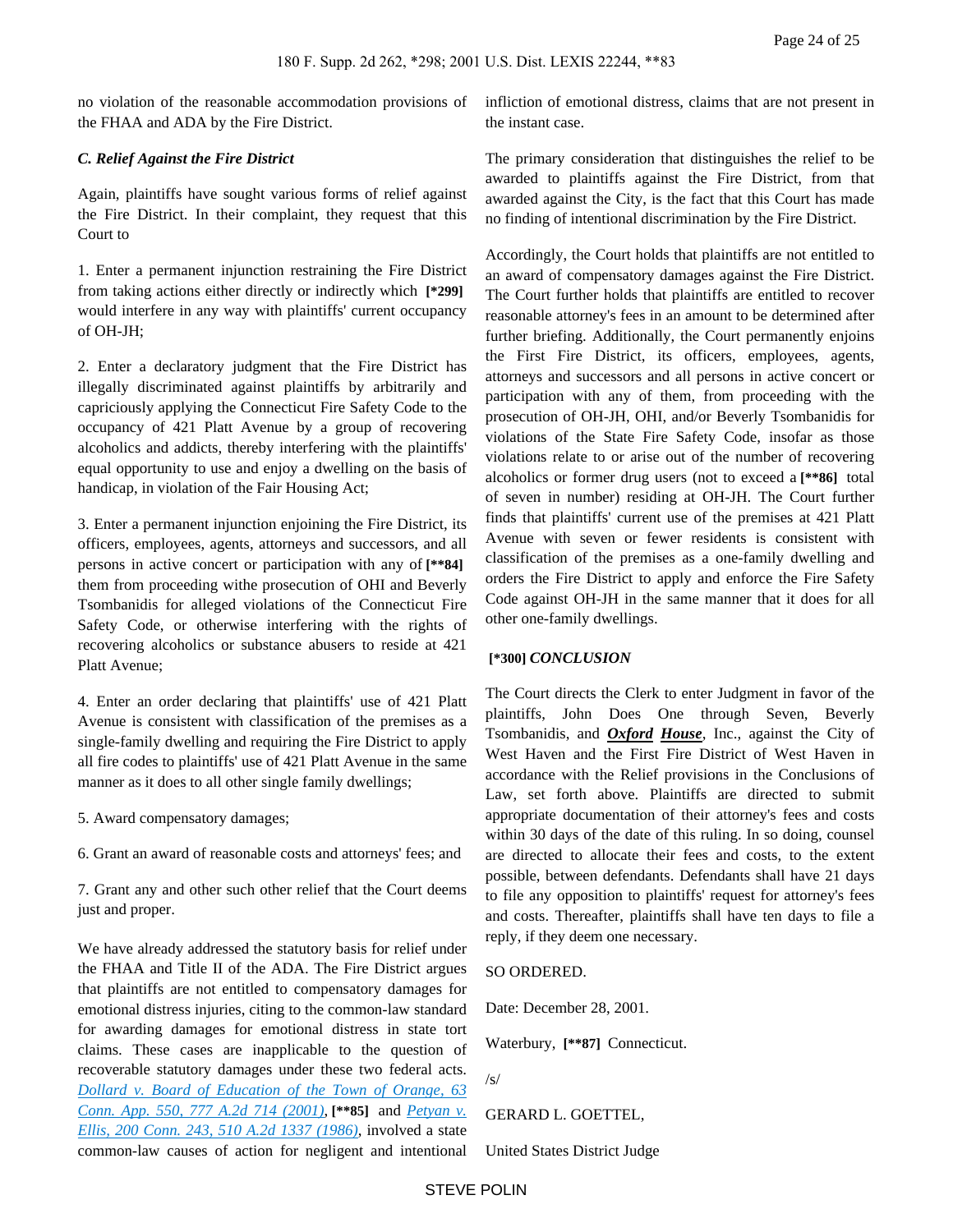no violation of the reasonable accommodation provisions of the FHAA and ADA by the Fire District.

#### *C. Relief Against the Fire District*

Again, plaintiffs have sought various forms of relief against the Fire District. In their complaint, they request that this Court to

1. Enter a permanent injunction restraining the Fire District from taking actions either directly or indirectly which **[\*299]**  would interfere in any way with plaintiffs' current occupancy of OH-JH;

2. Enter a declaratory judgment that the Fire District has illegally discriminated against plaintiffs by arbitrarily and capriciously applying the Connecticut Fire Safety Code to the occupancy of 421 Platt Avenue by a group of recovering alcoholics and addicts, thereby interfering with the plaintiffs' equal opportunity to use and enjoy a dwelling on the basis of handicap, in violation of the Fair Housing Act;

3. Enter a permanent injunction enjoining the Fire District, its officers, employees, agents, attorneys and successors, and all persons in active concert or participation with any of **[\*\*84]**  them from proceeding withe prosecution of OHI and Beverly Tsombanidis for alleged violations of the Connecticut Fire Safety Code, or otherwise interfering with the rights of recovering alcoholics or substance abusers to reside at 421 Platt Avenue;

4. Enter an order declaring that plaintiffs' use of 421 Platt Avenue is consistent with classification of the premises as a single-family dwelling and requiring the Fire District to apply all fire codes to plaintiffs' use of 421 Platt Avenue in the same manner as it does to all other single family dwellings;

5. Award compensatory damages;

6. Grant an award of reasonable costs and attorneys' fees; and

7. Grant any and other such other relief that the Court deems just and proper.

We have already addressed the statutory basis for relief under the FHAA and Title II of the ADA. The Fire District argues that plaintiffs are not entitled to compensatory damages for emotional distress injuries, citing to the common-law standard for awarding damages for emotional distress in state tort claims. These cases are inapplicable to the question of recoverable statutory damages under these two federal acts. *[Dollard v. Board of Education of the Town of Orange, 63](https://advance.lexis.com/api/document?collection=cases&id=urn:contentItem:435M-01R0-0039-40J5-00000-00&context=)  [Conn. App. 550, 777 A.2d 714 \(2001\)](https://advance.lexis.com/api/document?collection=cases&id=urn:contentItem:435M-01R0-0039-40J5-00000-00&context=)*, **[\*\*85]** and *[Petyan v.](https://advance.lexis.com/api/document?collection=cases&id=urn:contentItem:3RX4-0W10-003D-814H-00000-00&context=)  [Ellis, 200 Conn. 243, 510 A.2d 1337 \(1986\)](https://advance.lexis.com/api/document?collection=cases&id=urn:contentItem:3RX4-0W10-003D-814H-00000-00&context=)*, involved a state common-law causes of action for negligent and intentional

infliction of emotional distress, claims that are not present in the instant case.

The primary consideration that distinguishes the relief to be awarded to plaintiffs against the Fire District, from that awarded against the City, is the fact that this Court has made no finding of intentional discrimination by the Fire District.

Accordingly, the Court holds that plaintiffs are not entitled to an award of compensatory damages against the Fire District. The Court further holds that plaintiffs are entitled to recover reasonable attorney's fees in an amount to be determined after further briefing. Additionally, the Court permanently enjoins the First Fire District, its officers, employees, agents, attorneys and successors and all persons in active concert or participation with any of them, from proceeding with the prosecution of OH-JH, OHI, and/or Beverly Tsombanidis for violations of the State Fire Safety Code, insofar as those violations relate to or arise out of the number of recovering alcoholics or former drug users (not to exceed a **[\*\*86]** total of seven in number) residing at OH-JH. The Court further finds that plaintiffs' current use of the premises at 421 Platt Avenue with seven or fewer residents is consistent with classification of the premises as a one-family dwelling and orders the Fire District to apply and enforce the Fire Safety Code against OH-JH in the same manner that it does for all other one-family dwellings.

## **[\*300]** *CONCLUSION*

The Court directs the Clerk to enter Judgment in favor of the plaintiffs, John Does One through Seven, Beverly Tsombanidis, and *Oxford House*, Inc., against the City of West Haven and the First Fire District of West Haven in accordance with the Relief provisions in the Conclusions of Law, set forth above. Plaintiffs are directed to submit appropriate documentation of their attorney's fees and costs within 30 days of the date of this ruling. In so doing, counsel are directed to allocate their fees and costs, to the extent possible, between defendants. Defendants shall have 21 days to file any opposition to plaintiffs' request for attorney's fees and costs. Thereafter, plaintiffs shall have ten days to file a reply, if they deem one necessary.

#### SO ORDERED.

Date: December 28, 2001.

Waterbury, **[\*\*87]** Connecticut.

```
/s/
```
GERARD L. GOETTEL,

United States District Judge